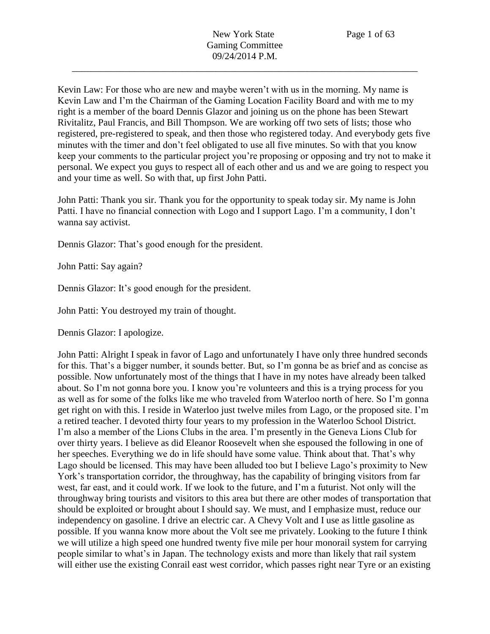Kevin Law: For those who are new and maybe weren't with us in the morning. My name is Kevin Law and I'm the Chairman of the Gaming Location Facility Board and with me to my right is a member of the board Dennis Glazor and joining us on the phone has been Stewart Rivitalitz, Paul Francis, and Bill Thompson. We are working off two sets of lists; those who registered, pre-registered to speak, and then those who registered today. And everybody gets five minutes with the timer and don't feel obligated to use all five minutes. So with that you know keep your comments to the particular project you're proposing or opposing and try not to make it personal. We expect you guys to respect all of each other and us and we are going to respect you and your time as well. So with that, up first John Patti.

John Patti: Thank you sir. Thank you for the opportunity to speak today sir. My name is John Patti. I have no financial connection with Logo and I support Lago. I'm a community, I don't wanna say activist.

Dennis Glazor: That's good enough for the president.

John Patti: Say again?

Dennis Glazor: It's good enough for the president.

John Patti: You destroyed my train of thought.

Dennis Glazor: I apologize.

John Patti: Alright I speak in favor of Lago and unfortunately I have only three hundred seconds for this. That's a bigger number, it sounds better. But, so I'm gonna be as brief and as concise as possible. Now unfortunately most of the things that I have in my notes have already been talked about. So I'm not gonna bore you. I know you're volunteers and this is a trying process for you as well as for some of the folks like me who traveled from Waterloo north of here. So I'm gonna get right on with this. I reside in Waterloo just twelve miles from Lago, or the proposed site. I'm a retired teacher. I devoted thirty four years to my profession in the Waterloo School District. I'm also a member of the Lions Clubs in the area. I'm presently in the Geneva Lions Club for over thirty years. I believe as did Eleanor Roosevelt when she espoused the following in one of her speeches. Everything we do in life should have some value. Think about that. That's why Lago should be licensed. This may have been alluded too but I believe Lago's proximity to New York's transportation corridor, the throughway, has the capability of bringing visitors from far west, far east, and it could work. If we look to the future, and I'm a futurist. Not only will the throughway bring tourists and visitors to this area but there are other modes of transportation that should be exploited or brought about I should say. We must, and I emphasize must, reduce our independency on gasoline. I drive an electric car. A Chevy Volt and I use as little gasoline as possible. If you wanna know more about the Volt see me privately. Looking to the future I think we will utilize a high speed one hundred twenty five mile per hour monorail system for carrying people similar to what's in Japan. The technology exists and more than likely that rail system will either use the existing Conrail east west corridor, which passes right near Tyre or an existing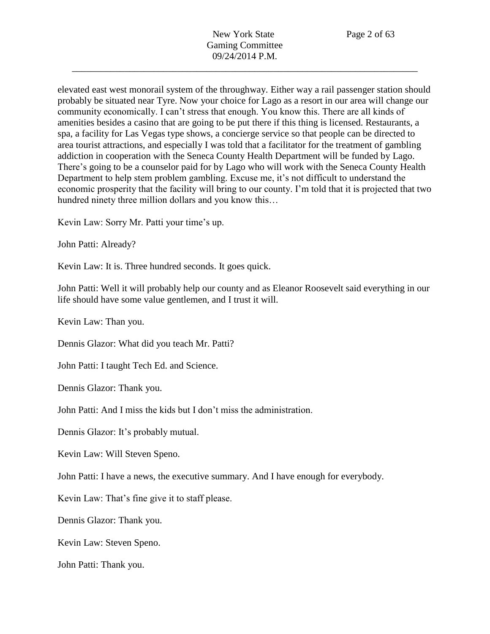elevated east west monorail system of the throughway. Either way a rail passenger station should probably be situated near Tyre. Now your choice for Lago as a resort in our area will change our community economically. I can't stress that enough. You know this. There are all kinds of amenities besides a casino that are going to be put there if this thing is licensed. Restaurants, a spa, a facility for Las Vegas type shows, a concierge service so that people can be directed to area tourist attractions, and especially I was told that a facilitator for the treatment of gambling addiction in cooperation with the Seneca County Health Department will be funded by Lago. There's going to be a counselor paid for by Lago who will work with the Seneca County Health Department to help stem problem gambling. Excuse me, it's not difficult to understand the economic prosperity that the facility will bring to our county. I'm told that it is projected that two hundred ninety three million dollars and you know this…

Kevin Law: Sorry Mr. Patti your time's up.

John Patti: Already?

Kevin Law: It is. Three hundred seconds. It goes quick.

John Patti: Well it will probably help our county and as Eleanor Roosevelt said everything in our life should have some value gentlemen, and I trust it will.

Kevin Law: Than you.

Dennis Glazor: What did you teach Mr. Patti?

John Patti: I taught Tech Ed. and Science.

Dennis Glazor: Thank you.

John Patti: And I miss the kids but I don't miss the administration.

Dennis Glazor: It's probably mutual.

Kevin Law: Will Steven Speno.

John Patti: I have a news, the executive summary. And I have enough for everybody.

Kevin Law: That's fine give it to staff please.

Dennis Glazor: Thank you.

Kevin Law: Steven Speno.

John Patti: Thank you.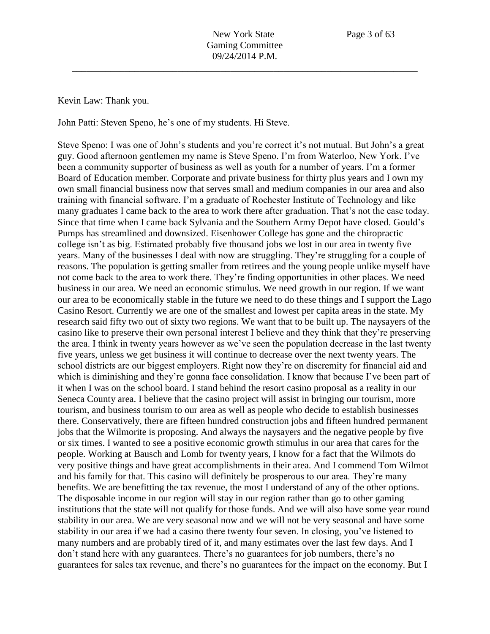Kevin Law: Thank you.

John Patti: Steven Speno, he's one of my students. Hi Steve.

Steve Speno: I was one of John's students and you're correct it's not mutual. But John's a great guy. Good afternoon gentlemen my name is Steve Speno. I'm from Waterloo, New York. I've been a community supporter of business as well as youth for a number of years. I'm a former Board of Education member. Corporate and private business for thirty plus years and I own my own small financial business now that serves small and medium companies in our area and also training with financial software. I'm a graduate of Rochester Institute of Technology and like many graduates I came back to the area to work there after graduation. That's not the case today. Since that time when I came back Sylvania and the Southern Army Depot have closed. Gould's Pumps has streamlined and downsized. Eisenhower College has gone and the chiropractic college isn't as big. Estimated probably five thousand jobs we lost in our area in twenty five years. Many of the businesses I deal with now are struggling. They're struggling for a couple of reasons. The population is getting smaller from retirees and the young people unlike myself have not come back to the area to work there. They're finding opportunities in other places. We need business in our area. We need an economic stimulus. We need growth in our region. If we want our area to be economically stable in the future we need to do these things and I support the Lago Casino Resort. Currently we are one of the smallest and lowest per capita areas in the state. My research said fifty two out of sixty two regions. We want that to be built up. The naysayers of the casino like to preserve their own personal interest I believe and they think that they're preserving the area. I think in twenty years however as we've seen the population decrease in the last twenty five years, unless we get business it will continue to decrease over the next twenty years. The school districts are our biggest employers. Right now they're on discremity for financial aid and which is diminishing and they're gonna face consolidation. I know that because I've been part of it when I was on the school board. I stand behind the resort casino proposal as a reality in our Seneca County area. I believe that the casino project will assist in bringing our tourism, more tourism, and business tourism to our area as well as people who decide to establish businesses there. Conservatively, there are fifteen hundred construction jobs and fifteen hundred permanent jobs that the Wilmorite is proposing. And always the naysayers and the negative people by five or six times. I wanted to see a positive economic growth stimulus in our area that cares for the people. Working at Bausch and Lomb for twenty years, I know for a fact that the Wilmots do very positive things and have great accomplishments in their area. And I commend Tom Wilmot and his family for that. This casino will definitely be prosperous to our area. They're many benefits. We are benefitting the tax revenue, the most I understand of any of the other options. The disposable income in our region will stay in our region rather than go to other gaming institutions that the state will not qualify for those funds. And we will also have some year round stability in our area. We are very seasonal now and we will not be very seasonal and have some stability in our area if we had a casino there twenty four seven. In closing, you've listened to many numbers and are probably tired of it, and many estimates over the last few days. And I don't stand here with any guarantees. There's no guarantees for job numbers, there's no guarantees for sales tax revenue, and there's no guarantees for the impact on the economy. But I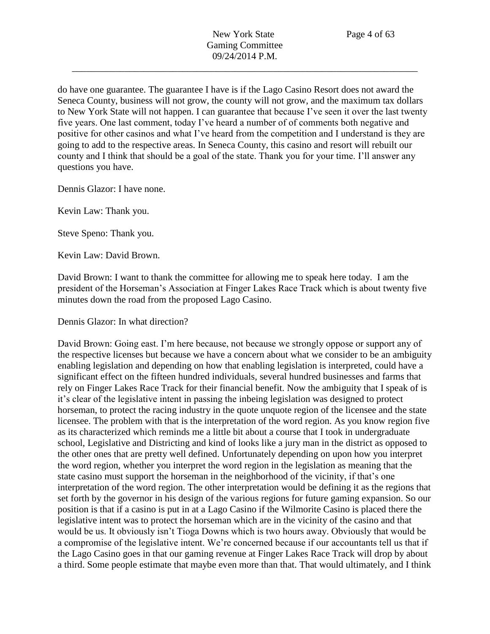do have one guarantee. The guarantee I have is if the Lago Casino Resort does not award the Seneca County, business will not grow, the county will not grow, and the maximum tax dollars to New York State will not happen. I can guarantee that because I've seen it over the last twenty five years. One last comment, today I've heard a number of of comments both negative and positive for other casinos and what I've heard from the competition and I understand is they are going to add to the respective areas. In Seneca County, this casino and resort will rebuilt our county and I think that should be a goal of the state. Thank you for your time. I'll answer any questions you have.

Dennis Glazor: I have none.

Kevin Law: Thank you.

Steve Speno: Thank you.

Kevin Law: David Brown.

David Brown: I want to thank the committee for allowing me to speak here today. I am the president of the Horseman's Association at Finger Lakes Race Track which is about twenty five minutes down the road from the proposed Lago Casino.

Dennis Glazor: In what direction?

David Brown: Going east. I'm here because, not because we strongly oppose or support any of the respective licenses but because we have a concern about what we consider to be an ambiguity enabling legislation and depending on how that enabling legislation is interpreted, could have a significant effect on the fifteen hundred individuals, several hundred businesses and farms that rely on Finger Lakes Race Track for their financial benefit. Now the ambiguity that I speak of is it's clear of the legislative intent in passing the inbeing legislation was designed to protect horseman, to protect the racing industry in the quote unquote region of the licensee and the state licensee. The problem with that is the interpretation of the word region. As you know region five as its characterized which reminds me a little bit about a course that I took in undergraduate school, Legislative and Districting and kind of looks like a jury man in the district as opposed to the other ones that are pretty well defined. Unfortunately depending on upon how you interpret the word region, whether you interpret the word region in the legislation as meaning that the state casino must support the horseman in the neighborhood of the vicinity, if that's one interpretation of the word region. The other interpretation would be defining it as the regions that set forth by the governor in his design of the various regions for future gaming expansion. So our position is that if a casino is put in at a Lago Casino if the Wilmorite Casino is placed there the legislative intent was to protect the horseman which are in the vicinity of the casino and that would be us. It obviously isn't Tioga Downs which is two hours away. Obviously that would be a compromise of the legislative intent. We're concerned because if our accountants tell us that if the Lago Casino goes in that our gaming revenue at Finger Lakes Race Track will drop by about a third. Some people estimate that maybe even more than that. That would ultimately, and I think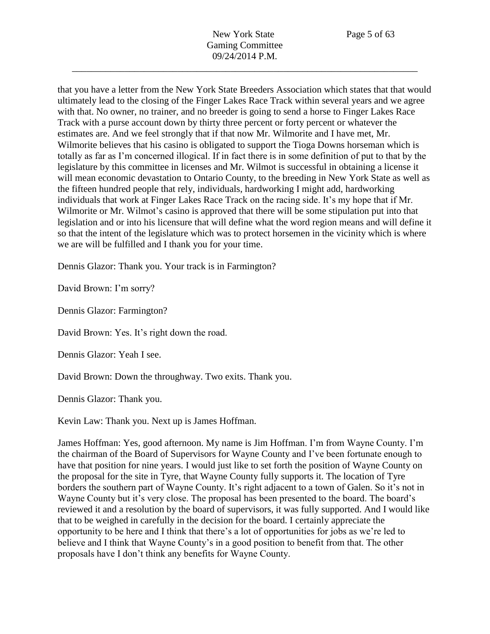that you have a letter from the New York State Breeders Association which states that that would ultimately lead to the closing of the Finger Lakes Race Track within several years and we agree with that. No owner, no trainer, and no breeder is going to send a horse to Finger Lakes Race Track with a purse account down by thirty three percent or forty percent or whatever the estimates are. And we feel strongly that if that now Mr. Wilmorite and I have met, Mr. Wilmorite believes that his casino is obligated to support the Tioga Downs horseman which is totally as far as I'm concerned illogical. If in fact there is in some definition of put to that by the legislature by this committee in licenses and Mr. Wilmot is successful in obtaining a license it will mean economic devastation to Ontario County, to the breeding in New York State as well as the fifteen hundred people that rely, individuals, hardworking I might add, hardworking individuals that work at Finger Lakes Race Track on the racing side. It's my hope that if Mr. Wilmorite or Mr. Wilmot's casino is approved that there will be some stipulation put into that legislation and or into his licensure that will define what the word region means and will define it so that the intent of the legislature which was to protect horsemen in the vicinity which is where we are will be fulfilled and I thank you for your time.

Dennis Glazor: Thank you. Your track is in Farmington?

David Brown: I'm sorry?

Dennis Glazor: Farmington?

David Brown: Yes. It's right down the road.

Dennis Glazor: Yeah I see.

David Brown: Down the throughway. Two exits. Thank you.

Dennis Glazor: Thank you.

Kevin Law: Thank you. Next up is James Hoffman.

James Hoffman: Yes, good afternoon. My name is Jim Hoffman. I'm from Wayne County. I'm the chairman of the Board of Supervisors for Wayne County and I've been fortunate enough to have that position for nine years. I would just like to set forth the position of Wayne County on the proposal for the site in Tyre, that Wayne County fully supports it. The location of Tyre borders the southern part of Wayne County. It's right adjacent to a town of Galen. So it's not in Wayne County but it's very close. The proposal has been presented to the board. The board's reviewed it and a resolution by the board of supervisors, it was fully supported. And I would like that to be weighed in carefully in the decision for the board. I certainly appreciate the opportunity to be here and I think that there's a lot of opportunities for jobs as we're led to believe and I think that Wayne County's in a good position to benefit from that. The other proposals have I don't think any benefits for Wayne County.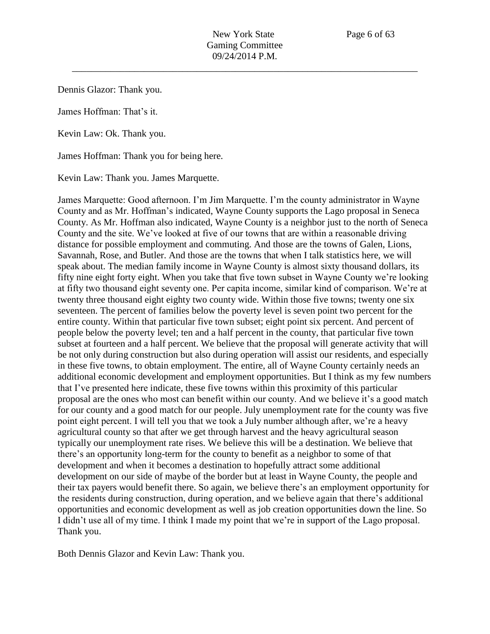Dennis Glazor: Thank you.

James Hoffman: That's it.

Kevin Law: Ok. Thank you.

James Hoffman: Thank you for being here.

Kevin Law: Thank you. James Marquette.

James Marquette: Good afternoon. I'm Jim Marquette. I'm the county administrator in Wayne County and as Mr. Hoffman's indicated, Wayne County supports the Lago proposal in Seneca County. As Mr. Hoffman also indicated, Wayne County is a neighbor just to the north of Seneca County and the site. We've looked at five of our towns that are within a reasonable driving distance for possible employment and commuting. And those are the towns of Galen, Lions, Savannah, Rose, and Butler. And those are the towns that when I talk statistics here, we will speak about. The median family income in Wayne County is almost sixty thousand dollars, its fifty nine eight forty eight. When you take that five town subset in Wayne County we're looking at fifty two thousand eight seventy one. Per capita income, similar kind of comparison. We're at twenty three thousand eight eighty two county wide. Within those five towns; twenty one six seventeen. The percent of families below the poverty level is seven point two percent for the entire county. Within that particular five town subset; eight point six percent. And percent of people below the poverty level; ten and a half percent in the county, that particular five town subset at fourteen and a half percent. We believe that the proposal will generate activity that will be not only during construction but also during operation will assist our residents, and especially in these five towns, to obtain employment. The entire, all of Wayne County certainly needs an additional economic development and employment opportunities. But I think as my few numbers that I've presented here indicate, these five towns within this proximity of this particular proposal are the ones who most can benefit within our county. And we believe it's a good match for our county and a good match for our people. July unemployment rate for the county was five point eight percent. I will tell you that we took a July number although after, we're a heavy agricultural county so that after we get through harvest and the heavy agricultural season typically our unemployment rate rises. We believe this will be a destination. We believe that there's an opportunity long-term for the county to benefit as a neighbor to some of that development and when it becomes a destination to hopefully attract some additional development on our side of maybe of the border but at least in Wayne County, the people and their tax payers would benefit there. So again, we believe there's an employment opportunity for the residents during construction, during operation, and we believe again that there's additional opportunities and economic development as well as job creation opportunities down the line. So I didn't use all of my time. I think I made my point that we're in support of the Lago proposal. Thank you.

Both Dennis Glazor and Kevin Law: Thank you.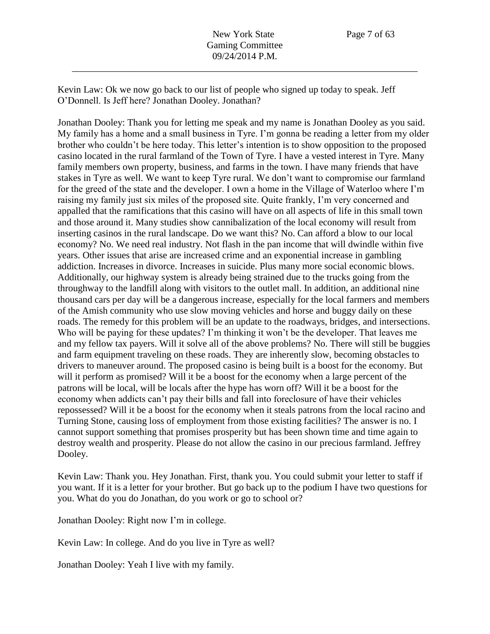Kevin Law: Ok we now go back to our list of people who signed up today to speak. Jeff O'Donnell. Is Jeff here? Jonathan Dooley. Jonathan?

Jonathan Dooley: Thank you for letting me speak and my name is Jonathan Dooley as you said. My family has a home and a small business in Tyre. I'm gonna be reading a letter from my older brother who couldn't be here today. This letter's intention is to show opposition to the proposed casino located in the rural farmland of the Town of Tyre. I have a vested interest in Tyre. Many family members own property, business, and farms in the town. I have many friends that have stakes in Tyre as well. We want to keep Tyre rural. We don't want to compromise our farmland for the greed of the state and the developer. I own a home in the Village of Waterloo where I'm raising my family just six miles of the proposed site. Quite frankly, I'm very concerned and appalled that the ramifications that this casino will have on all aspects of life in this small town and those around it. Many studies show cannibalization of the local economy will result from inserting casinos in the rural landscape. Do we want this? No. Can afford a blow to our local economy? No. We need real industry. Not flash in the pan income that will dwindle within five years. Other issues that arise are increased crime and an exponential increase in gambling addiction. Increases in divorce. Increases in suicide. Plus many more social economic blows. Additionally, our highway system is already being strained due to the trucks going from the throughway to the landfill along with visitors to the outlet mall. In addition, an additional nine thousand cars per day will be a dangerous increase, especially for the local farmers and members of the Amish community who use slow moving vehicles and horse and buggy daily on these roads. The remedy for this problem will be an update to the roadways, bridges, and intersections. Who will be paying for these updates? I'm thinking it won't be the developer. That leaves me and my fellow tax payers. Will it solve all of the above problems? No. There will still be buggies and farm equipment traveling on these roads. They are inherently slow, becoming obstacles to drivers to maneuver around. The proposed casino is being built is a boost for the economy. But will it perform as promised? Will it be a boost for the economy when a large percent of the patrons will be local, will be locals after the hype has worn off? Will it be a boost for the economy when addicts can't pay their bills and fall into foreclosure of have their vehicles repossessed? Will it be a boost for the economy when it steals patrons from the local racino and Turning Stone, causing loss of employment from those existing facilities? The answer is no. I cannot support something that promises prosperity but has been shown time and time again to destroy wealth and prosperity. Please do not allow the casino in our precious farmland. Jeffrey Dooley.

Kevin Law: Thank you. Hey Jonathan. First, thank you. You could submit your letter to staff if you want. If it is a letter for your brother. But go back up to the podium I have two questions for you. What do you do Jonathan, do you work or go to school or?

Jonathan Dooley: Right now I'm in college.

Kevin Law: In college. And do you live in Tyre as well?

Jonathan Dooley: Yeah I live with my family.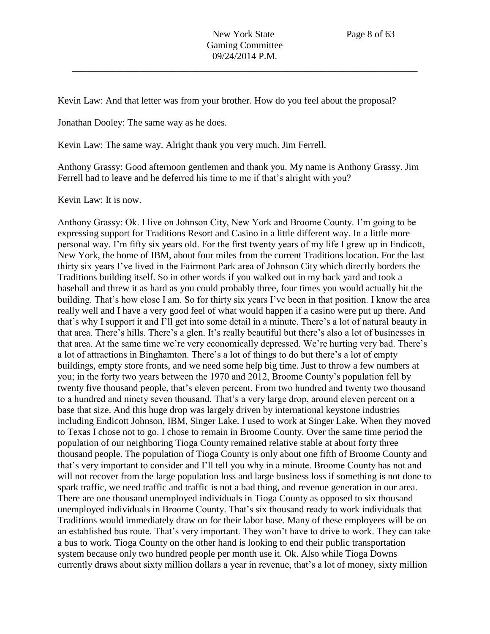Kevin Law: And that letter was from your brother. How do you feel about the proposal?

Jonathan Dooley: The same way as he does.

Kevin Law: The same way. Alright thank you very much. Jim Ferrell.

Anthony Grassy: Good afternoon gentlemen and thank you. My name is Anthony Grassy. Jim Ferrell had to leave and he deferred his time to me if that's alright with you?

Kevin Law: It is now.

Anthony Grassy: Ok. I live on Johnson City, New York and Broome County. I'm going to be expressing support for Traditions Resort and Casino in a little different way. In a little more personal way. I'm fifty six years old. For the first twenty years of my life I grew up in Endicott, New York, the home of IBM, about four miles from the current Traditions location. For the last thirty six years I've lived in the Fairmont Park area of Johnson City which directly borders the Traditions building itself. So in other words if you walked out in my back yard and took a baseball and threw it as hard as you could probably three, four times you would actually hit the building. That's how close I am. So for thirty six years I've been in that position. I know the area really well and I have a very good feel of what would happen if a casino were put up there. And that's why I support it and I'll get into some detail in a minute. There's a lot of natural beauty in that area. There's hills. There's a glen. It's really beautiful but there's also a lot of businesses in that area. At the same time we're very economically depressed. We're hurting very bad. There's a lot of attractions in Binghamton. There's a lot of things to do but there's a lot of empty buildings, empty store fronts, and we need some help big time. Just to throw a few numbers at you; in the forty two years between the 1970 and 2012, Broome County's population fell by twenty five thousand people, that's eleven percent. From two hundred and twenty two thousand to a hundred and ninety seven thousand. That's a very large drop, around eleven percent on a base that size. And this huge drop was largely driven by international keystone industries including Endicott Johnson, IBM, Singer Lake. I used to work at Singer Lake. When they moved to Texas I chose not to go. I chose to remain in Broome County. Over the same time period the population of our neighboring Tioga County remained relative stable at about forty three thousand people. The population of Tioga County is only about one fifth of Broome County and that's very important to consider and I'll tell you why in a minute. Broome County has not and will not recover from the large population loss and large business loss if something is not done to spark traffic, we need traffic and traffic is not a bad thing, and revenue generation in our area. There are one thousand unemployed individuals in Tioga County as opposed to six thousand unemployed individuals in Broome County. That's six thousand ready to work individuals that Traditions would immediately draw on for their labor base. Many of these employees will be on an established bus route. That's very important. They won't have to drive to work. They can take a bus to work. Tioga County on the other hand is looking to end their public transportation system because only two hundred people per month use it. Ok. Also while Tioga Downs currently draws about sixty million dollars a year in revenue, that's a lot of money, sixty million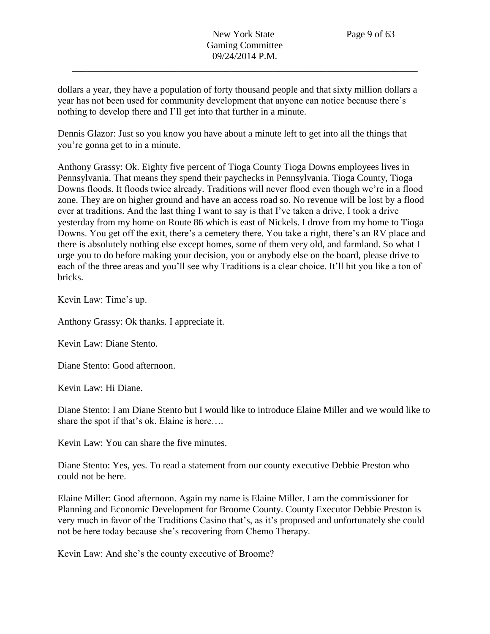dollars a year, they have a population of forty thousand people and that sixty million dollars a year has not been used for community development that anyone can notice because there's nothing to develop there and I'll get into that further in a minute.

Dennis Glazor: Just so you know you have about a minute left to get into all the things that you're gonna get to in a minute.

Anthony Grassy: Ok. Eighty five percent of Tioga County Tioga Downs employees lives in Pennsylvania. That means they spend their paychecks in Pennsylvania. Tioga County, Tioga Downs floods. It floods twice already. Traditions will never flood even though we're in a flood zone. They are on higher ground and have an access road so. No revenue will be lost by a flood ever at traditions. And the last thing I want to say is that I've taken a drive, I took a drive yesterday from my home on Route 86 which is east of Nickels. I drove from my home to Tioga Downs. You get off the exit, there's a cemetery there. You take a right, there's an RV place and there is absolutely nothing else except homes, some of them very old, and farmland. So what I urge you to do before making your decision, you or anybody else on the board, please drive to each of the three areas and you'll see why Traditions is a clear choice. It'll hit you like a ton of bricks.

Kevin Law: Time's up.

Anthony Grassy: Ok thanks. I appreciate it.

Kevin Law: Diane Stento.

Diane Stento: Good afternoon.

Kevin Law: Hi Diane.

Diane Stento: I am Diane Stento but I would like to introduce Elaine Miller and we would like to share the spot if that's ok. Elaine is here….

Kevin Law: You can share the five minutes.

Diane Stento: Yes, yes. To read a statement from our county executive Debbie Preston who could not be here.

Elaine Miller: Good afternoon. Again my name is Elaine Miller. I am the commissioner for Planning and Economic Development for Broome County. County Executor Debbie Preston is very much in favor of the Traditions Casino that's, as it's proposed and unfortunately she could not be here today because she's recovering from Chemo Therapy.

Kevin Law: And she's the county executive of Broome?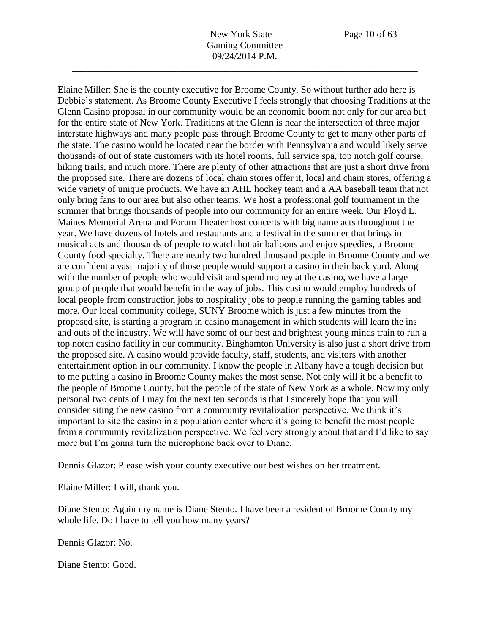Elaine Miller: She is the county executive for Broome County. So without further ado here is Debbie's statement. As Broome County Executive I feels strongly that choosing Traditions at the Glenn Casino proposal in our community would be an economic boom not only for our area but for the entire state of New York. Traditions at the Glenn is near the intersection of three major interstate highways and many people pass through Broome County to get to many other parts of the state. The casino would be located near the border with Pennsylvania and would likely serve thousands of out of state customers with its hotel rooms, full service spa, top notch golf course, hiking trails, and much more. There are plenty of other attractions that are just a short drive from the proposed site. There are dozens of local chain stores offer it, local and chain stores, offering a wide variety of unique products. We have an AHL hockey team and a AA baseball team that not only bring fans to our area but also other teams. We host a professional golf tournament in the summer that brings thousands of people into our community for an entire week. Our Floyd L. Maines Memorial Arena and Forum Theater host concerts with big name acts throughout the year. We have dozens of hotels and restaurants and a festival in the summer that brings in musical acts and thousands of people to watch hot air balloons and enjoy speedies, a Broome County food specialty. There are nearly two hundred thousand people in Broome County and we are confident a vast majority of those people would support a casino in their back yard. Along with the number of people who would visit and spend money at the casino, we have a large group of people that would benefit in the way of jobs. This casino would employ hundreds of local people from construction jobs to hospitality jobs to people running the gaming tables and more. Our local community college, SUNY Broome which is just a few minutes from the proposed site, is starting a program in casino management in which students will learn the ins and outs of the industry. We will have some of our best and brightest young minds train to run a top notch casino facility in our community. Binghamton University is also just a short drive from the proposed site. A casino would provide faculty, staff, students, and visitors with another entertainment option in our community. I know the people in Albany have a tough decision but to me putting a casino in Broome County makes the most sense. Not only will it be a benefit to the people of Broome County, but the people of the state of New York as a whole. Now my only personal two cents of I may for the next ten seconds is that I sincerely hope that you will consider siting the new casino from a community revitalization perspective. We think it's important to site the casino in a population center where it's going to benefit the most people from a community revitalization perspective. We feel very strongly about that and I'd like to say more but I'm gonna turn the microphone back over to Diane.

Dennis Glazor: Please wish your county executive our best wishes on her treatment.

Elaine Miller: I will, thank you.

Diane Stento: Again my name is Diane Stento. I have been a resident of Broome County my whole life. Do I have to tell you how many years?

Dennis Glazor: No.

Diane Stento: Good.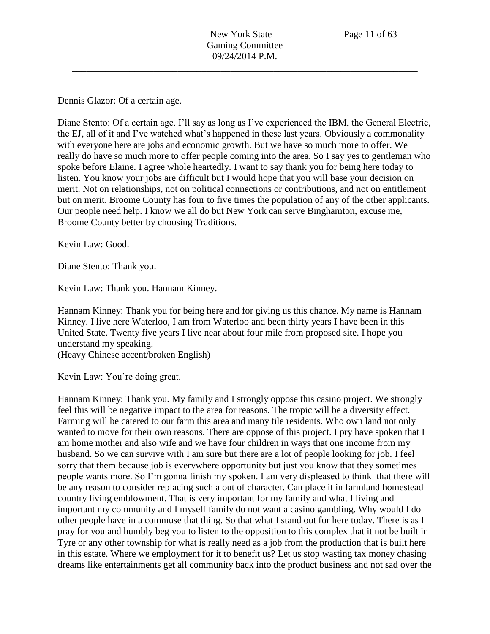Dennis Glazor: Of a certain age.

Diane Stento: Of a certain age. I'll say as long as I've experienced the IBM, the General Electric, the EJ, all of it and I've watched what's happened in these last years. Obviously a commonality with everyone here are jobs and economic growth. But we have so much more to offer. We really do have so much more to offer people coming into the area. So I say yes to gentleman who spoke before Elaine. I agree whole heartedly. I want to say thank you for being here today to listen. You know your jobs are difficult but I would hope that you will base your decision on merit. Not on relationships, not on political connections or contributions, and not on entitlement but on merit. Broome County has four to five times the population of any of the other applicants. Our people need help. I know we all do but New York can serve Binghamton, excuse me, Broome County better by choosing Traditions.

Kevin Law: Good.

Diane Stento: Thank you.

Kevin Law: Thank you. Hannam Kinney.

Hannam Kinney: Thank you for being here and for giving us this chance. My name is Hannam Kinney. I live here Waterloo, I am from Waterloo and been thirty years I have been in this United State. Twenty five years I live near about four mile from proposed site. I hope you understand my speaking.

(Heavy Chinese accent/broken English)

Kevin Law: You're doing great.

Hannam Kinney: Thank you. My family and I strongly oppose this casino project. We strongly feel this will be negative impact to the area for reasons. The tropic will be a diversity effect. Farming will be catered to our farm this area and many tile residents. Who own land not only wanted to move for their own reasons. There are oppose of this project. I pry have spoken that I am home mother and also wife and we have four children in ways that one income from my husband. So we can survive with I am sure but there are a lot of people looking for job. I feel sorry that them because job is everywhere opportunity but just you know that they sometimes people wants more. So I'm gonna finish my spoken. I am very displeased to think that there will be any reason to consider replacing such a out of character. Can place it in farmland homestead country living emblowment. That is very important for my family and what I living and important my community and I myself family do not want a casino gambling. Why would I do other people have in a commuse that thing. So that what I stand out for here today. There is as I pray for you and humbly beg you to listen to the opposition to this complex that it not be built in Tyre or any other township for what is really need as a job from the production that is built here in this estate. Where we employment for it to benefit us? Let us stop wasting tax money chasing dreams like entertainments get all community back into the product business and not sad over the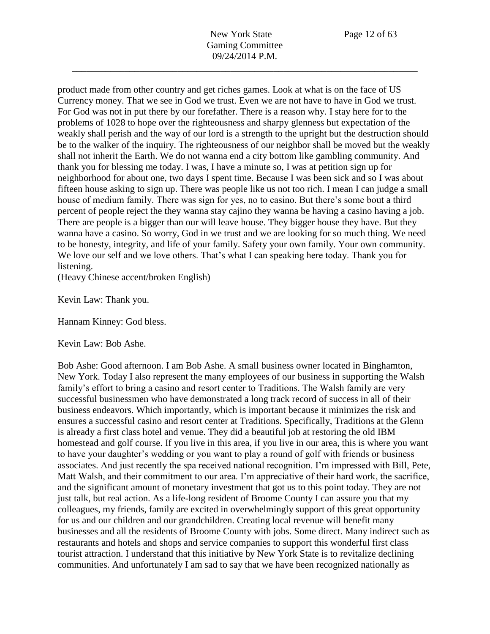product made from other country and get riches games. Look at what is on the face of US Currency money. That we see in God we trust. Even we are not have to have in God we trust. For God was not in put there by our forefather. There is a reason why. I stay here for to the problems of 1028 to hope over the righteousness and sharpy glenness but expectation of the weakly shall perish and the way of our lord is a strength to the upright but the destruction should be to the walker of the inquiry. The righteousness of our neighbor shall be moved but the weakly shall not inherit the Earth. We do not wanna end a city bottom like gambling community. And thank you for blessing me today. I was, I have a minute so, I was at petition sign up for neighborhood for about one, two days I spent time. Because I was been sick and so I was about fifteen house asking to sign up. There was people like us not too rich. I mean I can judge a small house of medium family. There was sign for yes, no to casino. But there's some bout a third percent of people reject the they wanna stay cajino they wanna be having a casino having a job. There are people is a bigger than our will leave house. They bigger house they have. But they wanna have a casino. So worry, God in we trust and we are looking for so much thing. We need to be honesty, integrity, and life of your family. Safety your own family. Your own community. We love our self and we love others. That's what I can speaking here today. Thank you for listening.

(Heavy Chinese accent/broken English)

Kevin Law: Thank you.

Hannam Kinney: God bless.

Kevin Law: Bob Ashe.

Bob Ashe: Good afternoon. I am Bob Ashe. A small business owner located in Binghamton, New York. Today I also represent the many employees of our business in supporting the Walsh family's effort to bring a casino and resort center to Traditions. The Walsh family are very successful businessmen who have demonstrated a long track record of success in all of their business endeavors. Which importantly, which is important because it minimizes the risk and ensures a successful casino and resort center at Traditions. Specifically, Traditions at the Glenn is already a first class hotel and venue. They did a beautiful job at restoring the old IBM homestead and golf course. If you live in this area, if you live in our area, this is where you want to have your daughter's wedding or you want to play a round of golf with friends or business associates. And just recently the spa received national recognition. I'm impressed with Bill, Pete, Matt Walsh, and their commitment to our area. I'm appreciative of their hard work, the sacrifice, and the significant amount of monetary investment that got us to this point today. They are not just talk, but real action. As a life-long resident of Broome County I can assure you that my colleagues, my friends, family are excited in overwhelmingly support of this great opportunity for us and our children and our grandchildren. Creating local revenue will benefit many businesses and all the residents of Broome County with jobs. Some direct. Many indirect such as restaurants and hotels and shops and service companies to support this wonderful first class tourist attraction. I understand that this initiative by New York State is to revitalize declining communities. And unfortunately I am sad to say that we have been recognized nationally as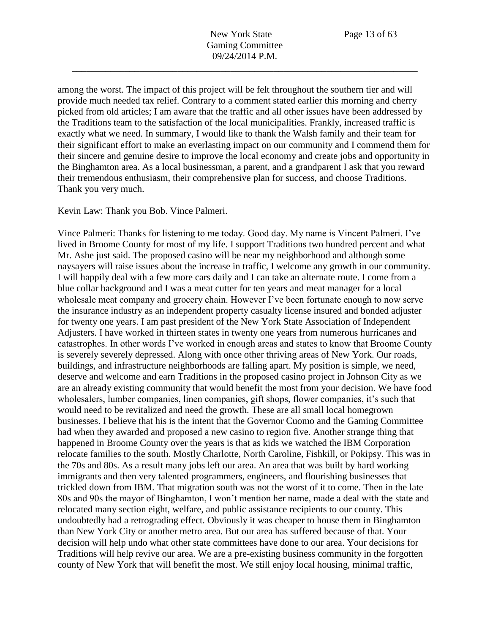among the worst. The impact of this project will be felt throughout the southern tier and will provide much needed tax relief. Contrary to a comment stated earlier this morning and cherry picked from old articles; I am aware that the traffic and all other issues have been addressed by the Traditions team to the satisfaction of the local municipalities. Frankly, increased traffic is exactly what we need. In summary, I would like to thank the Walsh family and their team for their significant effort to make an everlasting impact on our community and I commend them for their sincere and genuine desire to improve the local economy and create jobs and opportunity in the Binghamton area. As a local businessman, a parent, and a grandparent I ask that you reward their tremendous enthusiasm, their comprehensive plan for success, and choose Traditions. Thank you very much.

Kevin Law: Thank you Bob. Vince Palmeri.

Vince Palmeri: Thanks for listening to me today. Good day. My name is Vincent Palmeri. I've lived in Broome County for most of my life. I support Traditions two hundred percent and what Mr. Ashe just said. The proposed casino will be near my neighborhood and although some naysayers will raise issues about the increase in traffic, I welcome any growth in our community. I will happily deal with a few more cars daily and I can take an alternate route. I come from a blue collar background and I was a meat cutter for ten years and meat manager for a local wholesale meat company and grocery chain. However I've been fortunate enough to now serve the insurance industry as an independent property casualty license insured and bonded adjuster for twenty one years. I am past president of the New York State Association of Independent Adjusters. I have worked in thirteen states in twenty one years from numerous hurricanes and catastrophes. In other words I've worked in enough areas and states to know that Broome County is severely severely depressed. Along with once other thriving areas of New York. Our roads, buildings, and infrastructure neighborhoods are falling apart. My position is simple, we need, deserve and welcome and earn Traditions in the proposed casino project in Johnson City as we are an already existing community that would benefit the most from your decision. We have food wholesalers, lumber companies, linen companies, gift shops, flower companies, it's such that would need to be revitalized and need the growth. These are all small local homegrown businesses. I believe that his is the intent that the Governor Cuomo and the Gaming Committee had when they awarded and proposed a new casino to region five. Another strange thing that happened in Broome County over the years is that as kids we watched the IBM Corporation relocate families to the south. Mostly Charlotte, North Caroline, Fishkill, or Pokipsy. This was in the 70s and 80s. As a result many jobs left our area. An area that was built by hard working immigrants and then very talented programmers, engineers, and flourishing businesses that trickled down from IBM. That migration south was not the worst of it to come. Then in the late 80s and 90s the mayor of Binghamton, I won't mention her name, made a deal with the state and relocated many section eight, welfare, and public assistance recipients to our county. This undoubtedly had a retrograding effect. Obviously it was cheaper to house them in Binghamton than New York City or another metro area. But our area has suffered because of that. Your decision will help undo what other state committees have done to our area. Your decisions for Traditions will help revive our area. We are a pre-existing business community in the forgotten county of New York that will benefit the most. We still enjoy local housing, minimal traffic,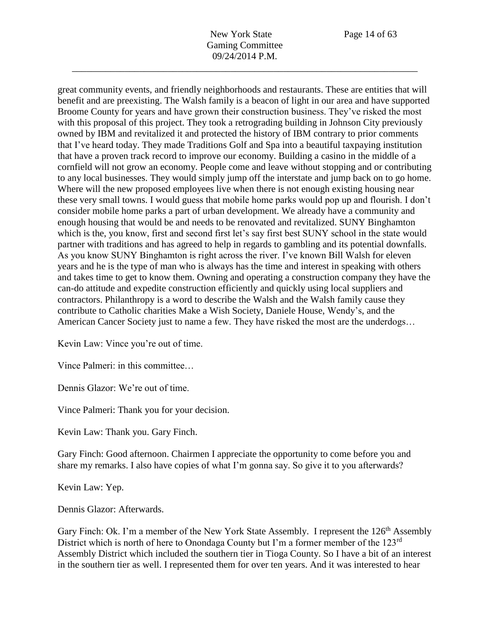great community events, and friendly neighborhoods and restaurants. These are entities that will benefit and are preexisting. The Walsh family is a beacon of light in our area and have supported Broome County for years and have grown their construction business. They've risked the most with this proposal of this project. They took a retrograding building in Johnson City previously owned by IBM and revitalized it and protected the history of IBM contrary to prior comments that I've heard today. They made Traditions Golf and Spa into a beautiful taxpaying institution that have a proven track record to improve our economy. Building a casino in the middle of a cornfield will not grow an economy. People come and leave without stopping and or contributing to any local businesses. They would simply jump off the interstate and jump back on to go home. Where will the new proposed employees live when there is not enough existing housing near these very small towns. I would guess that mobile home parks would pop up and flourish. I don't consider mobile home parks a part of urban development. We already have a community and enough housing that would be and needs to be renovated and revitalized. SUNY Binghamton which is the, you know, first and second first let's say first best SUNY school in the state would partner with traditions and has agreed to help in regards to gambling and its potential downfalls. As you know SUNY Binghamton is right across the river. I've known Bill Walsh for eleven years and he is the type of man who is always has the time and interest in speaking with others and takes time to get to know them. Owning and operating a construction company they have the can-do attitude and expedite construction efficiently and quickly using local suppliers and contractors. Philanthropy is a word to describe the Walsh and the Walsh family cause they contribute to Catholic charities Make a Wish Society, Daniele House, Wendy's, and the American Cancer Society just to name a few. They have risked the most are the underdogs…

\_\_\_\_\_\_\_\_\_\_\_\_\_\_\_\_\_\_\_\_\_\_\_\_\_\_\_\_\_\_\_\_\_\_\_\_\_\_\_\_\_\_\_\_\_\_\_\_\_\_\_\_\_\_\_\_\_\_\_\_\_\_\_\_\_\_\_\_\_\_\_\_

Kevin Law: Vince you're out of time.

Vince Palmeri: in this committee…

Dennis Glazor: We're out of time.

Vince Palmeri: Thank you for your decision.

Kevin Law: Thank you. Gary Finch.

Gary Finch: Good afternoon. Chairmen I appreciate the opportunity to come before you and share my remarks. I also have copies of what I'm gonna say. So give it to you afterwards?

Kevin Law: Yep.

Dennis Glazor: Afterwards.

Gary Finch: Ok. I'm a member of the New York State Assembly. I represent the 126<sup>th</sup> Assembly District which is north of here to Onondaga County but I'm a former member of the 123<sup>rd</sup> Assembly District which included the southern tier in Tioga County. So I have a bit of an interest in the southern tier as well. I represented them for over ten years. And it was interested to hear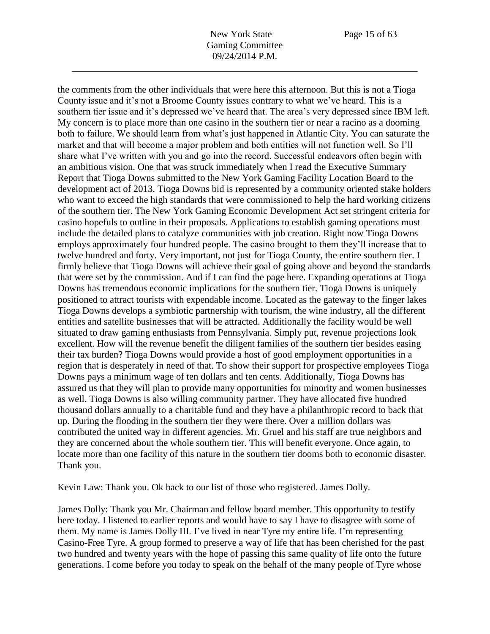the comments from the other individuals that were here this afternoon. But this is not a Tioga County issue and it's not a Broome County issues contrary to what we've heard. This is a southern tier issue and it's depressed we've heard that. The area's very depressed since IBM left. My concern is to place more than one casino in the southern tier or near a racino as a dooming both to failure. We should learn from what's just happened in Atlantic City. You can saturate the market and that will become a major problem and both entities will not function well. So I'll share what I've written with you and go into the record. Successful endeavors often begin with an ambitious vision. One that was struck immediately when I read the Executive Summary Report that Tioga Downs submitted to the New York Gaming Facility Location Board to the development act of 2013. Tioga Downs bid is represented by a community oriented stake holders who want to exceed the high standards that were commissioned to help the hard working citizens of the southern tier. The New York Gaming Economic Development Act set stringent criteria for casino hopefuls to outline in their proposals. Applications to establish gaming operations must include the detailed plans to catalyze communities with job creation. Right now Tioga Downs employs approximately four hundred people. The casino brought to them they'll increase that to twelve hundred and forty. Very important, not just for Tioga County, the entire southern tier. I firmly believe that Tioga Downs will achieve their goal of going above and beyond the standards that were set by the commission. And if I can find the page here. Expanding operations at Tioga Downs has tremendous economic implications for the southern tier. Tioga Downs is uniquely positioned to attract tourists with expendable income. Located as the gateway to the finger lakes Tioga Downs develops a symbiotic partnership with tourism, the wine industry, all the different entities and satellite businesses that will be attracted. Additionally the facility would be well situated to draw gaming enthusiasts from Pennsylvania. Simply put, revenue projections look excellent. How will the revenue benefit the diligent families of the southern tier besides easing their tax burden? Tioga Downs would provide a host of good employment opportunities in a region that is desperately in need of that. To show their support for prospective employees Tioga Downs pays a minimum wage of ten dollars and ten cents. Additionally, Tioga Downs has assured us that they will plan to provide many opportunities for minority and women businesses as well. Tioga Downs is also willing community partner. They have allocated five hundred thousand dollars annually to a charitable fund and they have a philanthropic record to back that up. During the flooding in the southern tier they were there. Over a million dollars was contributed the united way in different agencies. Mr. Gruel and his staff are true neighbors and they are concerned about the whole southern tier. This will benefit everyone. Once again, to locate more than one facility of this nature in the southern tier dooms both to economic disaster. Thank you.

Kevin Law: Thank you. Ok back to our list of those who registered. James Dolly.

James Dolly: Thank you Mr. Chairman and fellow board member. This opportunity to testify here today. I listened to earlier reports and would have to say I have to disagree with some of them. My name is James Dolly III. I've lived in near Tyre my entire life. I'm representing Casino-Free Tyre. A group formed to preserve a way of life that has been cherished for the past two hundred and twenty years with the hope of passing this same quality of life onto the future generations. I come before you today to speak on the behalf of the many people of Tyre whose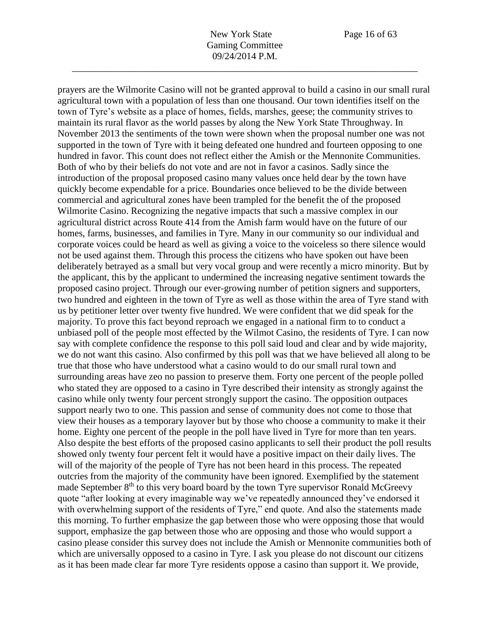prayers are the Wilmorite Casino will not be granted approval to build a casino in our small rural

agricultural town with a population of less than one thousand. Our town identifies itself on the town of Tyre's website as a place of homes, fields, marshes, geese; the community strives to maintain its rural flavor as the world passes by along the New York State Throughway. In November 2013 the sentiments of the town were shown when the proposal number one was not supported in the town of Tyre with it being defeated one hundred and fourteen opposing to one hundred in favor. This count does not reflect either the Amish or the Mennonite Communities. Both of who by their beliefs do not vote and are not in favor a casinos. Sadly since the introduction of the proposal proposed casino many values once held dear by the town have quickly become expendable for a price. Boundaries once believed to be the divide between commercial and agricultural zones have been trampled for the benefit the of the proposed Wilmorite Casino. Recognizing the negative impacts that such a massive complex in our agricultural district across Route 414 from the Amish farm would have on the future of our homes, farms, businesses, and families in Tyre. Many in our community so our individual and corporate voices could be heard as well as giving a voice to the voiceless so there silence would not be used against them. Through this process the citizens who have spoken out have been deliberately betrayed as a small but very vocal group and were recently a micro minority. But by the applicant, this by the applicant to undermined the increasing negative sentiment towards the proposed casino project. Through our ever-growing number of petition signers and supporters, two hundred and eighteen in the town of Tyre as well as those within the area of Tyre stand with us by petitioner letter over twenty five hundred. We were confident that we did speak for the majority. To prove this fact beyond reproach we engaged in a national firm to to conduct a unbiased poll of the people most effected by the Wilmot Casino, the residents of Tyre. I can now say with complete confidence the response to this poll said loud and clear and by wide majority, we do not want this casino. Also confirmed by this poll was that we have believed all along to be true that those who have understood what a casino would to do our small rural town and surrounding areas have zeo no passion to preserve them. Forty one percent of the people polled who stated they are opposed to a casino in Tyre described their intensity as strongly against the casino while only twenty four percent strongly support the casino. The opposition outpaces support nearly two to one. This passion and sense of community does not come to those that view their houses as a temporary layover but by those who choose a community to make it their home. Eighty one percent of the people in the poll have lived in Tyre for more than ten years. Also despite the best efforts of the proposed casino applicants to sell their product the poll results showed only twenty four percent felt it would have a positive impact on their daily lives. The will of the majority of the people of Tyre has not been heard in this process. The repeated outcries from the majority of the community have been ignored. Exemplified by the statement made September  $8<sup>th</sup>$  to this very board board by the town Tyre supervisor Ronald McGreevy quote "after looking at every imaginable way we've repeatedly announced they've endorsed it with overwhelming support of the residents of Tyre," end quote. And also the statements made this morning. To further emphasize the gap between those who were opposing those that would support, emphasize the gap between those who are opposing and those who would support a casino please consider this survey does not include the Amish or Mennonite communities both of which are universally opposed to a casino in Tyre. I ask you please do not discount our citizens as it has been made clear far more Tyre residents oppose a casino than support it. We provide,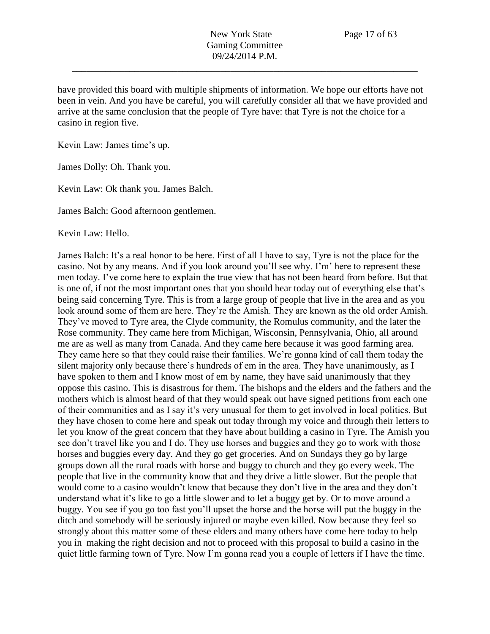have provided this board with multiple shipments of information. We hope our efforts have not been in vein. And you have be careful, you will carefully consider all that we have provided and arrive at the same conclusion that the people of Tyre have: that Tyre is not the choice for a casino in region five.

Kevin Law: James time's up.

James Dolly: Oh. Thank you.

Kevin Law: Ok thank you. James Balch.

James Balch: Good afternoon gentlemen.

Kevin Law: Hello.

James Balch: It's a real honor to be here. First of all I have to say, Tyre is not the place for the casino. Not by any means. And if you look around you'll see why. I'm' here to represent these men today. I've come here to explain the true view that has not been heard from before. But that is one of, if not the most important ones that you should hear today out of everything else that's being said concerning Tyre. This is from a large group of people that live in the area and as you look around some of them are here. They're the Amish. They are known as the old order Amish. They've moved to Tyre area, the Clyde community, the Romulus community, and the later the Rose community. They came here from Michigan, Wisconsin, Pennsylvania, Ohio, all around me are as well as many from Canada. And they came here because it was good farming area. They came here so that they could raise their families. We're gonna kind of call them today the silent majority only because there's hundreds of em in the area. They have unanimously, as I have spoken to them and I know most of em by name, they have said unanimously that they oppose this casino. This is disastrous for them. The bishops and the elders and the fathers and the mothers which is almost heard of that they would speak out have signed petitions from each one of their communities and as I say it's very unusual for them to get involved in local politics. But they have chosen to come here and speak out today through my voice and through their letters to let you know of the great concern that they have about building a casino in Tyre. The Amish you see don't travel like you and I do. They use horses and buggies and they go to work with those horses and buggies every day. And they go get groceries. And on Sundays they go by large groups down all the rural roads with horse and buggy to church and they go every week. The people that live in the community know that and they drive a little slower. But the people that would come to a casino wouldn't know that because they don't live in the area and they don't understand what it's like to go a little slower and to let a buggy get by. Or to move around a buggy. You see if you go too fast you'll upset the horse and the horse will put the buggy in the ditch and somebody will be seriously injured or maybe even killed. Now because they feel so strongly about this matter some of these elders and many others have come here today to help you in making the right decision and not to proceed with this proposal to build a casino in the quiet little farming town of Tyre. Now I'm gonna read you a couple of letters if I have the time.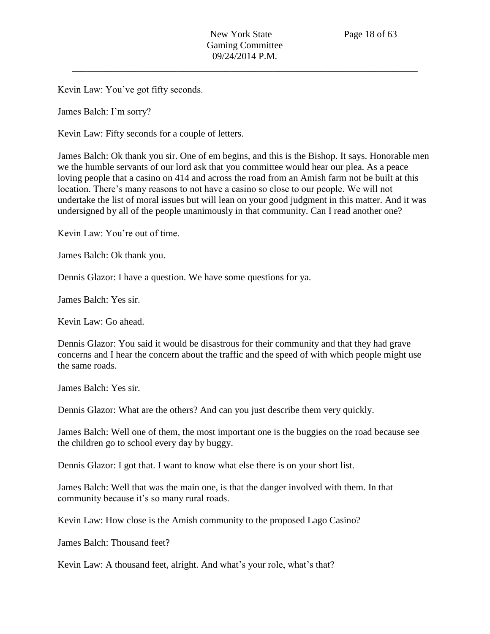Kevin Law: You've got fifty seconds.

James Balch: I'm sorry?

Kevin Law: Fifty seconds for a couple of letters.

James Balch: Ok thank you sir. One of em begins, and this is the Bishop. It says. Honorable men we the humble servants of our lord ask that you committee would hear our plea. As a peace loving people that a casino on 414 and across the road from an Amish farm not be built at this location. There's many reasons to not have a casino so close to our people. We will not undertake the list of moral issues but will lean on your good judgment in this matter. And it was undersigned by all of the people unanimously in that community. Can I read another one?

Kevin Law: You're out of time.

James Balch: Ok thank you.

Dennis Glazor: I have a question. We have some questions for ya.

James Balch: Yes sir.

Kevin Law: Go ahead.

Dennis Glazor: You said it would be disastrous for their community and that they had grave concerns and I hear the concern about the traffic and the speed of with which people might use the same roads.

James Balch: Yes sir.

Dennis Glazor: What are the others? And can you just describe them very quickly.

James Balch: Well one of them, the most important one is the buggies on the road because see the children go to school every day by buggy.

Dennis Glazor: I got that. I want to know what else there is on your short list.

James Balch: Well that was the main one, is that the danger involved with them. In that community because it's so many rural roads.

Kevin Law: How close is the Amish community to the proposed Lago Casino?

James Balch: Thousand feet?

Kevin Law: A thousand feet, alright. And what's your role, what's that?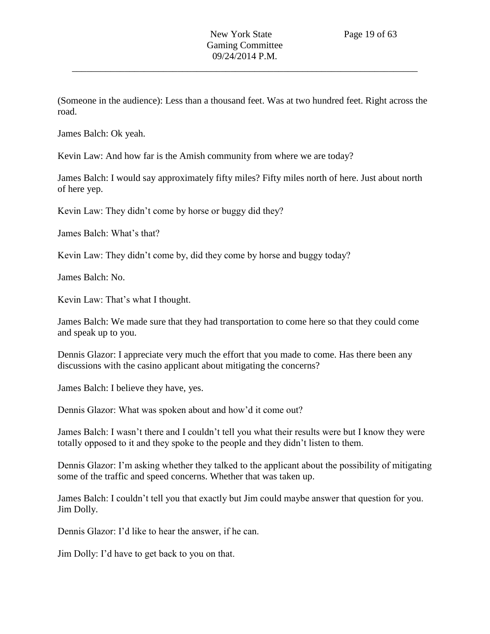(Someone in the audience): Less than a thousand feet. Was at two hundred feet. Right across the road.

James Balch: Ok yeah.

Kevin Law: And how far is the Amish community from where we are today?

James Balch: I would say approximately fifty miles? Fifty miles north of here. Just about north of here yep.

Kevin Law: They didn't come by horse or buggy did they?

James Balch: What's that?

Kevin Law: They didn't come by, did they come by horse and buggy today?

James Balch: No.

Kevin Law: That's what I thought.

James Balch: We made sure that they had transportation to come here so that they could come and speak up to you.

Dennis Glazor: I appreciate very much the effort that you made to come. Has there been any discussions with the casino applicant about mitigating the concerns?

James Balch: I believe they have, yes.

Dennis Glazor: What was spoken about and how'd it come out?

James Balch: I wasn't there and I couldn't tell you what their results were but I know they were totally opposed to it and they spoke to the people and they didn't listen to them.

Dennis Glazor: I'm asking whether they talked to the applicant about the possibility of mitigating some of the traffic and speed concerns. Whether that was taken up.

James Balch: I couldn't tell you that exactly but Jim could maybe answer that question for you. Jim Dolly.

Dennis Glazor: I'd like to hear the answer, if he can.

Jim Dolly: I'd have to get back to you on that.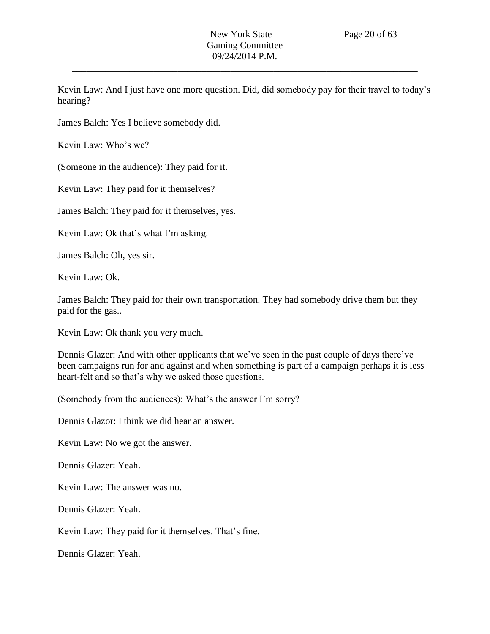Kevin Law: And I just have one more question. Did, did somebody pay for their travel to today's hearing?

James Balch: Yes I believe somebody did.

Kevin Law: Who's we?

(Someone in the audience): They paid for it.

Kevin Law: They paid for it themselves?

James Balch: They paid for it themselves, yes.

Kevin Law: Ok that's what I'm asking.

James Balch: Oh, yes sir.

Kevin Law: Ok.

James Balch: They paid for their own transportation. They had somebody drive them but they paid for the gas..

Kevin Law: Ok thank you very much.

Dennis Glazer: And with other applicants that we've seen in the past couple of days there've been campaigns run for and against and when something is part of a campaign perhaps it is less heart-felt and so that's why we asked those questions.

(Somebody from the audiences): What's the answer I'm sorry?

Dennis Glazor: I think we did hear an answer.

Kevin Law: No we got the answer.

Dennis Glazer: Yeah.

Kevin Law: The answer was no.

Dennis Glazer: Yeah.

Kevin Law: They paid for it themselves. That's fine.

Dennis Glazer: Yeah.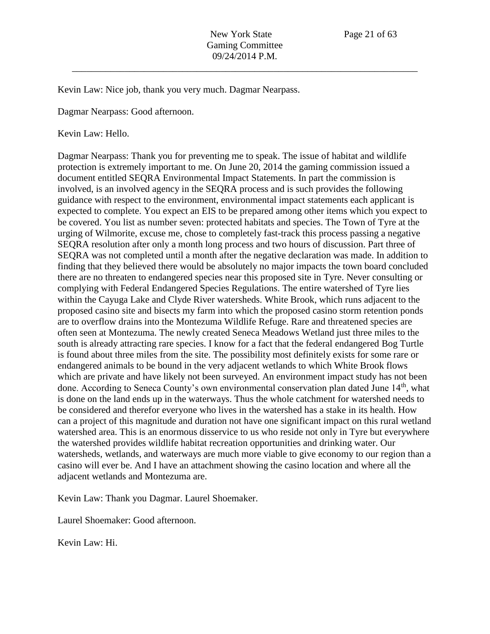Kevin Law: Nice job, thank you very much. Dagmar Nearpass.

Dagmar Nearpass: Good afternoon.

Kevin Law: Hello.

Dagmar Nearpass: Thank you for preventing me to speak. The issue of habitat and wildlife protection is extremely important to me. On June 20, 2014 the gaming commission issued a document entitled SEQRA Environmental Impact Statements. In part the commission is involved, is an involved agency in the SEQRA process and is such provides the following guidance with respect to the environment, environmental impact statements each applicant is expected to complete. You expect an EIS to be prepared among other items which you expect to be covered. You list as number seven: protected habitats and species. The Town of Tyre at the urging of Wilmorite, excuse me, chose to completely fast-track this process passing a negative SEQRA resolution after only a month long process and two hours of discussion. Part three of SEQRA was not completed until a month after the negative declaration was made. In addition to finding that they believed there would be absolutely no major impacts the town board concluded there are no threaten to endangered species near this proposed site in Tyre. Never consulting or complying with Federal Endangered Species Regulations. The entire watershed of Tyre lies within the Cayuga Lake and Clyde River watersheds. White Brook, which runs adjacent to the proposed casino site and bisects my farm into which the proposed casino storm retention ponds are to overflow drains into the Montezuma Wildlife Refuge. Rare and threatened species are often seen at Montezuma. The newly created Seneca Meadows Wetland just three miles to the south is already attracting rare species. I know for a fact that the federal endangered Bog Turtle is found about three miles from the site. The possibility most definitely exists for some rare or endangered animals to be bound in the very adjacent wetlands to which White Brook flows which are private and have likely not been surveyed. An environment impact study has not been done. According to Seneca County's own environmental conservation plan dated June 14<sup>th</sup>, what is done on the land ends up in the waterways. Thus the whole catchment for watershed needs to be considered and therefor everyone who lives in the watershed has a stake in its health. How can a project of this magnitude and duration not have one significant impact on this rural wetland watershed area. This is an enormous disservice to us who reside not only in Tyre but everywhere the watershed provides wildlife habitat recreation opportunities and drinking water. Our watersheds, wetlands, and waterways are much more viable to give economy to our region than a casino will ever be. And I have an attachment showing the casino location and where all the adjacent wetlands and Montezuma are.

Kevin Law: Thank you Dagmar. Laurel Shoemaker.

Laurel Shoemaker: Good afternoon.

Kevin Law: Hi.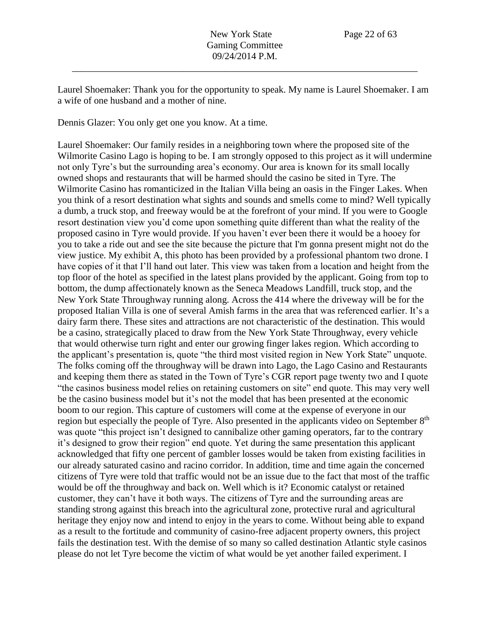Laurel Shoemaker: Thank you for the opportunity to speak. My name is Laurel Shoemaker. I am a wife of one husband and a mother of nine.

Dennis Glazer: You only get one you know. At a time.

Laurel Shoemaker: Our family resides in a neighboring town where the proposed site of the Wilmorite Casino Lago is hoping to be. I am strongly opposed to this project as it will undermine not only Tyre's but the surrounding area's economy. Our area is known for its small locally owned shops and restaurants that will be harmed should the casino be sited in Tyre. The Wilmorite Casino has romanticized in the Italian Villa being an oasis in the Finger Lakes. When you think of a resort destination what sights and sounds and smells come to mind? Well typically a dumb, a truck stop, and freeway would be at the forefront of your mind. If you were to Google resort destination view you'd come upon something quite different than what the reality of the proposed casino in Tyre would provide. If you haven't ever been there it would be a hooey for you to take a ride out and see the site because the picture that I'm gonna present might not do the view justice. My exhibit A, this photo has been provided by a professional phantom two drone. I have copies of it that I'll hand out later. This view was taken from a location and height from the top floor of the hotel as specified in the latest plans provided by the applicant. Going from top to bottom, the dump affectionately known as the Seneca Meadows Landfill, truck stop, and the New York State Throughway running along. Across the 414 where the driveway will be for the proposed Italian Villa is one of several Amish farms in the area that was referenced earlier. It's a dairy farm there. These sites and attractions are not characteristic of the destination. This would be a casino, strategically placed to draw from the New York State Throughway, every vehicle that would otherwise turn right and enter our growing finger lakes region. Which according to the applicant's presentation is, quote "the third most visited region in New York State" unquote. The folks coming off the throughway will be drawn into Lago, the Lago Casino and Restaurants and keeping them there as stated in the Town of Tyre's CGR report page twenty two and I quote "the casinos business model relies on retaining customers on site" end quote. This may very well be the casino business model but it's not the model that has been presented at the economic boom to our region. This capture of customers will come at the expense of everyone in our region but especially the people of Tyre. Also presented in the applicants video on September 8<sup>th</sup> was quote "this project isn't designed to cannibalize other gaming operators, far to the contrary it's designed to grow their region" end quote. Yet during the same presentation this applicant acknowledged that fifty one percent of gambler losses would be taken from existing facilities in our already saturated casino and racino corridor. In addition, time and time again the concerned citizens of Tyre were told that traffic would not be an issue due to the fact that most of the traffic would be off the throughway and back on. Well which is it? Economic catalyst or retained customer, they can't have it both ways. The citizens of Tyre and the surrounding areas are standing strong against this breach into the agricultural zone, protective rural and agricultural heritage they enjoy now and intend to enjoy in the years to come. Without being able to expand as a result to the fortitude and community of casino-free adjacent property owners, this project fails the destination test. With the demise of so many so called destination Atlantic style casinos please do not let Tyre become the victim of what would be yet another failed experiment. I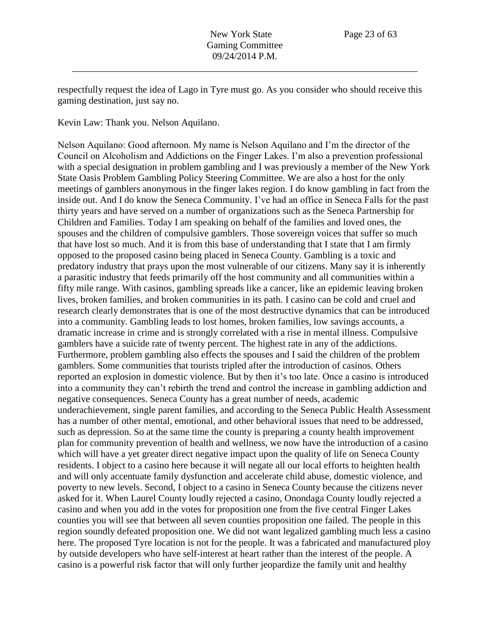respectfully request the idea of Lago in Tyre must go. As you consider who should receive this gaming destination, just say no.

Kevin Law: Thank you. Nelson Aquilano.

Nelson Aquilano: Good afternoon. My name is Nelson Aquilano and I'm the director of the Council on Alcoholism and Addictions on the Finger Lakes. I'm also a prevention professional with a special designation in problem gambling and I was previously a member of the New York State Oasis Problem Gambling Policy Steering Committee. We are also a host for the only meetings of gamblers anonymous in the finger lakes region. I do know gambling in fact from the inside out. And I do know the Seneca Community. I've had an office in Seneca Falls for the past thirty years and have served on a number of organizations such as the Seneca Partnership for Children and Families. Today I am speaking on behalf of the families and loved ones, the spouses and the children of compulsive gamblers. Those sovereign voices that suffer so much that have lost so much. And it is from this base of understanding that I state that I am firmly opposed to the proposed casino being placed in Seneca County. Gambling is a toxic and predatory industry that prays upon the most vulnerable of our citizens. Many say it is inherently a parasitic industry that feeds primarily off the host community and all communities within a fifty mile range. With casinos, gambling spreads like a cancer, like an epidemic leaving broken lives, broken families, and broken communities in its path. I casino can be cold and cruel and research clearly demonstrates that is one of the most destructive dynamics that can be introduced into a community. Gambling leads to lost homes, broken families, low savings accounts, a dramatic increase in crime and is strongly correlated with a rise in mental illness. Compulsive gamblers have a suicide rate of twenty percent. The highest rate in any of the addictions. Furthermore, problem gambling also effects the spouses and I said the children of the problem gamblers. Some communities that tourists tripled after the introduction of casinos. Others reported an explosion in domestic violence. But by then it's too late. Once a casino is introduced into a community they can't rebirth the trend and control the increase in gambling addiction and negative consequences. Seneca County has a great number of needs, academic underachievement, single parent families, and according to the Seneca Public Health Assessment has a number of other mental, emotional, and other behavioral issues that need to be addressed, such as depression. So at the same time the county is preparing a county health improvement plan for community prevention of health and wellness, we now have the introduction of a casino which will have a yet greater direct negative impact upon the quality of life on Seneca County residents. I object to a casino here because it will negate all our local efforts to heighten health and will only accentuate family dysfunction and accelerate child abuse, domestic violence, and poverty to new levels. Second, I object to a casino in Seneca County because the citizens never asked for it. When Laurel County loudly rejected a casino, Onondaga County loudly rejected a casino and when you add in the votes for proposition one from the five central Finger Lakes counties you will see that between all seven counties proposition one failed. The people in this region soundly defeated proposition one. We did not want legalized gambling much less a casino here. The proposed Tyre location is not for the people. It was a fabricated and manufactured ploy by outside developers who have self-interest at heart rather than the interest of the people. A casino is a powerful risk factor that will only further jeopardize the family unit and healthy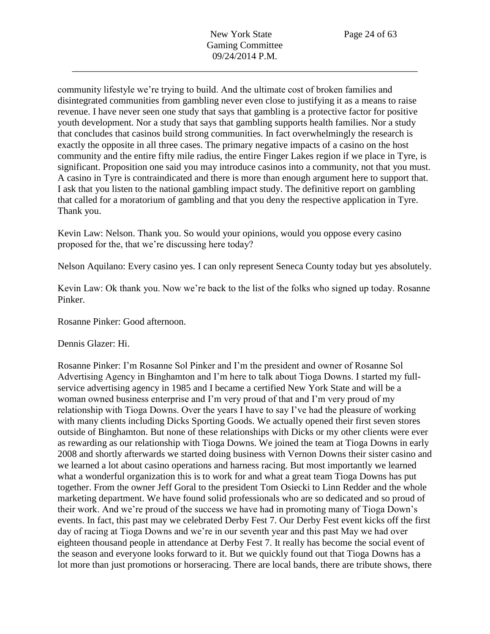community lifestyle we're trying to build. And the ultimate cost of broken families and disintegrated communities from gambling never even close to justifying it as a means to raise revenue. I have never seen one study that says that gambling is a protective factor for positive youth development. Nor a study that says that gambling supports health families. Nor a study that concludes that casinos build strong communities. In fact overwhelmingly the research is exactly the opposite in all three cases. The primary negative impacts of a casino on the host community and the entire fifty mile radius, the entire Finger Lakes region if we place in Tyre, is significant. Proposition one said you may introduce casinos into a community, not that you must. A casino in Tyre is contraindicated and there is more than enough argument here to support that. I ask that you listen to the national gambling impact study. The definitive report on gambling that called for a moratorium of gambling and that you deny the respective application in Tyre. Thank you.

Kevin Law: Nelson. Thank you. So would your opinions, would you oppose every casino proposed for the, that we're discussing here today?

Nelson Aquilano: Every casino yes. I can only represent Seneca County today but yes absolutely.

Kevin Law: Ok thank you. Now we're back to the list of the folks who signed up today. Rosanne Pinker.

Rosanne Pinker: Good afternoon.

Dennis Glazer: Hi.

Rosanne Pinker: I'm Rosanne Sol Pinker and I'm the president and owner of Rosanne Sol Advertising Agency in Binghamton and I'm here to talk about Tioga Downs. I started my fullservice advertising agency in 1985 and I became a certified New York State and will be a woman owned business enterprise and I'm very proud of that and I'm very proud of my relationship with Tioga Downs. Over the years I have to say I've had the pleasure of working with many clients including Dicks Sporting Goods. We actually opened their first seven stores outside of Binghamton. But none of these relationships with Dicks or my other clients were ever as rewarding as our relationship with Tioga Downs. We joined the team at Tioga Downs in early 2008 and shortly afterwards we started doing business with Vernon Downs their sister casino and we learned a lot about casino operations and harness racing. But most importantly we learned what a wonderful organization this is to work for and what a great team Tioga Downs has put together. From the owner Jeff Goral to the president Tom Osiecki to Linn Redder and the whole marketing department. We have found solid professionals who are so dedicated and so proud of their work. And we're proud of the success we have had in promoting many of Tioga Down's events. In fact, this past may we celebrated Derby Fest 7. Our Derby Fest event kicks off the first day of racing at Tioga Downs and we're in our seventh year and this past May we had over eighteen thousand people in attendance at Derby Fest 7. It really has become the social event of the season and everyone looks forward to it. But we quickly found out that Tioga Downs has a lot more than just promotions or horseracing. There are local bands, there are tribute shows, there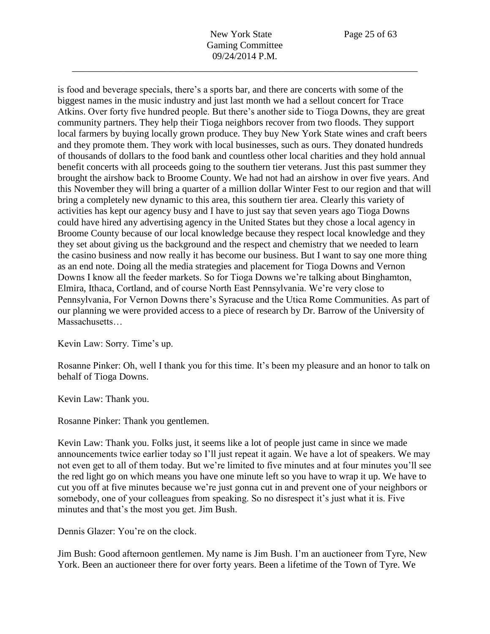is food and beverage specials, there's a sports bar, and there are concerts with some of the biggest names in the music industry and just last month we had a sellout concert for Trace Atkins. Over forty five hundred people. But there's another side to Tioga Downs, they are great community partners. They help their Tioga neighbors recover from two floods. They support local farmers by buying locally grown produce. They buy New York State wines and craft beers and they promote them. They work with local businesses, such as ours. They donated hundreds of thousands of dollars to the food bank and countless other local charities and they hold annual benefit concerts with all proceeds going to the southern tier veterans. Just this past summer they brought the airshow back to Broome County. We had not had an airshow in over five years. And this November they will bring a quarter of a million dollar Winter Fest to our region and that will bring a completely new dynamic to this area, this southern tier area. Clearly this variety of activities has kept our agency busy and I have to just say that seven years ago Tioga Downs could have hired any advertising agency in the United States but they chose a local agency in Broome County because of our local knowledge because they respect local knowledge and they they set about giving us the background and the respect and chemistry that we needed to learn the casino business and now really it has become our business. But I want to say one more thing as an end note. Doing all the media strategies and placement for Tioga Downs and Vernon Downs I know all the feeder markets. So for Tioga Downs we're talking about Binghamton, Elmira, Ithaca, Cortland, and of course North East Pennsylvania. We're very close to Pennsylvania, For Vernon Downs there's Syracuse and the Utica Rome Communities. As part of our planning we were provided access to a piece of research by Dr. Barrow of the University of Massachusetts…

Kevin Law: Sorry. Time's up.

Rosanne Pinker: Oh, well I thank you for this time. It's been my pleasure and an honor to talk on behalf of Tioga Downs.

Kevin Law: Thank you.

Rosanne Pinker: Thank you gentlemen.

Kevin Law: Thank you. Folks just, it seems like a lot of people just came in since we made announcements twice earlier today so I'll just repeat it again. We have a lot of speakers. We may not even get to all of them today. But we're limited to five minutes and at four minutes you'll see the red light go on which means you have one minute left so you have to wrap it up. We have to cut you off at five minutes because we're just gonna cut in and prevent one of your neighbors or somebody, one of your colleagues from speaking. So no disrespect it's just what it is. Five minutes and that's the most you get. Jim Bush.

Dennis Glazer: You're on the clock.

Jim Bush: Good afternoon gentlemen. My name is Jim Bush. I'm an auctioneer from Tyre, New York. Been an auctioneer there for over forty years. Been a lifetime of the Town of Tyre. We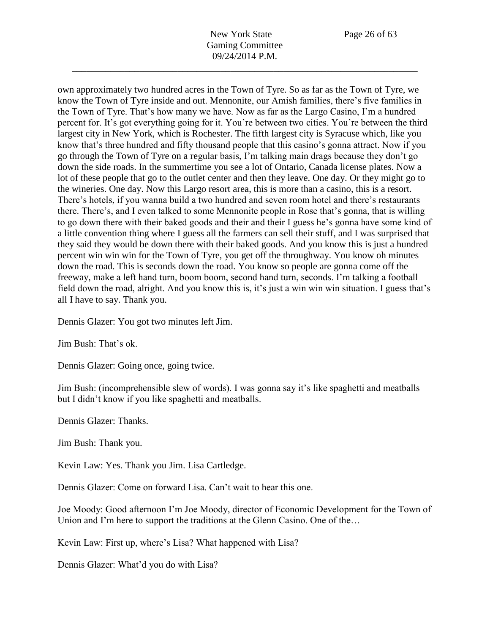own approximately two hundred acres in the Town of Tyre. So as far as the Town of Tyre, we know the Town of Tyre inside and out. Mennonite, our Amish families, there's five families in the Town of Tyre. That's how many we have. Now as far as the Largo Casino, I'm a hundred percent for. It's got everything going for it. You're between two cities. You're between the third largest city in New York, which is Rochester. The fifth largest city is Syracuse which, like you know that's three hundred and fifty thousand people that this casino's gonna attract. Now if you go through the Town of Tyre on a regular basis, I'm talking main drags because they don't go down the side roads. In the summertime you see a lot of Ontario, Canada license plates. Now a lot of these people that go to the outlet center and then they leave. One day. Or they might go to the wineries. One day. Now this Largo resort area, this is more than a casino, this is a resort. There's hotels, if you wanna build a two hundred and seven room hotel and there's restaurants there. There's, and I even talked to some Mennonite people in Rose that's gonna, that is willing to go down there with their baked goods and their and their I guess he's gonna have some kind of a little convention thing where I guess all the farmers can sell their stuff, and I was surprised that they said they would be down there with their baked goods. And you know this is just a hundred percent win win win for the Town of Tyre, you get off the throughway. You know oh minutes down the road. This is seconds down the road. You know so people are gonna come off the freeway, make a left hand turn, boom boom, second hand turn, seconds. I'm talking a football field down the road, alright. And you know this is, it's just a win win win situation. I guess that's all I have to say. Thank you.

Dennis Glazer: You got two minutes left Jim.

Jim Bush: That's ok.

Dennis Glazer: Going once, going twice.

Jim Bush: (incomprehensible slew of words). I was gonna say it's like spaghetti and meatballs but I didn't know if you like spaghetti and meatballs.

Dennis Glazer: Thanks.

Jim Bush: Thank you.

Kevin Law: Yes. Thank you Jim. Lisa Cartledge.

Dennis Glazer: Come on forward Lisa. Can't wait to hear this one.

Joe Moody: Good afternoon I'm Joe Moody, director of Economic Development for the Town of Union and I'm here to support the traditions at the Glenn Casino. One of the...

Kevin Law: First up, where's Lisa? What happened with Lisa?

Dennis Glazer: What'd you do with Lisa?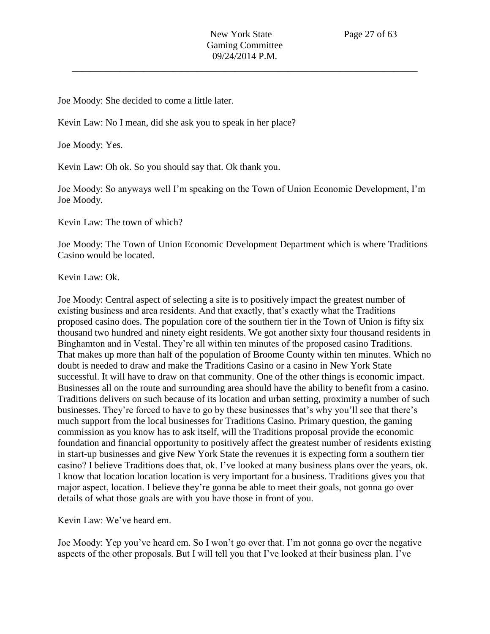Joe Moody: She decided to come a little later.

Kevin Law: No I mean, did she ask you to speak in her place?

Joe Moody: Yes.

Kevin Law: Oh ok. So you should say that. Ok thank you.

Joe Moody: So anyways well I'm speaking on the Town of Union Economic Development, I'm Joe Moody.

Kevin Law: The town of which?

Joe Moody: The Town of Union Economic Development Department which is where Traditions Casino would be located.

Kevin Law: Ok.

Joe Moody: Central aspect of selecting a site is to positively impact the greatest number of existing business and area residents. And that exactly, that's exactly what the Traditions proposed casino does. The population core of the southern tier in the Town of Union is fifty six thousand two hundred and ninety eight residents. We got another sixty four thousand residents in Binghamton and in Vestal. They're all within ten minutes of the proposed casino Traditions. That makes up more than half of the population of Broome County within ten minutes. Which no doubt is needed to draw and make the Traditions Casino or a casino in New York State successful. It will have to draw on that community. One of the other things is economic impact. Businesses all on the route and surrounding area should have the ability to benefit from a casino. Traditions delivers on such because of its location and urban setting, proximity a number of such businesses. They're forced to have to go by these businesses that's why you'll see that there's much support from the local businesses for Traditions Casino. Primary question, the gaming commission as you know has to ask itself, will the Traditions proposal provide the economic foundation and financial opportunity to positively affect the greatest number of residents existing in start-up businesses and give New York State the revenues it is expecting form a southern tier casino? I believe Traditions does that, ok. I've looked at many business plans over the years, ok. I know that location location location is very important for a business. Traditions gives you that major aspect, location. I believe they're gonna be able to meet their goals, not gonna go over details of what those goals are with you have those in front of you.

Kevin Law: We've heard em.

Joe Moody: Yep you've heard em. So I won't go over that. I'm not gonna go over the negative aspects of the other proposals. But I will tell you that I've looked at their business plan. I've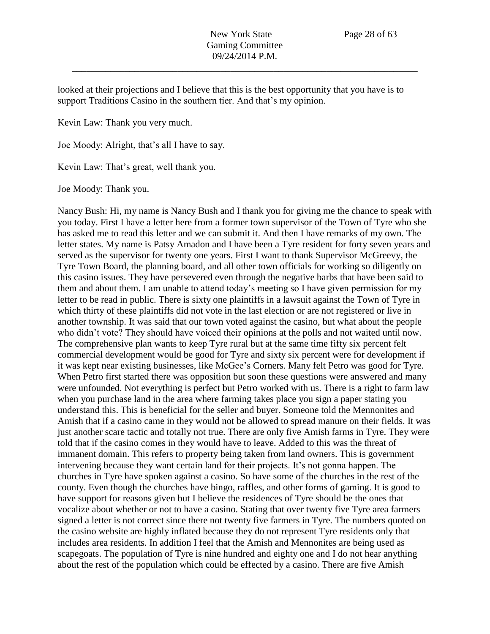looked at their projections and I believe that this is the best opportunity that you have is to support Traditions Casino in the southern tier. And that's my opinion.

Kevin Law: Thank you very much.

Joe Moody: Alright, that's all I have to say.

Kevin Law: That's great, well thank you.

Joe Moody: Thank you.

Nancy Bush: Hi, my name is Nancy Bush and I thank you for giving me the chance to speak with you today. First I have a letter here from a former town supervisor of the Town of Tyre who she has asked me to read this letter and we can submit it. And then I have remarks of my own. The letter states. My name is Patsy Amadon and I have been a Tyre resident for forty seven years and served as the supervisor for twenty one years. First I want to thank Supervisor McGreevy, the Tyre Town Board, the planning board, and all other town officials for working so diligently on this casino issues. They have persevered even through the negative barbs that have been said to them and about them. I am unable to attend today's meeting so I have given permission for my letter to be read in public. There is sixty one plaintiffs in a lawsuit against the Town of Tyre in which thirty of these plaintiffs did not vote in the last election or are not registered or live in another township. It was said that our town voted against the casino, but what about the people who didn't vote? They should have voiced their opinions at the polls and not waited until now. The comprehensive plan wants to keep Tyre rural but at the same time fifty six percent felt commercial development would be good for Tyre and sixty six percent were for development if it was kept near existing businesses, like McGee's Corners. Many felt Petro was good for Tyre. When Petro first started there was opposition but soon these questions were answered and many were unfounded. Not everything is perfect but Petro worked with us. There is a right to farm law when you purchase land in the area where farming takes place you sign a paper stating you understand this. This is beneficial for the seller and buyer. Someone told the Mennonites and Amish that if a casino came in they would not be allowed to spread manure on their fields. It was just another scare tactic and totally not true. There are only five Amish farms in Tyre. They were told that if the casino comes in they would have to leave. Added to this was the threat of immanent domain. This refers to property being taken from land owners. This is government intervening because they want certain land for their projects. It's not gonna happen. The churches in Tyre have spoken against a casino. So have some of the churches in the rest of the county. Even though the churches have bingo, raffles, and other forms of gaming. It is good to have support for reasons given but I believe the residences of Tyre should be the ones that vocalize about whether or not to have a casino. Stating that over twenty five Tyre area farmers signed a letter is not correct since there not twenty five farmers in Tyre. The numbers quoted on the casino website are highly inflated because they do not represent Tyre residents only that includes area residents. In addition I feel that the Amish and Mennonites are being used as scapegoats. The population of Tyre is nine hundred and eighty one and I do not hear anything about the rest of the population which could be effected by a casino. There are five Amish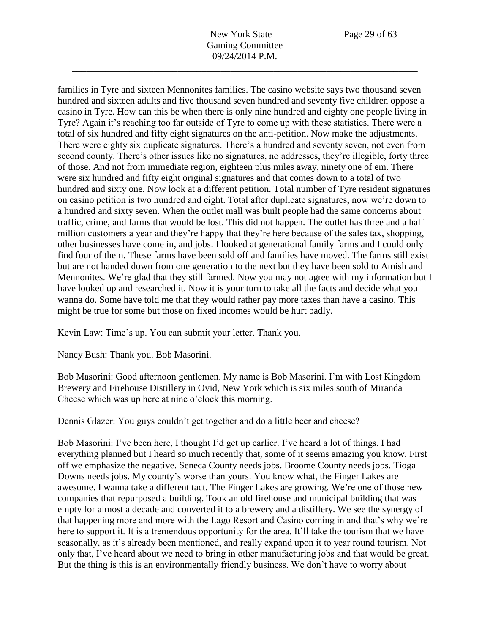families in Tyre and sixteen Mennonites families. The casino website says two thousand seven hundred and sixteen adults and five thousand seven hundred and seventy five children oppose a casino in Tyre. How can this be when there is only nine hundred and eighty one people living in Tyre? Again it's reaching too far outside of Tyre to come up with these statistics. There were a total of six hundred and fifty eight signatures on the anti-petition. Now make the adjustments. There were eighty six duplicate signatures. There's a hundred and seventy seven, not even from second county. There's other issues like no signatures, no addresses, they're illegible, forty three of those. And not from immediate region, eighteen plus miles away, ninety one of em. There were six hundred and fifty eight original signatures and that comes down to a total of two hundred and sixty one. Now look at a different petition. Total number of Tyre resident signatures on casino petition is two hundred and eight. Total after duplicate signatures, now we're down to a hundred and sixty seven. When the outlet mall was built people had the same concerns about traffic, crime, and farms that would be lost. This did not happen. The outlet has three and a half million customers a year and they're happy that they're here because of the sales tax, shopping, other businesses have come in, and jobs. I looked at generational family farms and I could only find four of them. These farms have been sold off and families have moved. The farms still exist but are not handed down from one generation to the next but they have been sold to Amish and Mennonites. We're glad that they still farmed. Now you may not agree with my information but I have looked up and researched it. Now it is your turn to take all the facts and decide what you wanna do. Some have told me that they would rather pay more taxes than have a casino. This might be true for some but those on fixed incomes would be hurt badly.

Kevin Law: Time's up. You can submit your letter. Thank you.

Nancy Bush: Thank you. Bob Masorini.

Bob Masorini: Good afternoon gentlemen. My name is Bob Masorini. I'm with Lost Kingdom Brewery and Firehouse Distillery in Ovid, New York which is six miles south of Miranda Cheese which was up here at nine o'clock this morning.

Dennis Glazer: You guys couldn't get together and do a little beer and cheese?

Bob Masorini: I've been here, I thought I'd get up earlier. I've heard a lot of things. I had everything planned but I heard so much recently that, some of it seems amazing you know. First off we emphasize the negative. Seneca County needs jobs. Broome County needs jobs. Tioga Downs needs jobs. My county's worse than yours. You know what, the Finger Lakes are awesome. I wanna take a different tact. The Finger Lakes are growing. We're one of those new companies that repurposed a building. Took an old firehouse and municipal building that was empty for almost a decade and converted it to a brewery and a distillery. We see the synergy of that happening more and more with the Lago Resort and Casino coming in and that's why we're here to support it. It is a tremendous opportunity for the area. It'll take the tourism that we have seasonally, as it's already been mentioned, and really expand upon it to year round tourism. Not only that, I've heard about we need to bring in other manufacturing jobs and that would be great. But the thing is this is an environmentally friendly business. We don't have to worry about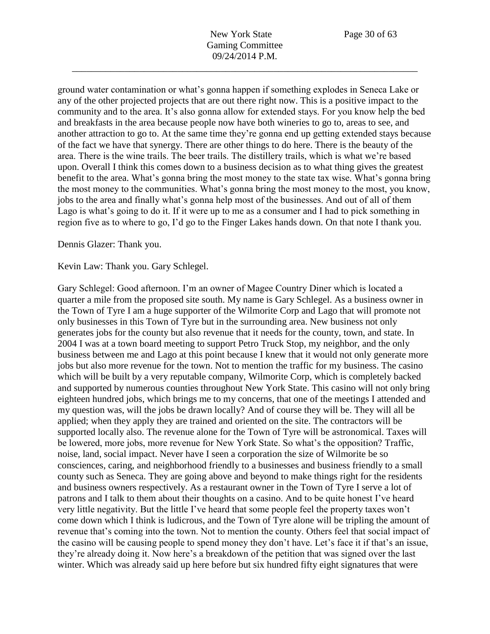ground water contamination or what's gonna happen if something explodes in Seneca Lake or any of the other projected projects that are out there right now. This is a positive impact to the community and to the area. It's also gonna allow for extended stays. For you know help the bed and breakfasts in the area because people now have both wineries to go to, areas to see, and another attraction to go to. At the same time they're gonna end up getting extended stays because of the fact we have that synergy. There are other things to do here. There is the beauty of the area. There is the wine trails. The beer trails. The distillery trails, which is what we're based upon. Overall I think this comes down to a business decision as to what thing gives the greatest benefit to the area. What's gonna bring the most money to the state tax wise. What's gonna bring the most money to the communities. What's gonna bring the most money to the most, you know, jobs to the area and finally what's gonna help most of the businesses. And out of all of them Lago is what's going to do it. If it were up to me as a consumer and I had to pick something in region five as to where to go, I'd go to the Finger Lakes hands down. On that note I thank you.

Dennis Glazer: Thank you.

Kevin Law: Thank you. Gary Schlegel.

Gary Schlegel: Good afternoon. I'm an owner of Magee Country Diner which is located a quarter a mile from the proposed site south. My name is Gary Schlegel. As a business owner in the Town of Tyre I am a huge supporter of the Wilmorite Corp and Lago that will promote not only businesses in this Town of Tyre but in the surrounding area. New business not only generates jobs for the county but also revenue that it needs for the county, town, and state. In 2004 I was at a town board meeting to support Petro Truck Stop, my neighbor, and the only business between me and Lago at this point because I knew that it would not only generate more jobs but also more revenue for the town. Not to mention the traffic for my business. The casino which will be built by a very reputable company, Wilmorite Corp, which is completely backed and supported by numerous counties throughout New York State. This casino will not only bring eighteen hundred jobs, which brings me to my concerns, that one of the meetings I attended and my question was, will the jobs be drawn locally? And of course they will be. They will all be applied; when they apply they are trained and oriented on the site. The contractors will be supported locally also. The revenue alone for the Town of Tyre will be astronomical. Taxes will be lowered, more jobs, more revenue for New York State. So what's the opposition? Traffic, noise, land, social impact. Never have I seen a corporation the size of Wilmorite be so consciences, caring, and neighborhood friendly to a businesses and business friendly to a small county such as Seneca. They are going above and beyond to make things right for the residents and business owners respectively. As a restaurant owner in the Town of Tyre I serve a lot of patrons and I talk to them about their thoughts on a casino. And to be quite honest I've heard very little negativity. But the little I've heard that some people feel the property taxes won't come down which I think is ludicrous, and the Town of Tyre alone will be tripling the amount of revenue that's coming into the town. Not to mention the county. Others feel that social impact of the casino will be causing people to spend money they don't have. Let's face it if that's an issue, they're already doing it. Now here's a breakdown of the petition that was signed over the last winter. Which was already said up here before but six hundred fifty eight signatures that were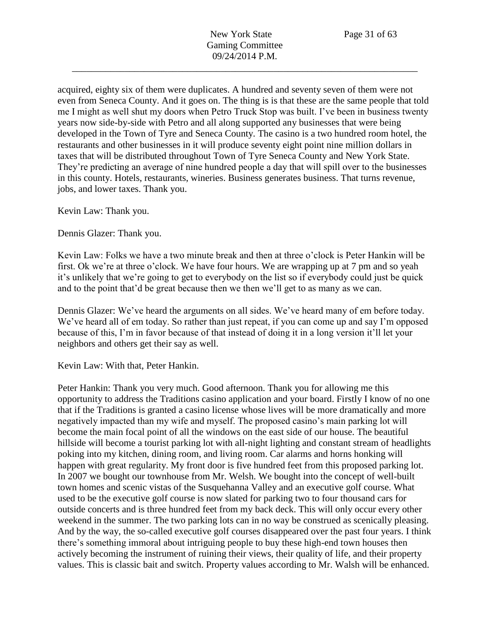acquired, eighty six of them were duplicates. A hundred and seventy seven of them were not even from Seneca County. And it goes on. The thing is is that these are the same people that told me I might as well shut my doors when Petro Truck Stop was built. I've been in business twenty years now side-by-side with Petro and all along supported any businesses that were being developed in the Town of Tyre and Seneca County. The casino is a two hundred room hotel, the restaurants and other businesses in it will produce seventy eight point nine million dollars in taxes that will be distributed throughout Town of Tyre Seneca County and New York State. They're predicting an average of nine hundred people a day that will spill over to the businesses in this county. Hotels, restaurants, wineries. Business generates business. That turns revenue, jobs, and lower taxes. Thank you.

Kevin Law: Thank you.

Dennis Glazer: Thank you.

Kevin Law: Folks we have a two minute break and then at three o'clock is Peter Hankin will be first. Ok we're at three o'clock. We have four hours. We are wrapping up at 7 pm and so yeah it's unlikely that we're going to get to everybody on the list so if everybody could just be quick and to the point that'd be great because then we then we'll get to as many as we can.

Dennis Glazer: We've heard the arguments on all sides. We've heard many of em before today. We've heard all of em today. So rather than just repeat, if you can come up and say I'm opposed because of this, I'm in favor because of that instead of doing it in a long version it'll let your neighbors and others get their say as well.

Kevin Law: With that, Peter Hankin.

Peter Hankin: Thank you very much. Good afternoon. Thank you for allowing me this opportunity to address the Traditions casino application and your board. Firstly I know of no one that if the Traditions is granted a casino license whose lives will be more dramatically and more negatively impacted than my wife and myself. The proposed casino's main parking lot will become the main focal point of all the windows on the east side of our house. The beautiful hillside will become a tourist parking lot with all-night lighting and constant stream of headlights poking into my kitchen, dining room, and living room. Car alarms and horns honking will happen with great regularity. My front door is five hundred feet from this proposed parking lot. In 2007 we bought our townhouse from Mr. Welsh. We bought into the concept of well-built town homes and scenic vistas of the Susquehanna Valley and an executive golf course. What used to be the executive golf course is now slated for parking two to four thousand cars for outside concerts and is three hundred feet from my back deck. This will only occur every other weekend in the summer. The two parking lots can in no way be construed as scenically pleasing. And by the way, the so-called executive golf courses disappeared over the past four years. I think there's something immoral about intriguing people to buy these high-end town houses then actively becoming the instrument of ruining their views, their quality of life, and their property values. This is classic bait and switch. Property values according to Mr. Walsh will be enhanced.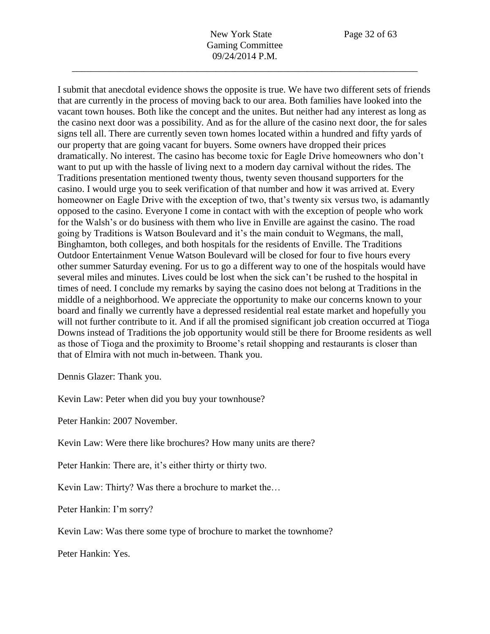I submit that anecdotal evidence shows the opposite is true. We have two different sets of friends that are currently in the process of moving back to our area. Both families have looked into the vacant town houses. Both like the concept and the unites. But neither had any interest as long as the casino next door was a possibility. And as for the allure of the casino next door, the for sales signs tell all. There are currently seven town homes located within a hundred and fifty yards of our property that are going vacant for buyers. Some owners have dropped their prices dramatically. No interest. The casino has become toxic for Eagle Drive homeowners who don't want to put up with the hassle of living next to a modern day carnival without the rides. The Traditions presentation mentioned twenty thous, twenty seven thousand supporters for the casino. I would urge you to seek verification of that number and how it was arrived at. Every homeowner on Eagle Drive with the exception of two, that's twenty six versus two, is adamantly opposed to the casino. Everyone I come in contact with with the exception of people who work for the Walsh's or do business with them who live in Enville are against the casino. The road going by Traditions is Watson Boulevard and it's the main conduit to Wegmans, the mall, Binghamton, both colleges, and both hospitals for the residents of Enville. The Traditions Outdoor Entertainment Venue Watson Boulevard will be closed for four to five hours every other summer Saturday evening. For us to go a different way to one of the hospitals would have several miles and minutes. Lives could be lost when the sick can't be rushed to the hospital in times of need. I conclude my remarks by saying the casino does not belong at Traditions in the middle of a neighborhood. We appreciate the opportunity to make our concerns known to your board and finally we currently have a depressed residential real estate market and hopefully you will not further contribute to it. And if all the promised significant job creation occurred at Tioga Downs instead of Traditions the job opportunity would still be there for Broome residents as well as those of Tioga and the proximity to Broome's retail shopping and restaurants is closer than that of Elmira with not much in-between. Thank you.

Dennis Glazer: Thank you.

Kevin Law: Peter when did you buy your townhouse?

Peter Hankin: 2007 November.

Kevin Law: Were there like brochures? How many units are there?

Peter Hankin: There are, it's either thirty or thirty two.

Kevin Law: Thirty? Was there a brochure to market the…

Peter Hankin: I'm sorry?

Kevin Law: Was there some type of brochure to market the townhome?

Peter Hankin: Yes.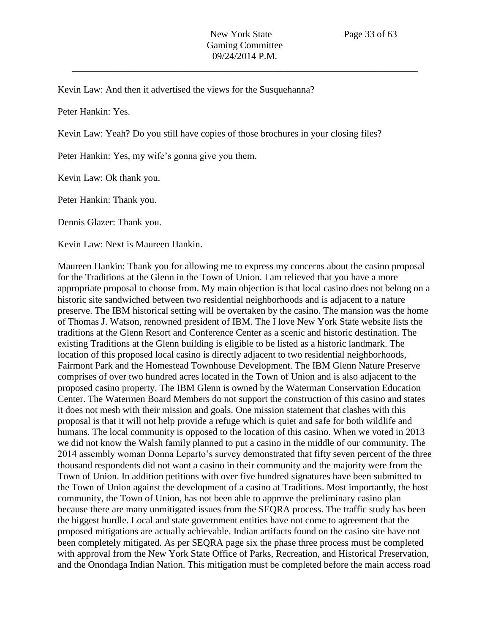Kevin Law: And then it advertised the views for the Susquehanna?

Peter Hankin: Yes.

Kevin Law: Yeah? Do you still have copies of those brochures in your closing files?

Peter Hankin: Yes, my wife's gonna give you them.

Kevin Law: Ok thank you.

Peter Hankin: Thank you.

Dennis Glazer: Thank you.

Kevin Law: Next is Maureen Hankin.

Maureen Hankin: Thank you for allowing me to express my concerns about the casino proposal for the Traditions at the Glenn in the Town of Union. I am relieved that you have a more appropriate proposal to choose from. My main objection is that local casino does not belong on a historic site sandwiched between two residential neighborhoods and is adjacent to a nature preserve. The IBM historical setting will be overtaken by the casino. The mansion was the home of Thomas J. Watson, renowned president of IBM. The I love New York State website lists the traditions at the Glenn Resort and Conference Center as a scenic and historic destination. The existing Traditions at the Glenn building is eligible to be listed as a historic landmark. The location of this proposed local casino is directly adjacent to two residential neighborhoods, Fairmont Park and the Homestead Townhouse Development. The IBM Glenn Nature Preserve comprises of over two hundred acres located in the Town of Union and is also adjacent to the proposed casino property. The IBM Glenn is owned by the Waterman Conservation Education Center. The Watermen Board Members do not support the construction of this casino and states it does not mesh with their mission and goals. One mission statement that clashes with this proposal is that it will not help provide a refuge which is quiet and safe for both wildlife and humans. The local community is opposed to the location of this casino. When we voted in 2013 we did not know the Walsh family planned to put a casino in the middle of our community. The 2014 assembly woman Donna Leparto's survey demonstrated that fifty seven percent of the three thousand respondents did not want a casino in their community and the majority were from the Town of Union. In addition petitions with over five hundred signatures have been submitted to the Town of Union against the development of a casino at Traditions. Most importantly, the host community, the Town of Union, has not been able to approve the preliminary casino plan because there are many unmitigated issues from the SEQRA process. The traffic study has been the biggest hurdle. Local and state government entities have not come to agreement that the proposed mitigations are actually achievable. Indian artifacts found on the casino site have not been completely mitigated. As per SEQRA page six the phase three process must be completed with approval from the New York State Office of Parks, Recreation, and Historical Preservation, and the Onondaga Indian Nation. This mitigation must be completed before the main access road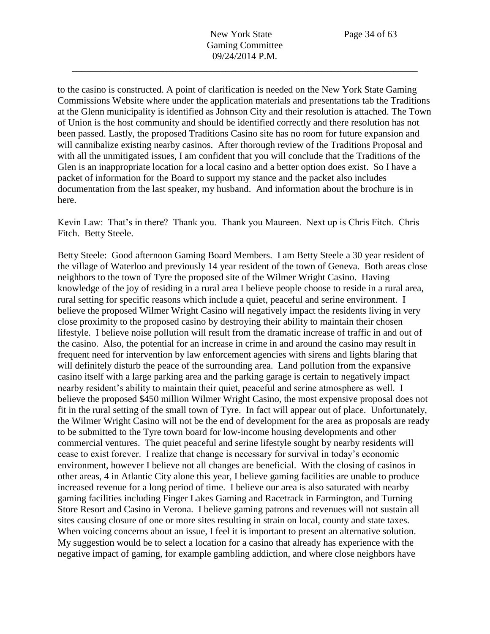to the casino is constructed. A point of clarification is needed on the New York State Gaming Commissions Website where under the application materials and presentations tab the Traditions at the Glenn municipality is identified as Johnson City and their resolution is attached. The Town of Union is the host community and should be identified correctly and there resolution has not been passed. Lastly, the proposed Traditions Casino site has no room for future expansion and will cannibalize existing nearby casinos. After thorough review of the Traditions Proposal and with all the unmitigated issues, I am confident that you will conclude that the Traditions of the Glen is an inappropriate location for a local casino and a better option does exist. So I have a packet of information for the Board to support my stance and the packet also includes documentation from the last speaker, my husband. And information about the brochure is in here.

Kevin Law: That's in there? Thank you. Thank you Maureen. Next up is Chris Fitch. Chris Fitch. Betty Steele.

Betty Steele: Good afternoon Gaming Board Members. I am Betty Steele a 30 year resident of the village of Waterloo and previously 14 year resident of the town of Geneva. Both areas close neighbors to the town of Tyre the proposed site of the Wilmer Wright Casino. Having knowledge of the joy of residing in a rural area I believe people choose to reside in a rural area, rural setting for specific reasons which include a quiet, peaceful and serine environment. I believe the proposed Wilmer Wright Casino will negatively impact the residents living in very close proximity to the proposed casino by destroying their ability to maintain their chosen lifestyle. I believe noise pollution will result from the dramatic increase of traffic in and out of the casino. Also, the potential for an increase in crime in and around the casino may result in frequent need for intervention by law enforcement agencies with sirens and lights blaring that will definitely disturb the peace of the surrounding area. Land pollution from the expansive casino itself with a large parking area and the parking garage is certain to negatively impact nearby resident's ability to maintain their quiet, peaceful and serine atmosphere as well. I believe the proposed \$450 million Wilmer Wright Casino, the most expensive proposal does not fit in the rural setting of the small town of Tyre. In fact will appear out of place. Unfortunately, the Wilmer Wright Casino will not be the end of development for the area as proposals are ready to be submitted to the Tyre town board for low-income housing developments and other commercial ventures. The quiet peaceful and serine lifestyle sought by nearby residents will cease to exist forever. I realize that change is necessary for survival in today's economic environment, however I believe not all changes are beneficial. With the closing of casinos in other areas, 4 in Atlantic City alone this year, I believe gaming facilities are unable to produce increased revenue for a long period of time. I believe our area is also saturated with nearby gaming facilities including Finger Lakes Gaming and Racetrack in Farmington, and Turning Store Resort and Casino in Verona. I believe gaming patrons and revenues will not sustain all sites causing closure of one or more sites resulting in strain on local, county and state taxes. When voicing concerns about an issue, I feel it is important to present an alternative solution. My suggestion would be to select a location for a casino that already has experience with the negative impact of gaming, for example gambling addiction, and where close neighbors have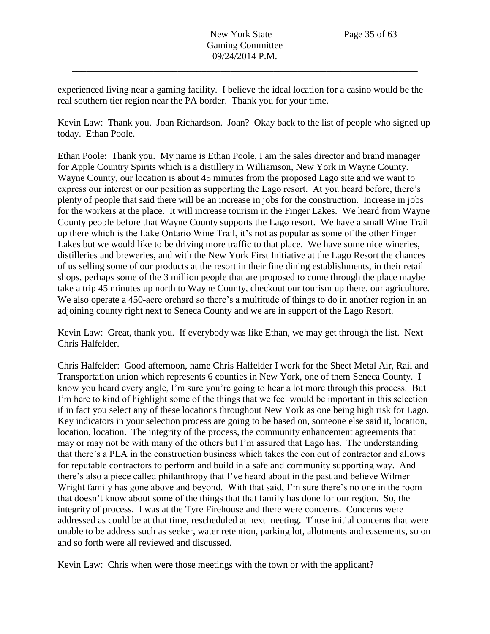experienced living near a gaming facility. I believe the ideal location for a casino would be the real southern tier region near the PA border. Thank you for your time.

Kevin Law: Thank you. Joan Richardson. Joan? Okay back to the list of people who signed up today. Ethan Poole.

Ethan Poole: Thank you. My name is Ethan Poole, I am the sales director and brand manager for Apple Country Spirits which is a distillery in Williamson, New York in Wayne County. Wayne County, our location is about 45 minutes from the proposed Lago site and we want to express our interest or our position as supporting the Lago resort. At you heard before, there's plenty of people that said there will be an increase in jobs for the construction. Increase in jobs for the workers at the place. It will increase tourism in the Finger Lakes. We heard from Wayne County people before that Wayne County supports the Lago resort. We have a small Wine Trail up there which is the Lake Ontario Wine Trail, it's not as popular as some of the other Finger Lakes but we would like to be driving more traffic to that place. We have some nice wineries, distilleries and breweries, and with the New York First Initiative at the Lago Resort the chances of us selling some of our products at the resort in their fine dining establishments, in their retail shops, perhaps some of the 3 million people that are proposed to come through the place maybe take a trip 45 minutes up north to Wayne County, checkout our tourism up there, our agriculture. We also operate a 450-acre orchard so there's a multitude of things to do in another region in an adjoining county right next to Seneca County and we are in support of the Lago Resort.

Kevin Law: Great, thank you. If everybody was like Ethan, we may get through the list. Next Chris Halfelder.

Chris Halfelder: Good afternoon, name Chris Halfelder I work for the Sheet Metal Air, Rail and Transportation union which represents 6 counties in New York, one of them Seneca County. I know you heard every angle, I'm sure you're going to hear a lot more through this process. But I'm here to kind of highlight some of the things that we feel would be important in this selection if in fact you select any of these locations throughout New York as one being high risk for Lago. Key indicators in your selection process are going to be based on, someone else said it, location, location, location. The integrity of the process, the community enhancement agreements that may or may not be with many of the others but I'm assured that Lago has. The understanding that there's a PLA in the construction business which takes the con out of contractor and allows for reputable contractors to perform and build in a safe and community supporting way. And there's also a piece called philanthropy that I've heard about in the past and believe Wilmer Wright family has gone above and beyond. With that said, I'm sure there's no one in the room that doesn't know about some of the things that that family has done for our region. So, the integrity of process. I was at the Tyre Firehouse and there were concerns. Concerns were addressed as could be at that time, rescheduled at next meeting. Those initial concerns that were unable to be address such as seeker, water retention, parking lot, allotments and easements, so on and so forth were all reviewed and discussed.

Kevin Law: Chris when were those meetings with the town or with the applicant?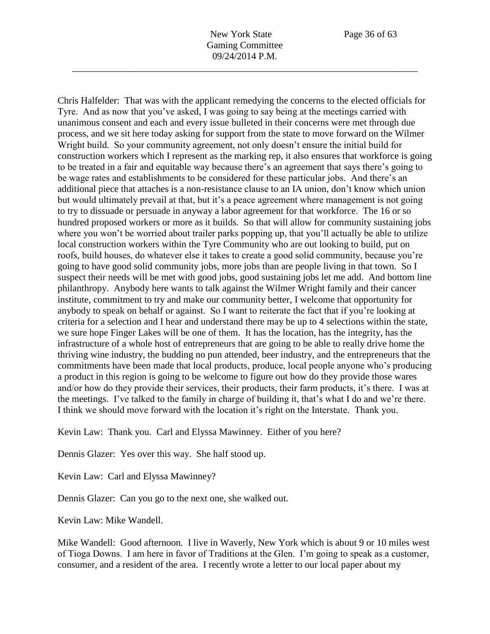Chris Halfelder: That was with the applicant remedying the concerns to the elected officials for Tyre. And as now that you've asked, I was going to say being at the meetings carried with unanimous consent and each and every issue bulleted in their concerns were met through due process, and we sit here today asking for support from the state to move forward on the Wilmer Wright build. So your community agreement, not only doesn't ensure the initial build for construction workers which I represent as the marking rep, it also ensures that workforce is going to be treated in a fair and equitable way because there's an agreement that says there's going to be wage rates and establishments to be considered for these particular jobs. And there's an additional piece that attaches is a non-resistance clause to an IA union, don't know which union but would ultimately prevail at that, but it's a peace agreement where management is not going to try to dissuade or persuade in anyway a labor agreement for that workforce. The 16 or so hundred proposed workers or more as it builds. So that will allow for community sustaining jobs where you won't be worried about trailer parks popping up, that you'll actually be able to utilize local construction workers within the Tyre Community who are out looking to build, put on roofs, build houses, do whatever else it takes to create a good solid community, because you're going to have good solid community jobs, more jobs than are people living in that town. So I suspect their needs will be met with good jobs, good sustaining jobs let me add. And bottom line philanthropy. Anybody here wants to talk against the Wilmer Wright family and their cancer institute, commitment to try and make our community better, I welcome that opportunity for anybody to speak on behalf or against. So I want to reiterate the fact that if you're looking at criteria for a selection and I hear and understand there may be up to 4 selections within the state, we sure hope Finger Lakes will be one of them. It has the location, has the integrity, has the infrastructure of a whole host of entrepreneurs that are going to be able to really drive home the thriving wine industry, the budding no pun attended, beer industry, and the entrepreneurs that the commitments have been made that local products, produce, local people anyone who's producing a product in this region is going to be welcome to figure out how do they provide those wares and/or how do they provide their services, their products, their farm products, it's there. I was at the meetings. I've talked to the family in charge of building it, that's what I do and we're there. I think we should move forward with the location it's right on the Interstate. Thank you.

Kevin Law: Thank you. Carl and Elyssa Mawinney. Either of you here?

Dennis Glazer: Yes over this way. She half stood up.

Kevin Law: Carl and Elyssa Mawinney?

Dennis Glazer: Can you go to the next one, she walked out.

Kevin Law: Mike Wandell.

Mike Wandell: Good afternoon. I live in Waverly, New York which is about 9 or 10 miles west of Tioga Downs. I am here in favor of Traditions at the Glen. I'm going to speak as a customer, consumer, and a resident of the area. I recently wrote a letter to our local paper about my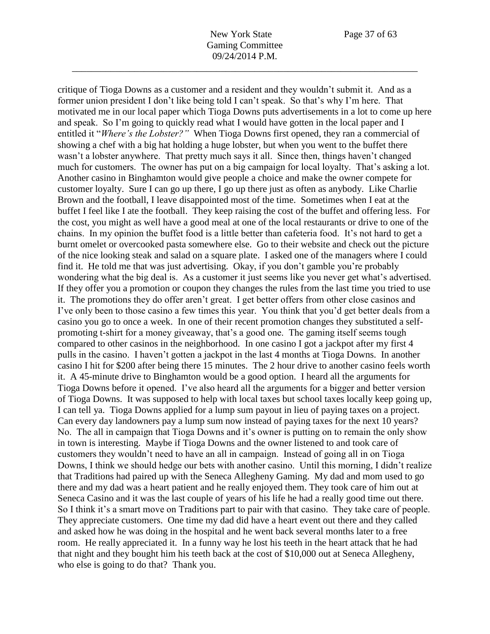critique of Tioga Downs as a customer and a resident and they wouldn't submit it. And as a former union president I don't like being told I can't speak. So that's why I'm here. That motivated me in our local paper which Tioga Downs puts advertisements in a lot to come up here and speak. So I'm going to quickly read what I would have gotten in the local paper and I entitled it "*Where's the Lobster?"* When Tioga Downs first opened, they ran a commercial of showing a chef with a big hat holding a huge lobster, but when you went to the buffet there wasn't a lobster anywhere. That pretty much says it all. Since then, things haven't changed much for customers. The owner has put on a big campaign for local loyalty. That's asking a lot. Another casino in Binghamton would give people a choice and make the owner compete for customer loyalty. Sure I can go up there, I go up there just as often as anybody. Like Charlie Brown and the football, I leave disappointed most of the time. Sometimes when I eat at the buffet I feel like I ate the football. They keep raising the cost of the buffet and offering less. For the cost, you might as well have a good meal at one of the local restaurants or drive to one of the chains. In my opinion the buffet food is a little better than cafeteria food. It's not hard to get a burnt omelet or overcooked pasta somewhere else. Go to their website and check out the picture of the nice looking steak and salad on a square plate. I asked one of the managers where I could find it. He told me that was just advertising. Okay, if you don't gamble you're probably wondering what the big deal is. As a customer it just seems like you never get what's advertised. If they offer you a promotion or coupon they changes the rules from the last time you tried to use it. The promotions they do offer aren't great. I get better offers from other close casinos and I've only been to those casino a few times this year. You think that you'd get better deals from a casino you go to once a week. In one of their recent promotion changes they substituted a selfpromoting t-shirt for a money giveaway, that's a good one. The gaming itself seems tough compared to other casinos in the neighborhood. In one casino I got a jackpot after my first 4 pulls in the casino. I haven't gotten a jackpot in the last 4 months at Tioga Downs. In another casino I hit for \$200 after being there 15 minutes. The 2 hour drive to another casino feels worth it. A 45-minute drive to Binghamton would be a good option. I heard all the arguments for Tioga Downs before it opened. I've also heard all the arguments for a bigger and better version of Tioga Downs. It was supposed to help with local taxes but school taxes locally keep going up, I can tell ya. Tioga Downs applied for a lump sum payout in lieu of paying taxes on a project. Can every day landowners pay a lump sum now instead of paying taxes for the next 10 years? No. The all in campaign that Tioga Downs and it's owner is putting on to remain the only show in town is interesting. Maybe if Tioga Downs and the owner listened to and took care of customers they wouldn't need to have an all in campaign. Instead of going all in on Tioga Downs, I think we should hedge our bets with another casino. Until this morning, I didn't realize that Traditions had paired up with the Seneca Allegheny Gaming. My dad and mom used to go there and my dad was a heart patient and he really enjoyed them. They took care of him out at Seneca Casino and it was the last couple of years of his life he had a really good time out there. So I think it's a smart move on Traditions part to pair with that casino. They take care of people. They appreciate customers. One time my dad did have a heart event out there and they called and asked how he was doing in the hospital and he went back several months later to a free room. He really appreciated it. In a funny way he lost his teeth in the heart attack that he had that night and they bought him his teeth back at the cost of \$10,000 out at Seneca Allegheny, who else is going to do that? Thank you.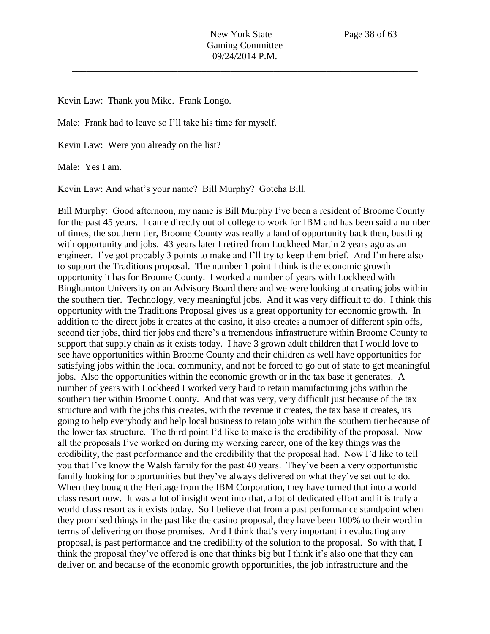Kevin Law: Thank you Mike. Frank Longo.

Male: Frank had to leave so I'll take his time for myself.

Kevin Law: Were you already on the list?

Male: Yes I am.

Kevin Law: And what's your name? Bill Murphy? Gotcha Bill.

Bill Murphy: Good afternoon, my name is Bill Murphy I've been a resident of Broome County for the past 45 years. I came directly out of college to work for IBM and has been said a number of times, the southern tier, Broome County was really a land of opportunity back then, bustling with opportunity and jobs. 43 years later I retired from Lockheed Martin 2 years ago as an engineer. I've got probably 3 points to make and I'll try to keep them brief. And I'm here also to support the Traditions proposal. The number 1 point I think is the economic growth opportunity it has for Broome County. I worked a number of years with Lockheed with Binghamton University on an Advisory Board there and we were looking at creating jobs within the southern tier. Technology, very meaningful jobs. And it was very difficult to do. I think this opportunity with the Traditions Proposal gives us a great opportunity for economic growth. In addition to the direct jobs it creates at the casino, it also creates a number of different spin offs, second tier jobs, third tier jobs and there's a tremendous infrastructure within Broome County to support that supply chain as it exists today. I have 3 grown adult children that I would love to see have opportunities within Broome County and their children as well have opportunities for satisfying jobs within the local community, and not be forced to go out of state to get meaningful jobs. Also the opportunities within the economic growth or in the tax base it generates. A number of years with Lockheed I worked very hard to retain manufacturing jobs within the southern tier within Broome County. And that was very, very difficult just because of the tax structure and with the jobs this creates, with the revenue it creates, the tax base it creates, its going to help everybody and help local business to retain jobs within the southern tier because of the lower tax structure. The third point I'd like to make is the credibility of the proposal. Now all the proposals I've worked on during my working career, one of the key things was the credibility, the past performance and the credibility that the proposal had. Now I'd like to tell you that I've know the Walsh family for the past 40 years. They've been a very opportunistic family looking for opportunities but they've always delivered on what they've set out to do. When they bought the Heritage from the IBM Corporation, they have turned that into a world class resort now. It was a lot of insight went into that, a lot of dedicated effort and it is truly a world class resort as it exists today. So I believe that from a past performance standpoint when they promised things in the past like the casino proposal, they have been 100% to their word in terms of delivering on those promises. And I think that's very important in evaluating any proposal, is past performance and the credibility of the solution to the proposal. So with that, I think the proposal they've offered is one that thinks big but I think it's also one that they can deliver on and because of the economic growth opportunities, the job infrastructure and the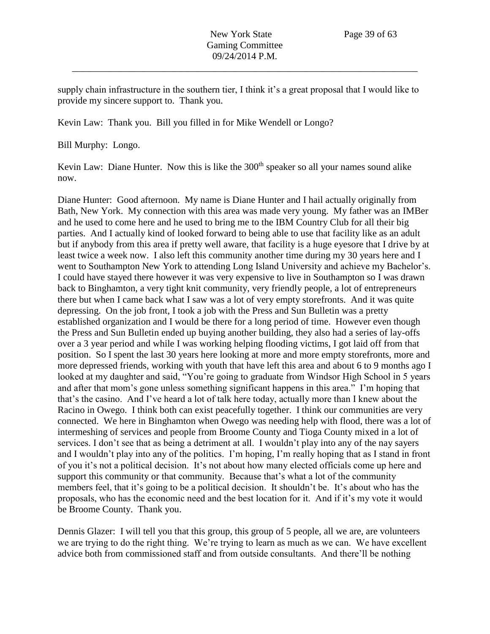supply chain infrastructure in the southern tier, I think it's a great proposal that I would like to provide my sincere support to. Thank you.

Kevin Law: Thank you. Bill you filled in for Mike Wendell or Longo?

Bill Murphy: Longo.

Kevin Law: Diane Hunter. Now this is like the  $300<sup>th</sup>$  speaker so all your names sound alike now.

Diane Hunter: Good afternoon. My name is Diane Hunter and I hail actually originally from Bath, New York. My connection with this area was made very young. My father was an IMBer and he used to come here and he used to bring me to the IBM Country Club for all their big parties. And I actually kind of looked forward to being able to use that facility like as an adult but if anybody from this area if pretty well aware, that facility is a huge eyesore that I drive by at least twice a week now. I also left this community another time during my 30 years here and I went to Southampton New York to attending Long Island University and achieve my Bachelor's. I could have stayed there however it was very expensive to live in Southampton so I was drawn back to Binghamton, a very tight knit community, very friendly people, a lot of entrepreneurs there but when I came back what I saw was a lot of very empty storefronts. And it was quite depressing. On the job front, I took a job with the Press and Sun Bulletin was a pretty established organization and I would be there for a long period of time. However even though the Press and Sun Bulletin ended up buying another building, they also had a series of lay-offs over a 3 year period and while I was working helping flooding victims, I got laid off from that position. So I spent the last 30 years here looking at more and more empty storefronts, more and more depressed friends, working with youth that have left this area and about 6 to 9 months ago I looked at my daughter and said, "You're going to graduate from Windsor High School in 5 years and after that mom's gone unless something significant happens in this area." I'm hoping that that's the casino. And I've heard a lot of talk here today, actually more than I knew about the Racino in Owego. I think both can exist peacefully together. I think our communities are very connected. We here in Binghamton when Owego was needing help with flood, there was a lot of intermeshing of services and people from Broome County and Tioga County mixed in a lot of services. I don't see that as being a detriment at all. I wouldn't play into any of the nay sayers and I wouldn't play into any of the politics. I'm hoping, I'm really hoping that as I stand in front of you it's not a political decision. It's not about how many elected officials come up here and support this community or that community. Because that's what a lot of the community members feel, that it's going to be a political decision. It shouldn't be. It's about who has the proposals, who has the economic need and the best location for it. And if it's my vote it would be Broome County. Thank you.

Dennis Glazer: I will tell you that this group, this group of 5 people, all we are, are volunteers we are trying to do the right thing. We're trying to learn as much as we can. We have excellent advice both from commissioned staff and from outside consultants. And there'll be nothing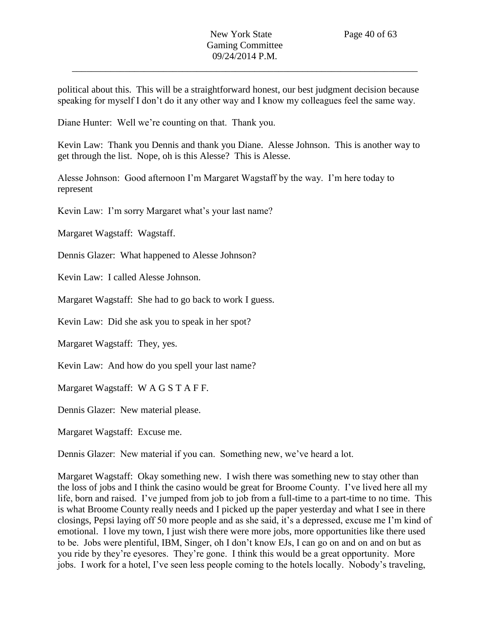political about this. This will be a straightforward honest, our best judgment decision because speaking for myself I don't do it any other way and I know my colleagues feel the same way.

Diane Hunter: Well we're counting on that. Thank you.

Kevin Law: Thank you Dennis and thank you Diane. Alesse Johnson. This is another way to get through the list. Nope, oh is this Alesse? This is Alesse.

Alesse Johnson: Good afternoon I'm Margaret Wagstaff by the way. I'm here today to represent

Kevin Law: I'm sorry Margaret what's your last name?

Margaret Wagstaff: Wagstaff.

Dennis Glazer: What happened to Alesse Johnson?

Kevin Law: I called Alesse Johnson.

Margaret Wagstaff: She had to go back to work I guess.

Kevin Law: Did she ask you to speak in her spot?

Margaret Wagstaff: They, yes.

Kevin Law: And how do you spell your last name?

Margaret Wagstaff: W A G S T A F F.

Dennis Glazer: New material please.

Margaret Wagstaff: Excuse me.

Dennis Glazer: New material if you can. Something new, we've heard a lot.

Margaret Wagstaff: Okay something new. I wish there was something new to stay other than the loss of jobs and I think the casino would be great for Broome County. I've lived here all my life, born and raised. I've jumped from job to job from a full-time to a part-time to no time. This is what Broome County really needs and I picked up the paper yesterday and what I see in there closings, Pepsi laying off 50 more people and as she said, it's a depressed, excuse me I'm kind of emotional. I love my town, I just wish there were more jobs, more opportunities like there used to be. Jobs were plentiful, IBM, Singer, oh I don't know EJs, I can go on and on and on but as you ride by they're eyesores. They're gone. I think this would be a great opportunity. More jobs. I work for a hotel, I've seen less people coming to the hotels locally. Nobody's traveling,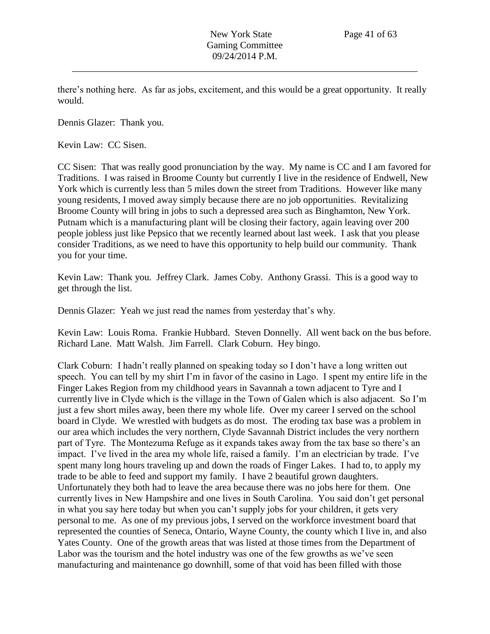there's nothing here. As far as jobs, excitement, and this would be a great opportunity. It really would.

Dennis Glazer: Thank you.

Kevin Law: CC Sisen.

CC Sisen: That was really good pronunciation by the way. My name is CC and I am favored for Traditions. I was raised in Broome County but currently I live in the residence of Endwell, New York which is currently less than 5 miles down the street from Traditions. However like many young residents, I moved away simply because there are no job opportunities. Revitalizing Broome County will bring in jobs to such a depressed area such as Binghamton, New York. Putnam which is a manufacturing plant will be closing their factory, again leaving over 200 people jobless just like Pepsico that we recently learned about last week. I ask that you please consider Traditions, as we need to have this opportunity to help build our community. Thank you for your time.

Kevin Law: Thank you. Jeffrey Clark. James Coby. Anthony Grassi. This is a good way to get through the list.

Dennis Glazer: Yeah we just read the names from yesterday that's why.

Kevin Law: Louis Roma. Frankie Hubbard. Steven Donnelly. All went back on the bus before. Richard Lane. Matt Walsh. Jim Farrell. Clark Coburn. Hey bingo.

Clark Coburn: I hadn't really planned on speaking today so I don't have a long written out speech. You can tell by my shirt I'm in favor of the casino in Lago. I spent my entire life in the Finger Lakes Region from my childhood years in Savannah a town adjacent to Tyre and I currently live in Clyde which is the village in the Town of Galen which is also adjacent. So I'm just a few short miles away, been there my whole life. Over my career I served on the school board in Clyde. We wrestled with budgets as do most. The eroding tax base was a problem in our area which includes the very northern, Clyde Savannah District includes the very northern part of Tyre. The Montezuma Refuge as it expands takes away from the tax base so there's an impact. I've lived in the area my whole life, raised a family. I'm an electrician by trade. I've spent many long hours traveling up and down the roads of Finger Lakes. I had to, to apply my trade to be able to feed and support my family. I have 2 beautiful grown daughters. Unfortunately they both had to leave the area because there was no jobs here for them. One currently lives in New Hampshire and one lives in South Carolina. You said don't get personal in what you say here today but when you can't supply jobs for your children, it gets very personal to me. As one of my previous jobs, I served on the workforce investment board that represented the counties of Seneca, Ontario, Wayne County, the county which I live in, and also Yates County. One of the growth areas that was listed at those times from the Department of Labor was the tourism and the hotel industry was one of the few growths as we've seen manufacturing and maintenance go downhill, some of that void has been filled with those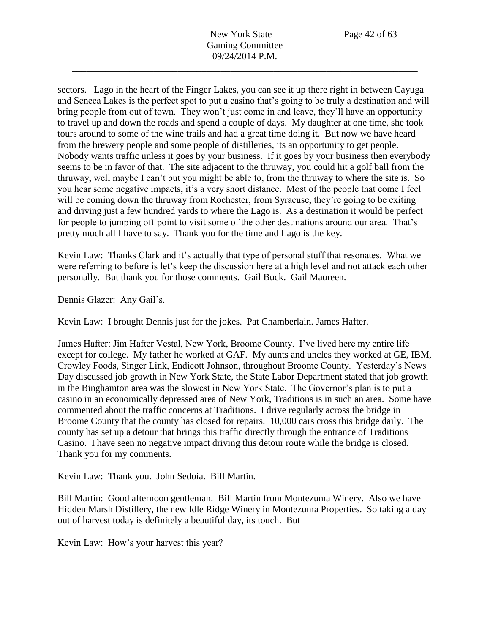sectors. Lago in the heart of the Finger Lakes, you can see it up there right in between Cayuga and Seneca Lakes is the perfect spot to put a casino that's going to be truly a destination and will bring people from out of town. They won't just come in and leave, they'll have an opportunity to travel up and down the roads and spend a couple of days. My daughter at one time, she took tours around to some of the wine trails and had a great time doing it. But now we have heard from the brewery people and some people of distilleries, its an opportunity to get people. Nobody wants traffic unless it goes by your business. If it goes by your business then everybody seems to be in favor of that. The site adjacent to the thruway, you could hit a golf ball from the thruway, well maybe I can't but you might be able to, from the thruway to where the site is. So you hear some negative impacts, it's a very short distance. Most of the people that come I feel will be coming down the thruway from Rochester, from Syracuse, they're going to be exiting and driving just a few hundred yards to where the Lago is. As a destination it would be perfect for people to jumping off point to visit some of the other destinations around our area. That's pretty much all I have to say. Thank you for the time and Lago is the key.

Kevin Law: Thanks Clark and it's actually that type of personal stuff that resonates. What we were referring to before is let's keep the discussion here at a high level and not attack each other personally. But thank you for those comments. Gail Buck. Gail Maureen.

Dennis Glazer: Any Gail's.

Kevin Law: I brought Dennis just for the jokes. Pat Chamberlain. James Hafter.

James Hafter: Jim Hafter Vestal, New York, Broome County. I've lived here my entire life except for college. My father he worked at GAF. My aunts and uncles they worked at GE, IBM, Crowley Foods, Singer Link, Endicott Johnson, throughout Broome County. Yesterday's News Day discussed job growth in New York State, the State Labor Department stated that job growth in the Binghamton area was the slowest in New York State. The Governor's plan is to put a casino in an economically depressed area of New York, Traditions is in such an area. Some have commented about the traffic concerns at Traditions. I drive regularly across the bridge in Broome County that the county has closed for repairs. 10,000 cars cross this bridge daily. The county has set up a detour that brings this traffic directly through the entrance of Traditions Casino. I have seen no negative impact driving this detour route while the bridge is closed. Thank you for my comments.

Kevin Law: Thank you. John Sedoia. Bill Martin.

Bill Martin: Good afternoon gentleman. Bill Martin from Montezuma Winery. Also we have Hidden Marsh Distillery, the new Idle Ridge Winery in Montezuma Properties. So taking a day out of harvest today is definitely a beautiful day, its touch. But

Kevin Law: How's your harvest this year?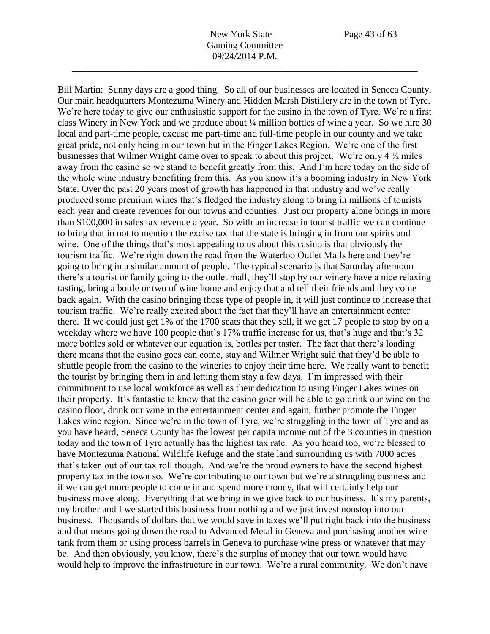Bill Martin: Sunny days are a good thing. So all of our businesses are located in Seneca County. Our main headquarters Montezuma Winery and Hidden Marsh Distillery are in the town of Tyre. We're here today to give our enthusiastic support for the casino in the town of Tyre. We're a first class Winery in New York and we produce about ¼ million bottles of wine a year. So we hire 30 local and part-time people, excuse me part-time and full-time people in our county and we take great pride, not only being in our town but in the Finger Lakes Region. We're one of the first businesses that Wilmer Wright came over to speak to about this project. We're only 4 ½ miles away from the casino so we stand to benefit greatly from this. And I'm here today on the side of the whole wine industry benefiting from this. As you know it's a booming industry in New York State. Over the past 20 years most of growth has happened in that industry and we've really produced some premium wines that's fledged the industry along to bring in millions of tourists each year and create revenues for our towns and counties. Just our property alone brings in more than \$100,000 in sales tax revenue a year. So with an increase in tourist traffic we can continue to bring that in not to mention the excise tax that the state is bringing in from our spirits and wine. One of the things that's most appealing to us about this casino is that obviously the tourism traffic. We're right down the road from the Waterloo Outlet Malls here and they're going to bring in a similar amount of people. The typical scenario is that Saturday afternoon there's a tourist or family going to the outlet mall, they'll stop by our winery have a nice relaxing tasting, bring a bottle or two of wine home and enjoy that and tell their friends and they come back again. With the casino bringing those type of people in, it will just continue to increase that tourism traffic. We're really excited about the fact that they'll have an entertainment center there. If we could just get 1% of the 1700 seats that they sell, if we get 17 people to stop by on a weekday where we have 100 people that's 17% traffic increase for us, that's huge and that's 32 more bottles sold or whatever our equation is, bottles per taster. The fact that there's loading there means that the casino goes can come, stay and Wilmer Wright said that they'd be able to shuttle people from the casino to the wineries to enjoy their time here. We really want to benefit the tourist by bringing them in and letting them stay a few days. I'm impressed with their commitment to use local workforce as well as their dedication to using Finger Lakes wines on their property. It's fantastic to know that the casino goer will be able to go drink our wine on the casino floor, drink our wine in the entertainment center and again, further promote the Finger Lakes wine region. Since we're in the town of Tyre, we're struggling in the town of Tyre and as you have heard, Seneca County has the lowest per capita income out of the 3 counties in question today and the town of Tyre actually has the highest tax rate. As you heard too, we're blessed to have Montezuma National Wildlife Refuge and the state land surrounding us with 7000 acres that's taken out of our tax roll though. And we're the proud owners to have the second highest property tax in the town so. We're contributing to our town but we're a struggling business and if we can get more people to come in and spend more money, that will certainly help our business move along. Everything that we bring in we give back to our business. It's my parents, my brother and I we started this business from nothing and we just invest nonstop into our business. Thousands of dollars that we would save in taxes we'll put right back into the business and that means going down the road to Advanced Metal in Geneva and purchasing another wine tank from them or using process barrels in Geneva to purchase wine press or whatever that may be. And then obviously, you know, there's the surplus of money that our town would have would help to improve the infrastructure in our town. We're a rural community. We don't have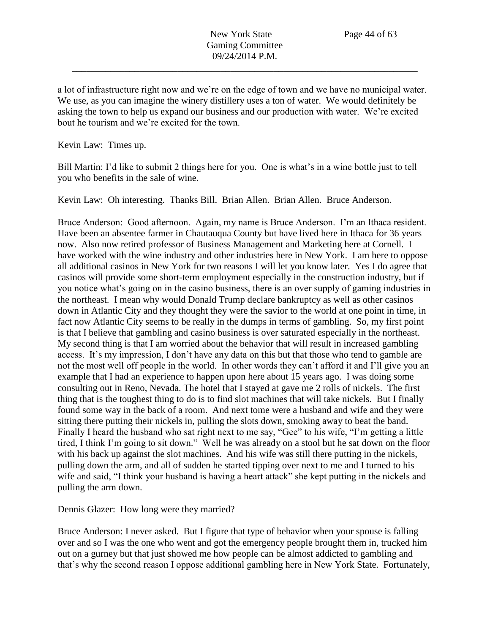a lot of infrastructure right now and we're on the edge of town and we have no municipal water. We use, as you can imagine the winery distillery uses a ton of water. We would definitely be asking the town to help us expand our business and our production with water. We're excited bout he tourism and we're excited for the town.

Kevin Law: Times up.

Bill Martin: I'd like to submit 2 things here for you. One is what's in a wine bottle just to tell you who benefits in the sale of wine.

Kevin Law: Oh interesting. Thanks Bill. Brian Allen. Brian Allen. Bruce Anderson.

Bruce Anderson: Good afternoon. Again, my name is Bruce Anderson. I'm an Ithaca resident. Have been an absentee farmer in Chautauqua County but have lived here in Ithaca for 36 years now. Also now retired professor of Business Management and Marketing here at Cornell. I have worked with the wine industry and other industries here in New York. I am here to oppose all additional casinos in New York for two reasons I will let you know later. Yes I do agree that casinos will provide some short-term employment especially in the construction industry, but if you notice what's going on in the casino business, there is an over supply of gaming industries in the northeast. I mean why would Donald Trump declare bankruptcy as well as other casinos down in Atlantic City and they thought they were the savior to the world at one point in time, in fact now Atlantic City seems to be really in the dumps in terms of gambling. So, my first point is that I believe that gambling and casino business is over saturated especially in the northeast. My second thing is that I am worried about the behavior that will result in increased gambling access. It's my impression, I don't have any data on this but that those who tend to gamble are not the most well off people in the world. In other words they can't afford it and I'll give you an example that I had an experience to happen upon here about 15 years ago. I was doing some consulting out in Reno, Nevada. The hotel that I stayed at gave me 2 rolls of nickels. The first thing that is the toughest thing to do is to find slot machines that will take nickels. But I finally found some way in the back of a room. And next tome were a husband and wife and they were sitting there putting their nickels in, pulling the slots down, smoking away to beat the band. Finally I heard the husband who sat right next to me say, "Gee" to his wife, "I'm getting a little tired, I think I'm going to sit down." Well he was already on a stool but he sat down on the floor with his back up against the slot machines. And his wife was still there putting in the nickels, pulling down the arm, and all of sudden he started tipping over next to me and I turned to his wife and said, "I think your husband is having a heart attack" she kept putting in the nickels and pulling the arm down.

Dennis Glazer: How long were they married?

Bruce Anderson: I never asked. But I figure that type of behavior when your spouse is falling over and so I was the one who went and got the emergency people brought them in, trucked him out on a gurney but that just showed me how people can be almost addicted to gambling and that's why the second reason I oppose additional gambling here in New York State. Fortunately,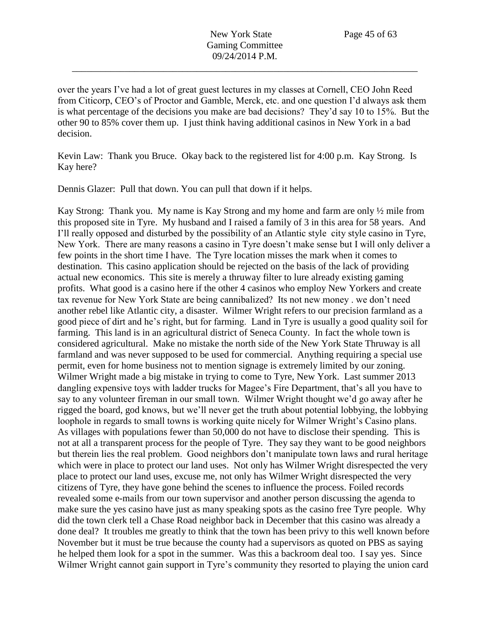over the years I've had a lot of great guest lectures in my classes at Cornell, CEO John Reed from Citicorp, CEO's of Proctor and Gamble, Merck, etc. and one question I'd always ask them is what percentage of the decisions you make are bad decisions? They'd say 10 to 15%. But the other 90 to 85% cover them up. I just think having additional casinos in New York in a bad decision.

Kevin Law: Thank you Bruce. Okay back to the registered list for 4:00 p.m. Kay Strong. Is Kay here?

Dennis Glazer: Pull that down. You can pull that down if it helps.

Kay Strong: Thank you. My name is Kay Strong and my home and farm are only ½ mile from this proposed site in Tyre. My husband and I raised a family of 3 in this area for 58 years. And I'll really opposed and disturbed by the possibility of an Atlantic style city style casino in Tyre, New York. There are many reasons a casino in Tyre doesn't make sense but I will only deliver a few points in the short time I have. The Tyre location misses the mark when it comes to destination. This casino application should be rejected on the basis of the lack of providing actual new economics. This site is merely a thruway filter to lure already existing gaming profits. What good is a casino here if the other 4 casinos who employ New Yorkers and create tax revenue for New York State are being cannibalized? Its not new money . we don't need another rebel like Atlantic city, a disaster. Wilmer Wright refers to our precision farmland as a good piece of dirt and he's right, but for farming. Land in Tyre is usually a good quality soil for farming. This land is in an agricultural district of Seneca County. In fact the whole town is considered agricultural. Make no mistake the north side of the New York State Thruway is all farmland and was never supposed to be used for commercial. Anything requiring a special use permit, even for home business not to mention signage is extremely limited by our zoning. Wilmer Wright made a big mistake in trying to come to Tyre, New York. Last summer 2013 dangling expensive toys with ladder trucks for Magee's Fire Department, that's all you have to say to any volunteer fireman in our small town. Wilmer Wright thought we'd go away after he rigged the board, god knows, but we'll never get the truth about potential lobbying, the lobbying loophole in regards to small towns is working quite nicely for Wilmer Wright's Casino plans. As villages with populations fewer than 50,000 do not have to disclose their spending. This is not at all a transparent process for the people of Tyre. They say they want to be good neighbors but therein lies the real problem. Good neighbors don't manipulate town laws and rural heritage which were in place to protect our land uses. Not only has Wilmer Wright disrespected the very place to protect our land uses, excuse me, not only has Wilmer Wright disrespected the very citizens of Tyre, they have gone behind the scenes to influence the process. Foiled records revealed some e-mails from our town supervisor and another person discussing the agenda to make sure the yes casino have just as many speaking spots as the casino free Tyre people. Why did the town clerk tell a Chase Road neighbor back in December that this casino was already a done deal? It troubles me greatly to think that the town has been privy to this well known before November but it must be true because the county had a supervisors as quoted on PBS as saying he helped them look for a spot in the summer. Was this a backroom deal too. I say yes. Since Wilmer Wright cannot gain support in Tyre's community they resorted to playing the union card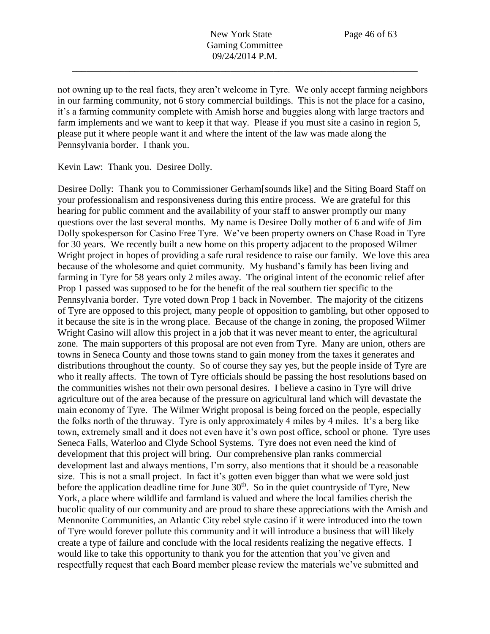not owning up to the real facts, they aren't welcome in Tyre. We only accept farming neighbors in our farming community, not 6 story commercial buildings. This is not the place for a casino, it's a farming community complete with Amish horse and buggies along with large tractors and farm implements and we want to keep it that way. Please if you must site a casino in region 5, please put it where people want it and where the intent of the law was made along the Pennsylvania border. I thank you.

Kevin Law: Thank you. Desiree Dolly.

Desiree Dolly: Thank you to Commissioner Gerham[sounds like] and the Siting Board Staff on your professionalism and responsiveness during this entire process. We are grateful for this hearing for public comment and the availability of your staff to answer promptly our many questions over the last several months. My name is Desiree Dolly mother of 6 and wife of Jim Dolly spokesperson for Casino Free Tyre. We've been property owners on Chase Road in Tyre for 30 years. We recently built a new home on this property adjacent to the proposed Wilmer Wright project in hopes of providing a safe rural residence to raise our family. We love this area because of the wholesome and quiet community. My husband's family has been living and farming in Tyre for 58 years only 2 miles away. The original intent of the economic relief after Prop 1 passed was supposed to be for the benefit of the real southern tier specific to the Pennsylvania border. Tyre voted down Prop 1 back in November. The majority of the citizens of Tyre are opposed to this project, many people of opposition to gambling, but other opposed to it because the site is in the wrong place. Because of the change in zoning, the proposed Wilmer Wright Casino will allow this project in a job that it was never meant to enter, the agricultural zone. The main supporters of this proposal are not even from Tyre. Many are union, others are towns in Seneca County and those towns stand to gain money from the taxes it generates and distributions throughout the county. So of course they say yes, but the people inside of Tyre are who it really affects. The town of Tyre officials should be passing the host resolutions based on the communities wishes not their own personal desires. I believe a casino in Tyre will drive agriculture out of the area because of the pressure on agricultural land which will devastate the main economy of Tyre. The Wilmer Wright proposal is being forced on the people, especially the folks north of the thruway. Tyre is only approximately 4 miles by 4 miles. It's a berg like town, extremely small and it does not even have it's own post office, school or phone. Tyre uses Seneca Falls, Waterloo and Clyde School Systems. Tyre does not even need the kind of development that this project will bring. Our comprehensive plan ranks commercial development last and always mentions, I'm sorry, also mentions that it should be a reasonable size. This is not a small project. In fact it's gotten even bigger than what we were sold just before the application deadline time for June  $30<sup>th</sup>$ . So in the quiet countryside of Tyre, New York, a place where wildlife and farmland is valued and where the local families cherish the bucolic quality of our community and are proud to share these appreciations with the Amish and Mennonite Communities, an Atlantic City rebel style casino if it were introduced into the town of Tyre would forever pollute this community and it will introduce a business that will likely create a type of failure and conclude with the local residents realizing the negative effects. I would like to take this opportunity to thank you for the attention that you've given and respectfully request that each Board member please review the materials we've submitted and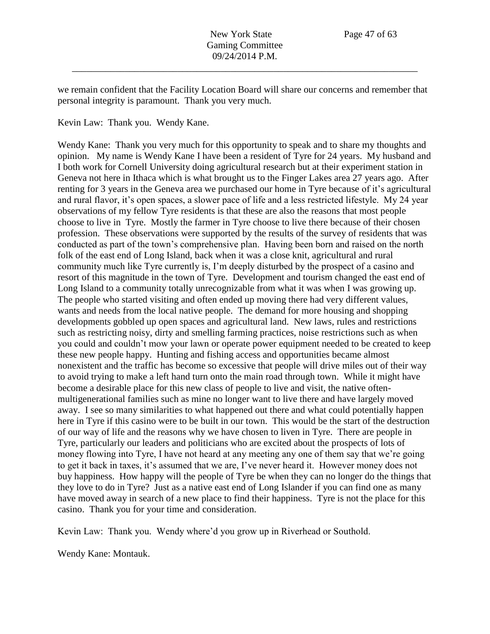we remain confident that the Facility Location Board will share our concerns and remember that personal integrity is paramount. Thank you very much.

## Kevin Law: Thank you. Wendy Kane.

Wendy Kane: Thank you very much for this opportunity to speak and to share my thoughts and opinion. My name is Wendy Kane I have been a resident of Tyre for 24 years. My husband and I both work for Cornell University doing agricultural research but at their experiment station in Geneva not here in Ithaca which is what brought us to the Finger Lakes area 27 years ago. After renting for 3 years in the Geneva area we purchased our home in Tyre because of it's agricultural and rural flavor, it's open spaces, a slower pace of life and a less restricted lifestyle. My 24 year observations of my fellow Tyre residents is that these are also the reasons that most people choose to live in Tyre. Mostly the farmer in Tyre choose to live there because of their chosen profession. These observations were supported by the results of the survey of residents that was conducted as part of the town's comprehensive plan. Having been born and raised on the north folk of the east end of Long Island, back when it was a close knit, agricultural and rural community much like Tyre currently is, I'm deeply disturbed by the prospect of a casino and resort of this magnitude in the town of Tyre. Development and tourism changed the east end of Long Island to a community totally unrecognizable from what it was when I was growing up. The people who started visiting and often ended up moving there had very different values, wants and needs from the local native people. The demand for more housing and shopping developments gobbled up open spaces and agricultural land. New laws, rules and restrictions such as restricting noisy, dirty and smelling farming practices, noise restrictions such as when you could and couldn't mow your lawn or operate power equipment needed to be created to keep these new people happy. Hunting and fishing access and opportunities became almost nonexistent and the traffic has become so excessive that people will drive miles out of their way to avoid trying to make a left hand turn onto the main road through town. While it might have become a desirable place for this new class of people to live and visit, the native oftenmultigenerational families such as mine no longer want to live there and have largely moved away. I see so many similarities to what happened out there and what could potentially happen here in Tyre if this casino were to be built in our town. This would be the start of the destruction of our way of life and the reasons why we have chosen to liven in Tyre. There are people in Tyre, particularly our leaders and politicians who are excited about the prospects of lots of money flowing into Tyre, I have not heard at any meeting any one of them say that we're going to get it back in taxes, it's assumed that we are, I've never heard it. However money does not buy happiness. How happy will the people of Tyre be when they can no longer do the things that they love to do in Tyre? Just as a native east end of Long Islander if you can find one as many have moved away in search of a new place to find their happiness. Tyre is not the place for this casino. Thank you for your time and consideration.

Kevin Law: Thank you. Wendy where'd you grow up in Riverhead or Southold.

Wendy Kane: Montauk.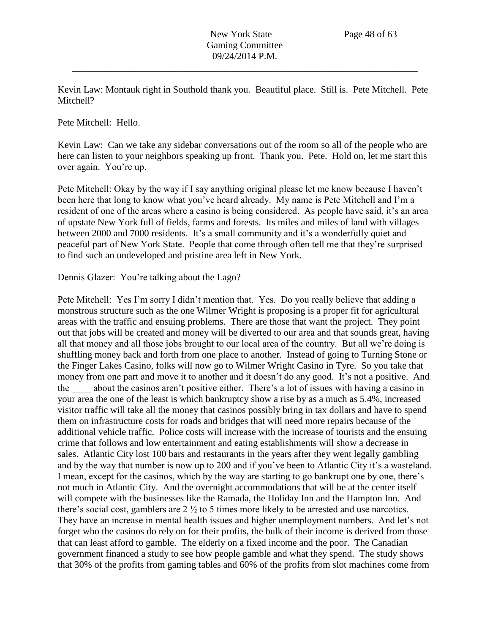Kevin Law: Montauk right in Southold thank you. Beautiful place. Still is. Pete Mitchell. Pete Mitchell?

Pete Mitchell: Hello.

Kevin Law: Can we take any sidebar conversations out of the room so all of the people who are here can listen to your neighbors speaking up front. Thank you. Pete. Hold on, let me start this over again. You're up.

Pete Mitchell: Okay by the way if I say anything original please let me know because I haven't been here that long to know what you've heard already. My name is Pete Mitchell and I'm a resident of one of the areas where a casino is being considered. As people have said, it's an area of upstate New York full of fields, farms and forests. Its miles and miles of land with villages between 2000 and 7000 residents. It's a small community and it's a wonderfully quiet and peaceful part of New York State. People that come through often tell me that they're surprised to find such an undeveloped and pristine area left in New York.

Dennis Glazer: You're talking about the Lago?

Pete Mitchell: Yes I'm sorry I didn't mention that. Yes. Do you really believe that adding a monstrous structure such as the one Wilmer Wright is proposing is a proper fit for agricultural areas with the traffic and ensuing problems. There are those that want the project. They point out that jobs will be created and money will be diverted to our area and that sounds great, having all that money and all those jobs brought to our local area of the country. But all we're doing is shuffling money back and forth from one place to another. Instead of going to Turning Stone or the Finger Lakes Casino, folks will now go to Wilmer Wright Casino in Tyre. So you take that money from one part and move it to another and it doesn't do any good. It's not a positive. And the \_\_\_\_ about the casinos aren't positive either. There's a lot of issues with having a casino in your area the one of the least is which bankruptcy show a rise by as a much as 5.4%, increased visitor traffic will take all the money that casinos possibly bring in tax dollars and have to spend them on infrastructure costs for roads and bridges that will need more repairs because of the additional vehicle traffic. Police costs will increase with the increase of tourists and the ensuing crime that follows and low entertainment and eating establishments will show a decrease in sales. Atlantic City lost 100 bars and restaurants in the years after they went legally gambling and by the way that number is now up to 200 and if you've been to Atlantic City it's a wasteland. I mean, except for the casinos, which by the way are starting to go bankrupt one by one, there's not much in Atlantic City. And the overnight accommodations that will be at the center itself will compete with the businesses like the Ramada, the Holiday Inn and the Hampton Inn. And there's social cost, gamblers are 2 ½ to 5 times more likely to be arrested and use narcotics. They have an increase in mental health issues and higher unemployment numbers. And let's not forget who the casinos do rely on for their profits, the bulk of their income is derived from those that can least afford to gamble. The elderly on a fixed income and the poor. The Canadian government financed a study to see how people gamble and what they spend. The study shows that 30% of the profits from gaming tables and 60% of the profits from slot machines come from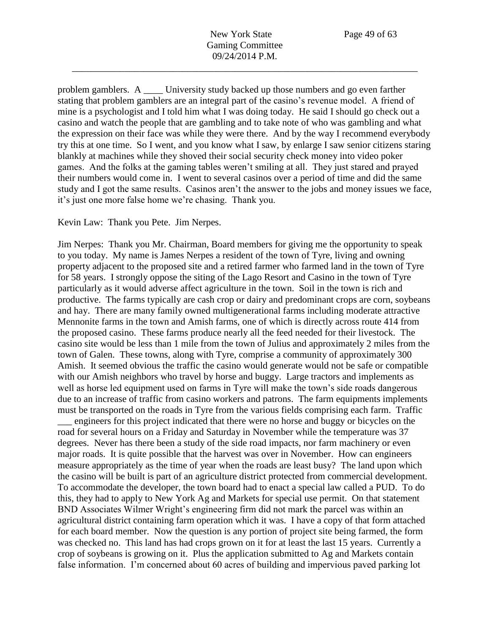problem gamblers. A \_\_\_\_ University study backed up those numbers and go even farther stating that problem gamblers are an integral part of the casino's revenue model. A friend of mine is a psychologist and I told him what I was doing today. He said I should go check out a casino and watch the people that are gambling and to take note of who was gambling and what the expression on their face was while they were there. And by the way I recommend everybody try this at one time. So I went, and you know what I saw, by enlarge I saw senior citizens staring blankly at machines while they shoved their social security check money into video poker games. And the folks at the gaming tables weren't smiling at all. They just stared and prayed their numbers would come in. I went to several casinos over a period of time and did the same study and I got the same results. Casinos aren't the answer to the jobs and money issues we face, it's just one more false home we're chasing. Thank you.

Kevin Law: Thank you Pete. Jim Nerpes.

Jim Nerpes: Thank you Mr. Chairman, Board members for giving me the opportunity to speak to you today. My name is James Nerpes a resident of the town of Tyre, living and owning property adjacent to the proposed site and a retired farmer who farmed land in the town of Tyre for 58 years. I strongly oppose the siting of the Lago Resort and Casino in the town of Tyre particularly as it would adverse affect agriculture in the town. Soil in the town is rich and productive. The farms typically are cash crop or dairy and predominant crops are corn, soybeans and hay. There are many family owned multigenerational farms including moderate attractive Mennonite farms in the town and Amish farms, one of which is directly across route 414 from the proposed casino. These farms produce nearly all the feed needed for their livestock. The casino site would be less than 1 mile from the town of Julius and approximately 2 miles from the town of Galen. These towns, along with Tyre, comprise a community of approximately 300 Amish. It seemed obvious the traffic the casino would generate would not be safe or compatible with our Amish neighbors who travel by horse and buggy. Large tractors and implements as well as horse led equipment used on farms in Tyre will make the town's side roads dangerous due to an increase of traffic from casino workers and patrons. The farm equipments implements must be transported on the roads in Tyre from the various fields comprising each farm. Traffic

engineers for this project indicated that there were no horse and buggy or bicycles on the road for several hours on a Friday and Saturday in November while the temperature was 37 degrees. Never has there been a study of the side road impacts, nor farm machinery or even major roads. It is quite possible that the harvest was over in November. How can engineers measure appropriately as the time of year when the roads are least busy? The land upon which the casino will be built is part of an agriculture district protected from commercial development. To accommodate the developer, the town board had to enact a special law called a PUD. To do this, they had to apply to New York Ag and Markets for special use permit. On that statement BND Associates Wilmer Wright's engineering firm did not mark the parcel was within an agricultural district containing farm operation which it was. I have a copy of that form attached for each board member. Now the question is any portion of project site being farmed, the form was checked no. This land has had crops grown on it for at least the last 15 years. Currently a crop of soybeans is growing on it. Plus the application submitted to Ag and Markets contain false information. I'm concerned about 60 acres of building and impervious paved parking lot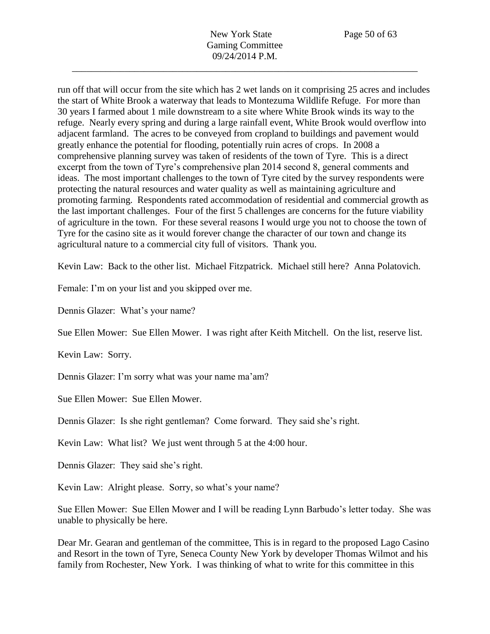run off that will occur from the site which has 2 wet lands on it comprising 25 acres and includes the start of White Brook a waterway that leads to Montezuma Wildlife Refuge. For more than 30 years I farmed about 1 mile downstream to a site where White Brook winds its way to the refuge. Nearly every spring and during a large rainfall event, White Brook would overflow into adjacent farmland. The acres to be conveyed from cropland to buildings and pavement would greatly enhance the potential for flooding, potentially ruin acres of crops. In 2008 a comprehensive planning survey was taken of residents of the town of Tyre. This is a direct excerpt from the town of Tyre's comprehensive plan 2014 second 8, general comments and ideas. The most important challenges to the town of Tyre cited by the survey respondents were protecting the natural resources and water quality as well as maintaining agriculture and promoting farming. Respondents rated accommodation of residential and commercial growth as the last important challenges. Four of the first 5 challenges are concerns for the future viability of agriculture in the town. For these several reasons I would urge you not to choose the town of Tyre for the casino site as it would forever change the character of our town and change its agricultural nature to a commercial city full of visitors. Thank you.

Kevin Law: Back to the other list. Michael Fitzpatrick. Michael still here? Anna Polatovich.

Female: I'm on your list and you skipped over me.

Dennis Glazer: What's your name?

Sue Ellen Mower: Sue Ellen Mower. I was right after Keith Mitchell. On the list, reserve list.

Kevin Law: Sorry.

Dennis Glazer: I'm sorry what was your name ma'am?

Sue Ellen Mower: Sue Ellen Mower.

Dennis Glazer: Is she right gentleman? Come forward. They said she's right.

Kevin Law: What list? We just went through 5 at the 4:00 hour.

Dennis Glazer: They said she's right.

Kevin Law: Alright please. Sorry, so what's your name?

Sue Ellen Mower: Sue Ellen Mower and I will be reading Lynn Barbudo's letter today. She was unable to physically be here.

Dear Mr. Gearan and gentleman of the committee, This is in regard to the proposed Lago Casino and Resort in the town of Tyre, Seneca County New York by developer Thomas Wilmot and his family from Rochester, New York. I was thinking of what to write for this committee in this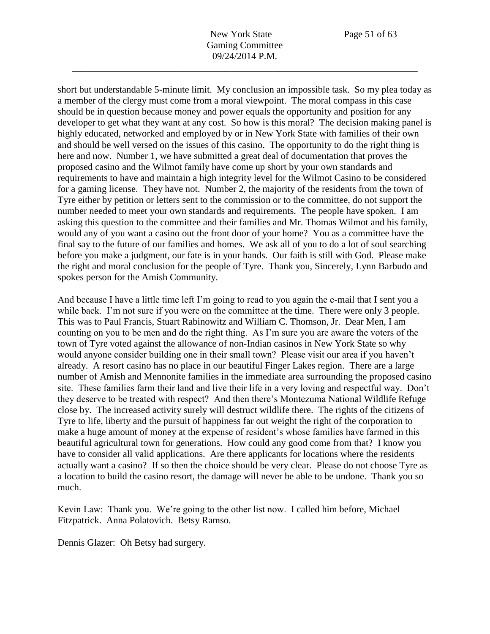short but understandable 5-minute limit. My conclusion an impossible task. So my plea today as a member of the clergy must come from a moral viewpoint. The moral compass in this case should be in question because money and power equals the opportunity and position for any developer to get what they want at any cost. So how is this moral? The decision making panel is highly educated, networked and employed by or in New York State with families of their own and should be well versed on the issues of this casino. The opportunity to do the right thing is here and now. Number 1, we have submitted a great deal of documentation that proves the proposed casino and the Wilmot family have come up short by your own standards and requirements to have and maintain a high integrity level for the Wilmot Casino to be considered for a gaming license. They have not. Number 2, the majority of the residents from the town of Tyre either by petition or letters sent to the commission or to the committee, do not support the number needed to meet your own standards and requirements. The people have spoken. I am asking this question to the committee and their families and Mr. Thomas Wilmot and his family, would any of you want a casino out the front door of your home? You as a committee have the final say to the future of our families and homes. We ask all of you to do a lot of soul searching before you make a judgment, our fate is in your hands. Our faith is still with God. Please make the right and moral conclusion for the people of Tyre. Thank you, Sincerely, Lynn Barbudo and spokes person for the Amish Community.

And because I have a little time left I'm going to read to you again the e-mail that I sent you a while back. I'm not sure if you were on the committee at the time. There were only 3 people. This was to Paul Francis, Stuart Rabinowitz and William C. Thomson, Jr. Dear Men, I am counting on you to be men and do the right thing. As I'm sure you are aware the voters of the town of Tyre voted against the allowance of non-Indian casinos in New York State so why would anyone consider building one in their small town? Please visit our area if you haven't already. A resort casino has no place in our beautiful Finger Lakes region. There are a large number of Amish and Mennonite families in the immediate area surrounding the proposed casino site. These families farm their land and live their life in a very loving and respectful way. Don't they deserve to be treated with respect? And then there's Montezuma National Wildlife Refuge close by. The increased activity surely will destruct wildlife there. The rights of the citizens of Tyre to life, liberty and the pursuit of happiness far out weight the right of the corporation to make a huge amount of money at the expense of resident's whose families have farmed in this beautiful agricultural town for generations. How could any good come from that? I know you have to consider all valid applications. Are there applicants for locations where the residents actually want a casino? If so then the choice should be very clear. Please do not choose Tyre as a location to build the casino resort, the damage will never be able to be undone. Thank you so much.

Kevin Law: Thank you. We're going to the other list now. I called him before, Michael Fitzpatrick. Anna Polatovich. Betsy Ramso.

Dennis Glazer: Oh Betsy had surgery.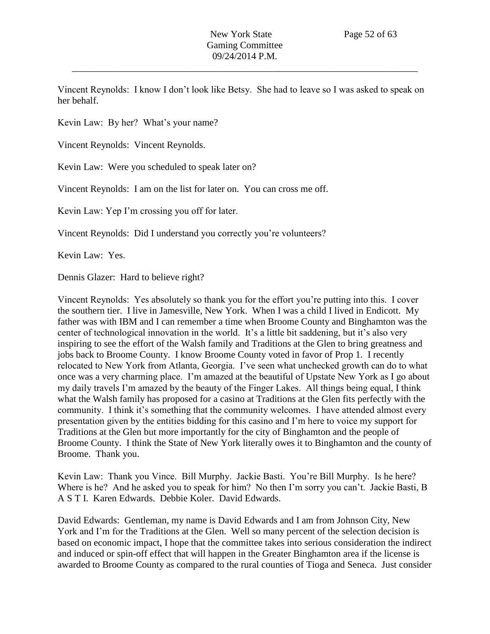Vincent Reynolds: I know I don't look like Betsy. She had to leave so I was asked to speak on her behalf.

Kevin Law: By her? What's your name?

Vincent Reynolds: Vincent Reynolds.

Kevin Law: Were you scheduled to speak later on?

Vincent Reynolds: I am on the list for later on. You can cross me off.

Kevin Law: Yep I'm crossing you off for later.

Vincent Reynolds: Did I understand you correctly you're volunteers?

Kevin Law: Yes.

Dennis Glazer: Hard to believe right?

Vincent Reynolds: Yes absolutely so thank you for the effort you're putting into this. I cover the southern tier. I live in Jamesville, New York. When I was a child I lived in Endicott. My father was with IBM and I can remember a time when Broome County and Binghamton was the center of technological innovation in the world. It's a little bit saddening, but it's also very inspiring to see the effort of the Walsh family and Traditions at the Glen to bring greatness and jobs back to Broome County. I know Broome County voted in favor of Prop 1. I recently relocated to New York from Atlanta, Georgia. I've seen what unchecked growth can do to what once was a very charming place. I'm amazed at the beautiful of Upstate New York as I go about my daily travels I'm amazed by the beauty of the Finger Lakes. All things being equal, I think what the Walsh family has proposed for a casino at Traditions at the Glen fits perfectly with the community. I think it's something that the community welcomes. I have attended almost every presentation given by the entities bidding for this casino and I'm here to voice my support for Traditions at the Glen but more importantly for the city of Binghamton and the people of Broome County. I think the State of New York literally owes it to Binghamton and the county of Broome. Thank you.

Kevin Law: Thank you Vince. Bill Murphy. Jackie Basti. You're Bill Murphy. Is he here? Where is he? And he asked you to speak for him? No then I'm sorry you can't. Jackie Basti, B A S T I. Karen Edwards. Debbie Koler. David Edwards.

David Edwards: Gentleman, my name is David Edwards and I am from Johnson City, New York and I'm for the Traditions at the Glen. Well so many percent of the selection decision is based on economic impact, I hope that the committee takes into serious consideration the indirect and induced or spin-off effect that will happen in the Greater Binghamton area if the license is awarded to Broome County as compared to the rural counties of Tioga and Seneca. Just consider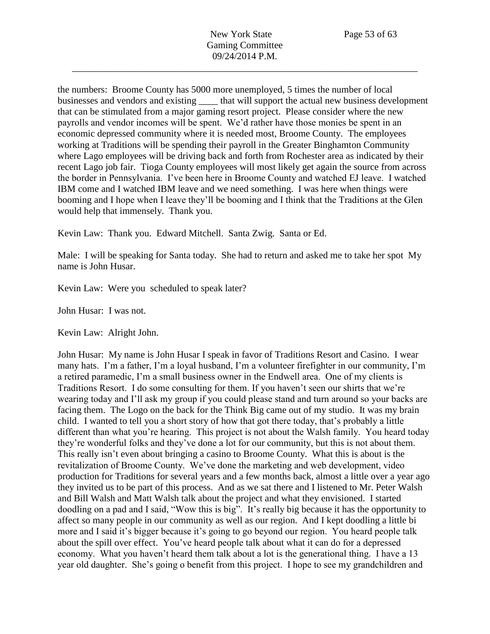the numbers: Broome County has 5000 more unemployed, 5 times the number of local businesses and vendors and existing that will support the actual new business development that can be stimulated from a major gaming resort project. Please consider where the new payrolls and vendor incomes will be spent. We'd rather have those monies be spent in an economic depressed community where it is needed most, Broome County. The employees working at Traditions will be spending their payroll in the Greater Binghamton Community where Lago employees will be driving back and forth from Rochester area as indicated by their recent Lago job fair. Tioga County employees will most likely get again the source from across the border in Pennsylvania. I've been here in Broome County and watched EJ leave. I watched IBM come and I watched IBM leave and we need something. I was here when things were booming and I hope when I leave they'll be booming and I think that the Traditions at the Glen would help that immensely. Thank you.

Kevin Law: Thank you. Edward Mitchell. Santa Zwig. Santa or Ed.

Male: I will be speaking for Santa today. She had to return and asked me to take her spot My name is John Husar.

Kevin Law: Were you scheduled to speak later?

John Husar: I was not.

Kevin Law: Alright John.

John Husar: My name is John Husar I speak in favor of Traditions Resort and Casino. I wear many hats. I'm a father, I'm a loyal husband, I'm a volunteer firefighter in our community, I'm a retired paramedic, I'm a small business owner in the Endwell area. One of my clients is Traditions Resort. I do some consulting for them. If you haven't seen our shirts that we're wearing today and I'll ask my group if you could please stand and turn around so your backs are facing them. The Logo on the back for the Think Big came out of my studio. It was my brain child. I wanted to tell you a short story of how that got there today, that's probably a little different than what you're hearing. This project is not about the Walsh family. You heard today they're wonderful folks and they've done a lot for our community, but this is not about them. This really isn't even about bringing a casino to Broome County. What this is about is the revitalization of Broome County. We've done the marketing and web development, video production for Traditions for several years and a few months back, almost a little over a year ago they invited us to be part of this process. And as we sat there and I listened to Mr. Peter Walsh and Bill Walsh and Matt Walsh talk about the project and what they envisioned. I started doodling on a pad and I said, "Wow this is big". It's really big because it has the opportunity to affect so many people in our community as well as our region. And I kept doodling a little bi more and I said it's bigger because it's going to go beyond our region. You heard people talk about the spill over effect. You've heard people talk about what it can do for a depressed economy. What you haven't heard them talk about a lot is the generational thing. I have a 13 year old daughter. She's going o benefit from this project. I hope to see my grandchildren and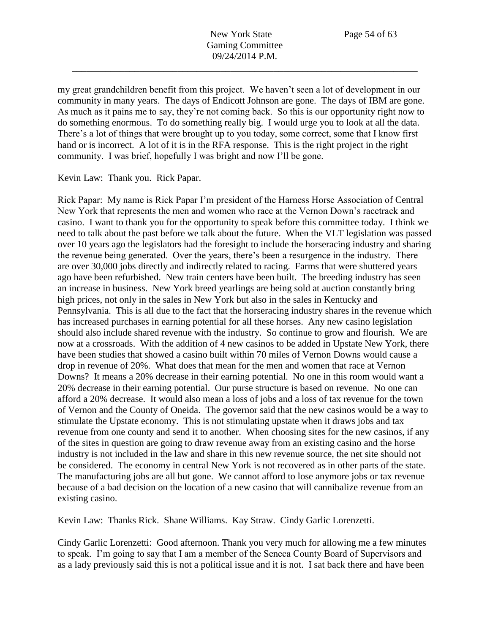my great grandchildren benefit from this project. We haven't seen a lot of development in our community in many years. The days of Endicott Johnson are gone. The days of IBM are gone. As much as it pains me to say, they're not coming back. So this is our opportunity right now to do something enormous. To do something really big. I would urge you to look at all the data. There's a lot of things that were brought up to you today, some correct, some that I know first hand or is incorrect. A lot of it is in the RFA response. This is the right project in the right community. I was brief, hopefully I was bright and now I'll be gone.

Kevin Law: Thank you. Rick Papar.

Rick Papar: My name is Rick Papar I'm president of the Harness Horse Association of Central New York that represents the men and women who race at the Vernon Down's racetrack and casino. I want to thank you for the opportunity to speak before this committee today. I think we need to talk about the past before we talk about the future. When the VLT legislation was passed over 10 years ago the legislators had the foresight to include the horseracing industry and sharing the revenue being generated. Over the years, there's been a resurgence in the industry. There are over 30,000 jobs directly and indirectly related to racing. Farms that were shuttered years ago have been refurbished. New train centers have been built. The breeding industry has seen an increase in business. New York breed yearlings are being sold at auction constantly bring high prices, not only in the sales in New York but also in the sales in Kentucky and Pennsylvania. This is all due to the fact that the horseracing industry shares in the revenue which has increased purchases in earning potential for all these horses. Any new casino legislation should also include shared revenue with the industry. So continue to grow and flourish. We are now at a crossroads. With the addition of 4 new casinos to be added in Upstate New York, there have been studies that showed a casino built within 70 miles of Vernon Downs would cause a drop in revenue of 20%. What does that mean for the men and women that race at Vernon Downs? It means a 20% decrease in their earning potential. No one in this room would want a 20% decrease in their earning potential. Our purse structure is based on revenue. No one can afford a 20% decrease. It would also mean a loss of jobs and a loss of tax revenue for the town of Vernon and the County of Oneida. The governor said that the new casinos would be a way to stimulate the Upstate economy. This is not stimulating upstate when it draws jobs and tax revenue from one county and send it to another. When choosing sites for the new casinos, if any of the sites in question are going to draw revenue away from an existing casino and the horse industry is not included in the law and share in this new revenue source, the net site should not be considered. The economy in central New York is not recovered as in other parts of the state. The manufacturing jobs are all but gone. We cannot afford to lose anymore jobs or tax revenue because of a bad decision on the location of a new casino that will cannibalize revenue from an existing casino.

Kevin Law: Thanks Rick. Shane Williams. Kay Straw. Cindy Garlic Lorenzetti.

Cindy Garlic Lorenzetti: Good afternoon. Thank you very much for allowing me a few minutes to speak. I'm going to say that I am a member of the Seneca County Board of Supervisors and as a lady previously said this is not a political issue and it is not. I sat back there and have been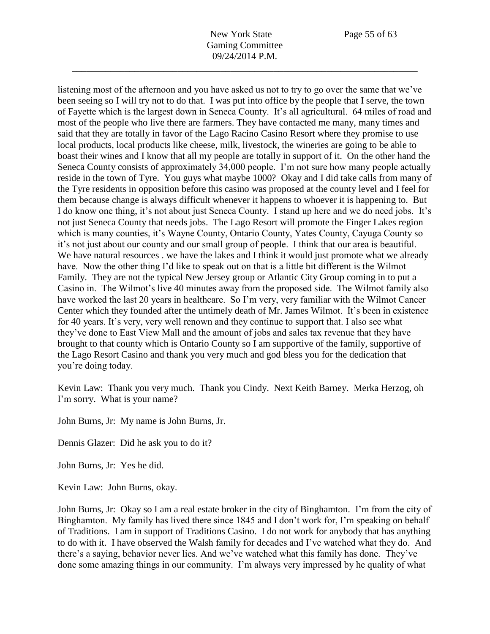listening most of the afternoon and you have asked us not to try to go over the same that we've been seeing so I will try not to do that. I was put into office by the people that I serve, the town of Fayette which is the largest down in Seneca County. It's all agricultural. 64 miles of road and most of the people who live there are farmers. They have contacted me many, many times and said that they are totally in favor of the Lago Racino Casino Resort where they promise to use local products, local products like cheese, milk, livestock, the wineries are going to be able to boast their wines and I know that all my people are totally in support of it. On the other hand the Seneca County consists of approximately 34,000 people. I'm not sure how many people actually reside in the town of Tyre. You guys what maybe 1000? Okay and I did take calls from many of the Tyre residents in opposition before this casino was proposed at the county level and I feel for them because change is always difficult whenever it happens to whoever it is happening to. But I do know one thing, it's not about just Seneca County. I stand up here and we do need jobs. It's not just Seneca County that needs jobs. The Lago Resort will promote the Finger Lakes region which is many counties, it's Wayne County, Ontario County, Yates County, Cayuga County so it's not just about our county and our small group of people. I think that our area is beautiful. We have natural resources . we have the lakes and I think it would just promote what we already have. Now the other thing I'd like to speak out on that is a little bit different is the Wilmot Family. They are not the typical New Jersey group or Atlantic City Group coming in to put a Casino in. The Wilmot's live 40 minutes away from the proposed side. The Wilmot family also have worked the last 20 years in healthcare. So I'm very, very familiar with the Wilmot Cancer Center which they founded after the untimely death of Mr. James Wilmot. It's been in existence for 40 years. It's very, very well renown and they continue to support that. I also see what they've done to East View Mall and the amount of jobs and sales tax revenue that they have brought to that county which is Ontario County so I am supportive of the family, supportive of the Lago Resort Casino and thank you very much and god bless you for the dedication that you're doing today.

Kevin Law: Thank you very much. Thank you Cindy. Next Keith Barney. Merka Herzog, oh I'm sorry. What is your name?

John Burns, Jr: My name is John Burns, Jr.

Dennis Glazer: Did he ask you to do it?

John Burns, Jr: Yes he did.

Kevin Law: John Burns, okay.

John Burns, Jr: Okay so I am a real estate broker in the city of Binghamton. I'm from the city of Binghamton. My family has lived there since 1845 and I don't work for, I'm speaking on behalf of Traditions. I am in support of Traditions Casino. I do not work for anybody that has anything to do with it. I have observed the Walsh family for decades and I've watched what they do. And there's a saying, behavior never lies. And we've watched what this family has done. They've done some amazing things in our community. I'm always very impressed by he quality of what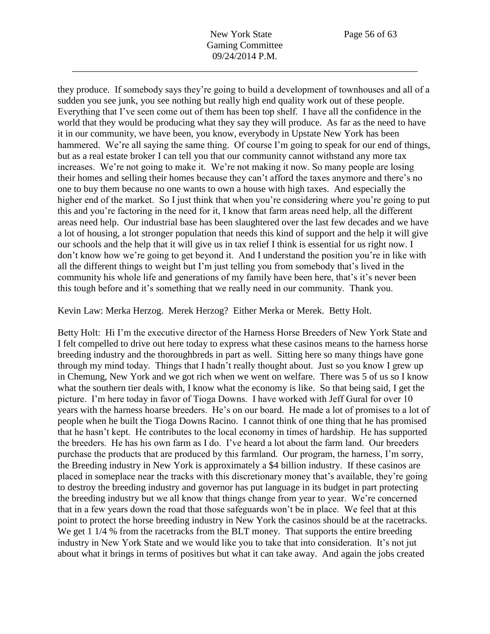they produce. If somebody says they're going to build a development of townhouses and all of a sudden you see junk, you see nothing but really high end quality work out of these people. Everything that I've seen come out of them has been top shelf. I have all the confidence in the world that they would be producing what they say they will produce. As far as the need to have it in our community, we have been, you know, everybody in Upstate New York has been hammered. We're all saying the same thing. Of course I'm going to speak for our end of things, but as a real estate broker I can tell you that our community cannot withstand any more tax increases. We're not going to make it. We're not making it now. So many people are losing their homes and selling their homes because they can't afford the taxes anymore and there's no one to buy them because no one wants to own a house with high taxes. And especially the higher end of the market. So I just think that when you're considering where you're going to put this and you're factoring in the need for it, I know that farm areas need help, all the different areas need help. Our industrial base has been slaughtered over the last few decades and we have a lot of housing, a lot stronger population that needs this kind of support and the help it will give our schools and the help that it will give us in tax relief I think is essential for us right now. I don't know how we're going to get beyond it. And I understand the position you're in like with all the different things to weight but I'm just telling you from somebody that's lived in the community his whole life and generations of my family have been here, that's it's never been this tough before and it's something that we really need in our community. Thank you.

Kevin Law: Merka Herzog. Merek Herzog? Either Merka or Merek. Betty Holt.

Betty Holt: Hi I'm the executive director of the Harness Horse Breeders of New York State and I felt compelled to drive out here today to express what these casinos means to the harness horse breeding industry and the thoroughbreds in part as well. Sitting here so many things have gone through my mind today. Things that I hadn't really thought about. Just so you know I grew up in Chemung, New York and we got rich when we went on welfare. There was 5 of us so I know what the southern tier deals with, I know what the economy is like. So that being said, I get the picture. I'm here today in favor of Tioga Downs. I have worked with Jeff Gural for over 10 years with the harness hoarse breeders. He's on our board. He made a lot of promises to a lot of people when he built the Tioga Downs Racino. I cannot think of one thing that he has promised that he hasn't kept. He contributes to the local economy in times of hardship. He has supported the breeders. He has his own farm as I do. I've heard a lot about the farm land. Our breeders purchase the products that are produced by this farmland. Our program, the harness, I'm sorry, the Breeding industry in New York is approximately a \$4 billion industry. If these casinos are placed in someplace near the tracks with this discretionary money that's available, they're going to destroy the breeding industry and governor has put language in its budget in part protecting the breeding industry but we all know that things change from year to year. We're concerned that in a few years down the road that those safeguards won't be in place. We feel that at this point to protect the horse breeding industry in New York the casinos should be at the racetracks. We get 1 1/4 % from the racetracks from the BLT money. That supports the entire breeding industry in New York State and we would like you to take that into consideration. It's not jut about what it brings in terms of positives but what it can take away. And again the jobs created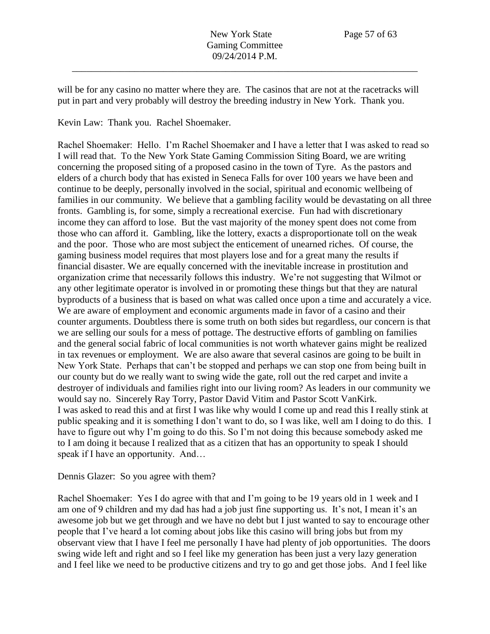will be for any casino no matter where they are. The casinos that are not at the racetracks will put in part and very probably will destroy the breeding industry in New York. Thank you.

Kevin Law: Thank you. Rachel Shoemaker.

Rachel Shoemaker: Hello. I'm Rachel Shoemaker and I have a letter that I was asked to read so I will read that. To the New York State Gaming Commission Siting Board, we are writing concerning the proposed siting of a proposed casino in the town of Tyre. As the pastors and elders of a church body that has existed in Seneca Falls for over 100 years we have been and continue to be deeply, personally involved in the social, spiritual and economic wellbeing of families in our community. We believe that a gambling facility would be devastating on all three fronts. Gambling is, for some, simply a recreational exercise. Fun had with discretionary income they can afford to lose. But the vast majority of the money spent does not come from those who can afford it. Gambling, like the lottery, exacts a disproportionate toll on the weak and the poor. Those who are most subject the enticement of unearned riches. Of course, the gaming business model requires that most players lose and for a great many the results if financial disaster. We are equally concerned with the inevitable increase in prostitution and organization crime that necessarily follows this industry. We're not suggesting that Wilmot or any other legitimate operator is involved in or promoting these things but that they are natural byproducts of a business that is based on what was called once upon a time and accurately a vice. We are aware of employment and economic arguments made in favor of a casino and their counter arguments. Doubtless there is some truth on both sides but regardless, our concern is that we are selling our souls for a mess of pottage. The destructive efforts of gambling on families and the general social fabric of local communities is not worth whatever gains might be realized in tax revenues or employment. We are also aware that several casinos are going to be built in New York State. Perhaps that can't be stopped and perhaps we can stop one from being built in our county but do we really want to swing wide the gate, roll out the red carpet and invite a destroyer of individuals and families right into our living room? As leaders in our community we would say no. Sincerely Ray Torry, Pastor David Vitim and Pastor Scott VanKirk. I was asked to read this and at first I was like why would I come up and read this I really stink at public speaking and it is something I don't want to do, so I was like, well am I doing to do this. I have to figure out why I'm going to do this. So I'm not doing this because somebody asked me to I am doing it because I realized that as a citizen that has an opportunity to speak I should speak if I have an opportunity. And...

Dennis Glazer: So you agree with them?

Rachel Shoemaker: Yes I do agree with that and I'm going to be 19 years old in 1 week and I am one of 9 children and my dad has had a job just fine supporting us. It's not, I mean it's an awesome job but we get through and we have no debt but I just wanted to say to encourage other people that I've heard a lot coming about jobs like this casino will bring jobs but from my observant view that I have I feel me personally I have had plenty of job opportunities. The doors swing wide left and right and so I feel like my generation has been just a very lazy generation and I feel like we need to be productive citizens and try to go and get those jobs. And I feel like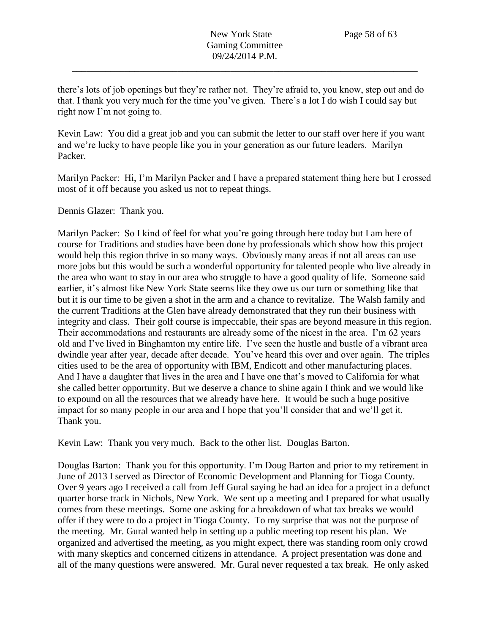there's lots of job openings but they're rather not. They're afraid to, you know, step out and do that. I thank you very much for the time you've given. There's a lot I do wish I could say but right now I'm not going to.

Kevin Law: You did a great job and you can submit the letter to our staff over here if you want and we're lucky to have people like you in your generation as our future leaders. Marilyn Packer.

Marilyn Packer: Hi, I'm Marilyn Packer and I have a prepared statement thing here but I crossed most of it off because you asked us not to repeat things.

Dennis Glazer: Thank you.

Marilyn Packer: So I kind of feel for what you're going through here today but I am here of course for Traditions and studies have been done by professionals which show how this project would help this region thrive in so many ways. Obviously many areas if not all areas can use more jobs but this would be such a wonderful opportunity for talented people who live already in the area who want to stay in our area who struggle to have a good quality of life. Someone said earlier, it's almost like New York State seems like they owe us our turn or something like that but it is our time to be given a shot in the arm and a chance to revitalize. The Walsh family and the current Traditions at the Glen have already demonstrated that they run their business with integrity and class. Their golf course is impeccable, their spas are beyond measure in this region. Their accommodations and restaurants are already some of the nicest in the area. I'm 62 years old and I've lived in Binghamton my entire life. I've seen the hustle and bustle of a vibrant area dwindle year after year, decade after decade. You've heard this over and over again. The triples cities used to be the area of opportunity with IBM, Endicott and other manufacturing places. And I have a daughter that lives in the area and I have one that's moved to California for what she called better opportunity. But we deserve a chance to shine again I think and we would like to expound on all the resources that we already have here. It would be such a huge positive impact for so many people in our area and I hope that you'll consider that and we'll get it. Thank you.

Kevin Law: Thank you very much. Back to the other list. Douglas Barton.

Douglas Barton: Thank you for this opportunity. I'm Doug Barton and prior to my retirement in June of 2013 I served as Director of Economic Development and Planning for Tioga County. Over 9 years ago I received a call from Jeff Gural saying he had an idea for a project in a defunct quarter horse track in Nichols, New York. We sent up a meeting and I prepared for what usually comes from these meetings. Some one asking for a breakdown of what tax breaks we would offer if they were to do a project in Tioga County. To my surprise that was not the purpose of the meeting. Mr. Gural wanted help in setting up a public meeting top resent his plan. We organized and advertised the meeting, as you might expect, there was standing room only crowd with many skeptics and concerned citizens in attendance. A project presentation was done and all of the many questions were answered. Mr. Gural never requested a tax break. He only asked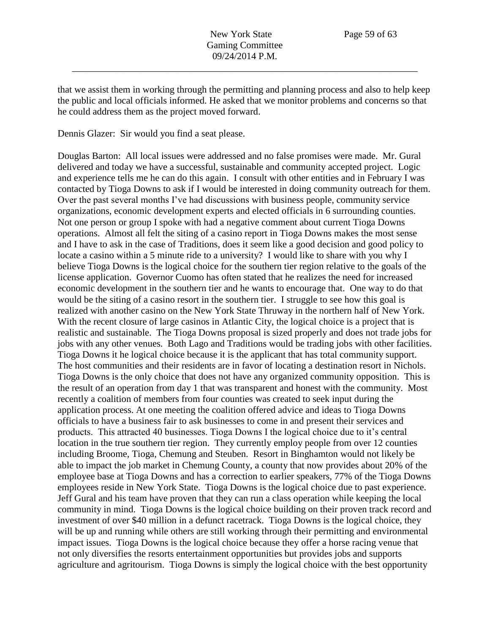that we assist them in working through the permitting and planning process and also to help keep the public and local officials informed. He asked that we monitor problems and concerns so that he could address them as the project moved forward.

Dennis Glazer: Sir would you find a seat please.

Douglas Barton: All local issues were addressed and no false promises were made. Mr. Gural delivered and today we have a successful, sustainable and community accepted project. Logic and experience tells me he can do this again. I consult with other entities and in February I was contacted by Tioga Downs to ask if I would be interested in doing community outreach for them. Over the past several months I've had discussions with business people, community service organizations, economic development experts and elected officials in 6 surrounding counties. Not one person or group I spoke with had a negative comment about current Tioga Downs operations. Almost all felt the siting of a casino report in Tioga Downs makes the most sense and I have to ask in the case of Traditions, does it seem like a good decision and good policy to locate a casino within a 5 minute ride to a university? I would like to share with you why I believe Tioga Downs is the logical choice for the southern tier region relative to the goals of the license application. Governor Cuomo has often stated that he realizes the need for increased economic development in the southern tier and he wants to encourage that. One way to do that would be the siting of a casino resort in the southern tier. I struggle to see how this goal is realized with another casino on the New York State Thruway in the northern half of New York. With the recent closure of large casinos in Atlantic City, the logical choice is a project that is realistic and sustainable. The Tioga Downs proposal is sized properly and does not trade jobs for jobs with any other venues. Both Lago and Traditions would be trading jobs with other facilities. Tioga Downs it he logical choice because it is the applicant that has total community support. The host communities and their residents are in favor of locating a destination resort in Nichols. Tioga Downs is the only choice that does not have any organized community opposition. This is the result of an operation from day 1 that was transparent and honest with the community. Most recently a coalition of members from four counties was created to seek input during the application process. At one meeting the coalition offered advice and ideas to Tioga Downs officials to have a business fair to ask businesses to come in and present their services and products. This attracted 40 businesses. Tioga Downs I the logical choice due to it's central location in the true southern tier region. They currently employ people from over 12 counties including Broome, Tioga, Chemung and Steuben. Resort in Binghamton would not likely be able to impact the job market in Chemung County, a county that now provides about 20% of the employee base at Tioga Downs and has a correction to earlier speakers, 77% of the Tioga Downs employees reside in New York State. Tioga Downs is the logical choice due to past experience. Jeff Gural and his team have proven that they can run a class operation while keeping the local community in mind. Tioga Downs is the logical choice building on their proven track record and investment of over \$40 million in a defunct racetrack. Tioga Downs is the logical choice, they will be up and running while others are still working through their permitting and environmental impact issues. Tioga Downs is the logical choice because they offer a horse racing venue that not only diversifies the resorts entertainment opportunities but provides jobs and supports agriculture and agritourism. Tioga Downs is simply the logical choice with the best opportunity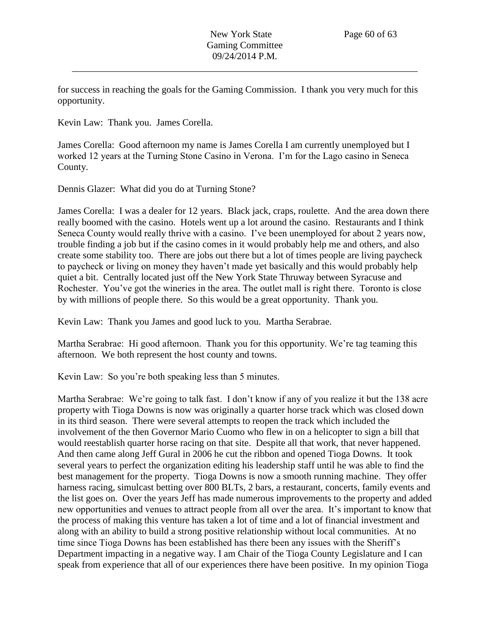for success in reaching the goals for the Gaming Commission. I thank you very much for this opportunity.

Kevin Law: Thank you. James Corella.

James Corella: Good afternoon my name is James Corella I am currently unemployed but I worked 12 years at the Turning Stone Casino in Verona. I'm for the Lago casino in Seneca County.

Dennis Glazer: What did you do at Turning Stone?

James Corella: I was a dealer for 12 years. Black jack, craps, roulette. And the area down there really boomed with the casino. Hotels went up a lot around the casino. Restaurants and I think Seneca County would really thrive with a casino. I've been unemployed for about 2 years now, trouble finding a job but if the casino comes in it would probably help me and others, and also create some stability too. There are jobs out there but a lot of times people are living paycheck to paycheck or living on money they haven't made yet basically and this would probably help quiet a bit. Centrally located just off the New York State Thruway between Syracuse and Rochester. You've got the wineries in the area. The outlet mall is right there. Toronto is close by with millions of people there. So this would be a great opportunity. Thank you.

Kevin Law: Thank you James and good luck to you. Martha Serabrae.

Martha Serabrae: Hi good afternoon. Thank you for this opportunity. We're tag teaming this afternoon. We both represent the host county and towns.

Kevin Law: So you're both speaking less than 5 minutes.

Martha Serabrae: We're going to talk fast. I don't know if any of you realize it but the 138 acre property with Tioga Downs is now was originally a quarter horse track which was closed down in its third season. There were several attempts to reopen the track which included the involvement of the then Governor Mario Cuomo who flew in on a helicopter to sign a bill that would reestablish quarter horse racing on that site. Despite all that work, that never happened. And then came along Jeff Gural in 2006 he cut the ribbon and opened Tioga Downs. It took several years to perfect the organization editing his leadership staff until he was able to find the best management for the property. Tioga Downs is now a smooth running machine. They offer harness racing, simulcast betting over 800 BLTs, 2 bars, a restaurant, concerts, family events and the list goes on. Over the years Jeff has made numerous improvements to the property and added new opportunities and venues to attract people from all over the area. It's important to know that the process of making this venture has taken a lot of time and a lot of financial investment and along with an ability to build a strong positive relationship without local communities. At no time since Tioga Downs has been established has there been any issues with the Sheriff's Department impacting in a negative way. I am Chair of the Tioga County Legislature and I can speak from experience that all of our experiences there have been positive. In my opinion Tioga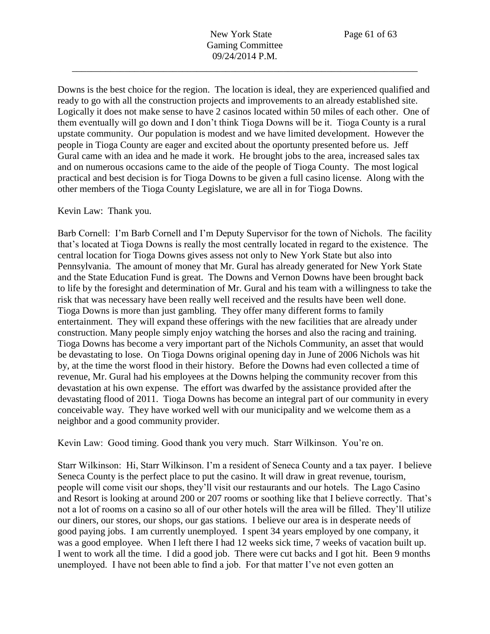Downs is the best choice for the region. The location is ideal, they are experienced qualified and ready to go with all the construction projects and improvements to an already established site. Logically it does not make sense to have 2 casinos located within 50 miles of each other. One of them eventually will go down and I don't think Tioga Downs will be it. Tioga County is a rural upstate community. Our population is modest and we have limited development. However the people in Tioga County are eager and excited about the oportunty presented before us. Jeff Gural came with an idea and he made it work. He brought jobs to the area, increased sales tax and on numerous occasions came to the aide of the people of Tioga County. The most logical practical and best decision is for Tioga Downs to be given a full casino license. Along with the other members of the Tioga County Legislature, we are all in for Tioga Downs.

Kevin Law: Thank you.

Barb Cornell: I'm Barb Cornell and I'm Deputy Supervisor for the town of Nichols. The facility that's located at Tioga Downs is really the most centrally located in regard to the existence. The central location for Tioga Downs gives assess not only to New York State but also into Pennsylvania. The amount of money that Mr. Gural has already generated for New York State and the State Education Fund is great. The Downs and Vernon Downs have been brought back to life by the foresight and determination of Mr. Gural and his team with a willingness to take the risk that was necessary have been really well received and the results have been well done. Tioga Downs is more than just gambling. They offer many different forms to family entertainment. They will expand these offerings with the new facilities that are already under construction. Many people simply enjoy watching the horses and also the racing and training. Tioga Downs has become a very important part of the Nichols Community, an asset that would be devastating to lose. On Tioga Downs original opening day in June of 2006 Nichols was hit by, at the time the worst flood in their history. Before the Downs had even collected a time of revenue, Mr. Gural had his employees at the Downs helping the community recover from this devastation at his own expense. The effort was dwarfed by the assistance provided after the devastating flood of 2011. Tioga Downs has become an integral part of our community in every conceivable way. They have worked well with our municipality and we welcome them as a neighbor and a good community provider.

Kevin Law: Good timing. Good thank you very much. Starr Wilkinson. You're on.

Starr Wilkinson: Hi, Starr Wilkinson. I'm a resident of Seneca County and a tax payer. I believe Seneca County is the perfect place to put the casino. It will draw in great revenue, tourism, people will come visit our shops, they'll visit our restaurants and our hotels. The Lago Casino and Resort is looking at around 200 or 207 rooms or soothing like that I believe correctly. That's not a lot of rooms on a casino so all of our other hotels will the area will be filled. They'll utilize our diners, our stores, our shops, our gas stations. I believe our area is in desperate needs of good paying jobs. I am currently unemployed. I spent 34 years employed by one company, it was a good employee. When I left there I had 12 weeks sick time, 7 weeks of vacation built up. I went to work all the time. I did a good job. There were cut backs and I got hit. Been 9 months unemployed. I have not been able to find a job. For that matter I've not even gotten an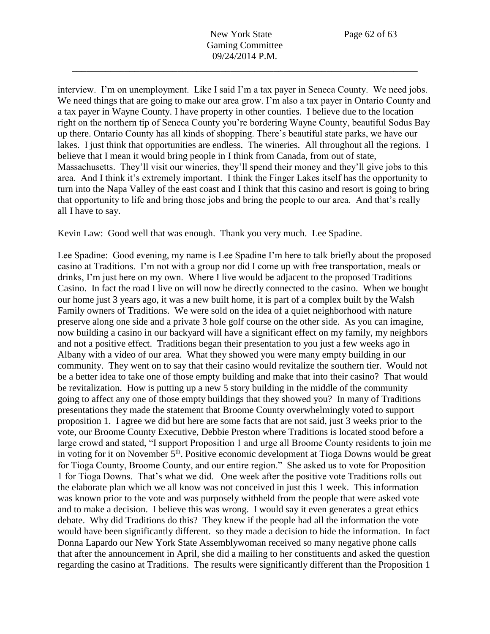interview. I'm on unemployment. Like I said I'm a tax payer in Seneca County. We need jobs. We need things that are going to make our area grow. I'm also a tax payer in Ontario County and a tax payer in Wayne County. I have property in other counties. I believe due to the location right on the northern tip of Seneca County you're bordering Wayne County, beautiful Sodus Bay up there. Ontario County has all kinds of shopping. There's beautiful state parks, we have our lakes. I just think that opportunities are endless. The wineries. All throughout all the regions. I believe that I mean it would bring people in I think from Canada, from out of state, Massachusetts. They'll visit our wineries, they'll spend their money and they'll give jobs to this area. And I think it's extremely important. I think the Finger Lakes itself has the opportunity to turn into the Napa Valley of the east coast and I think that this casino and resort is going to bring that opportunity to life and bring those jobs and bring the people to our area. And that's really all I have to say.

Kevin Law: Good well that was enough. Thank you very much. Lee Spadine.

Lee Spadine: Good evening, my name is Lee Spadine I'm here to talk briefly about the proposed casino at Traditions. I'm not with a group nor did I come up with free transportation, meals or drinks, I'm just here on my own. Where I live would be adjacent to the proposed Traditions Casino. In fact the road I live on will now be directly connected to the casino. When we bought our home just 3 years ago, it was a new built home, it is part of a complex built by the Walsh Family owners of Traditions. We were sold on the idea of a quiet neighborhood with nature preserve along one side and a private 3 hole golf course on the other side. As you can imagine, now building a casino in our backyard will have a significant effect on my family, my neighbors and not a positive effect. Traditions began their presentation to you just a few weeks ago in Albany with a video of our area. What they showed you were many empty building in our community. They went on to say that their casino would revitalize the southern tier. Would not be a better idea to take one of those empty building and make that into their casino? That would be revitalization. How is putting up a new 5 story building in the middle of the community going to affect any one of those empty buildings that they showed you? In many of Traditions presentations they made the statement that Broome County overwhelmingly voted to support proposition 1. I agree we did but here are some facts that are not said, just 3 weeks prior to the vote, our Broome County Executive, Debbie Preston where Traditions is located stood before a large crowd and stated, "I support Proposition 1 and urge all Broome County residents to join me in voting for it on November  $5<sup>th</sup>$ . Positive economic development at Tioga Downs would be great for Tioga County, Broome County, and our entire region." She asked us to vote for Proposition 1 for Tioga Downs. That's what we did. One week after the positive vote Traditions rolls out the elaborate plan which we all know was not conceived in just this 1 week. This information was known prior to the vote and was purposely withheld from the people that were asked vote and to make a decision. I believe this was wrong. I would say it even generates a great ethics debate. Why did Traditions do this? They knew if the people had all the information the vote would have been significantly different. so they made a decision to hide the information. In fact Donna Lapardo our New York State Assemblywoman received so many negative phone calls that after the announcement in April, she did a mailing to her constituents and asked the question regarding the casino at Traditions. The results were significantly different than the Proposition 1